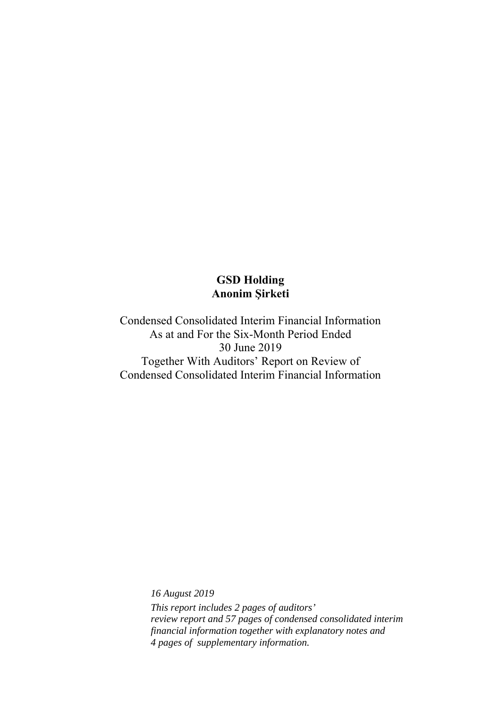Condensed Consolidated Interim Financial Information As at and For the Six-Month Period Ended 30 June 2019 Together With Auditors' Report on Review of Condensed Consolidated Interim Financial Information

> *16 August 2019 This report includes 2 pages of auditors' review report and 57 pages of condensed consolidated interim financial information together with explanatory notes and 4 pages of supplementary information.*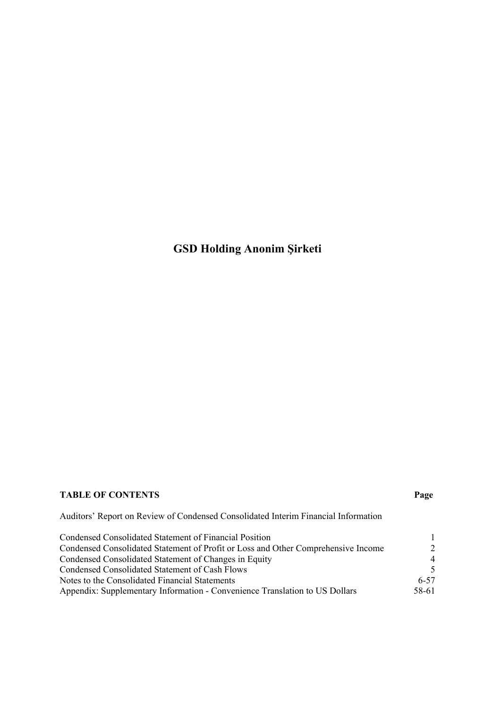### **TABLE OF CONTENTS Page**

Auditors' Report on Review of Condensed Consolidated Interim Financial Information

| Condensed Consolidated Statement of Financial Position                            |                          |
|-----------------------------------------------------------------------------------|--------------------------|
| Condensed Consolidated Statement of Profit or Loss and Other Comprehensive Income | 2                        |
| Condensed Consolidated Statement of Changes in Equity                             | $\overline{4}$           |
| Condensed Consolidated Statement of Cash Flows                                    | $\overline{\mathcal{L}}$ |
| Notes to the Consolidated Financial Statements                                    | $6 - 57$                 |
| Appendix: Supplementary Information - Convenience Translation to US Dollars       | 58-61                    |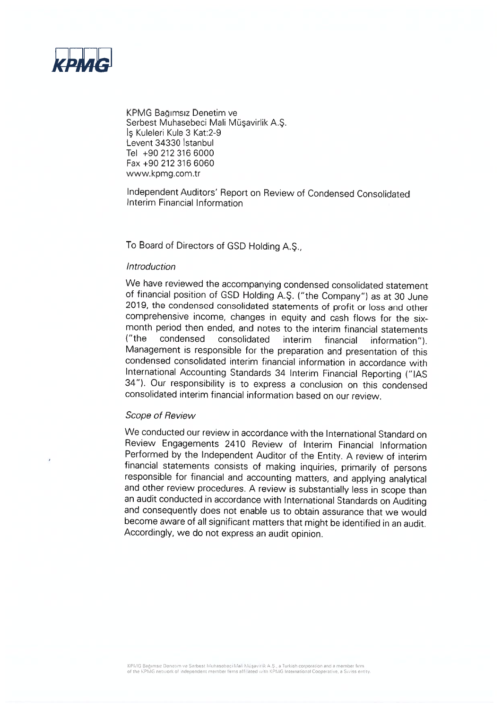

KPMG Bağımsız Denetim ve Serbest Muhasebeci Mali Müsavirlik A.S. Is Kuleleri Kule 3 Kat:2-9 Levent 34330 Istanbul Tel +90 212 316 6000 Fax +90 212 316 6060 www.kpmg.com.tr

Independent Auditors' Report on Review of Condensed Consolidated Interim Financial Information

To Board of Directors of GSD Holding A.Ş.,

#### Introduction

We have reviewed the accompanying condensed consolidated statement of financial position of GSD Holding A.S. ("the Company") as at 30 June 2019, the condensed consolidated statements of profit or loss and other comprehensive income, changes in equity and cash flows for the sixmonth period then ended, and notes to the interim financial statements  $(''$ the condensed consolidated interim information"). financial Management is responsible for the preparation and presentation of this condensed consolidated interim financial information in accordance with International Accounting Standards 34 Interim Financial Reporting ("IAS 34"). Our responsibility is to express a conclusion on this condensed consolidated interim financial information based on our review.

#### Scope of Review

We conducted our review in accordance with the International Standard on Review Engagements 2410 Review of Interim Financial Information Performed by the Independent Auditor of the Entity. A review of interim financial statements consists of making inquiries, primarily of persons responsible for financial and accounting matters, and applying analytical and other review procedures. A review is substantially less in scope than an audit conducted in accordance with International Standards on Auditing and consequently does not enable us to obtain assurance that we would become aware of all significant matters that might be identified in an audit. Accordingly, we do not express an audit opinion.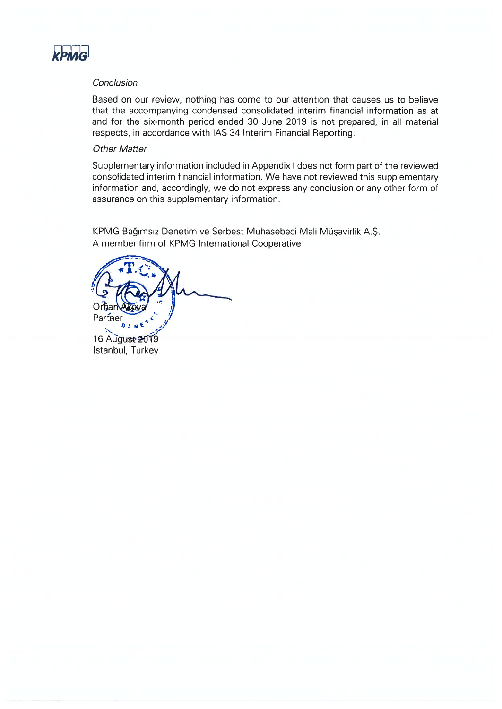

#### Conclusion

Based on our review, nothing has come to our attention that causes us to believe that the accompanying condensed consolidated interim financial information as at and for the six-month period ended 30 June 2019 is not prepared, in all material respects, in accordance with IAS 34 Interim Financial Reporting.

#### **Other Matter**

Supplementary information included in Appendix I does not form part of the reviewed consolidated interim financial information. We have not reviewed this supplementary information and, accordingly, we do not express any conclusion or any other form of assurance on this supplementary information.

KPMG Bağımsız Denetim ve Serbest Muhasebeci Mali Müşavirlik A.Ş. A member firm of KPMG International Cooperative

Partner 16 August 2019 Istanbul, Turkey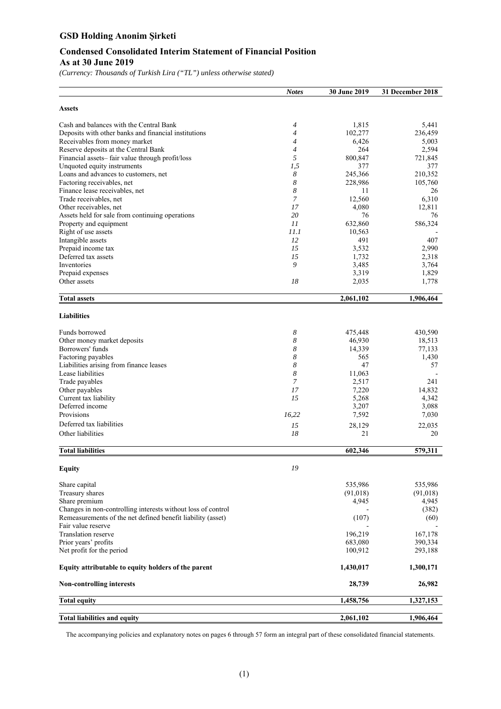#### **Condensed Consolidated Interim Statement of Financial Position As at 30 June 2019**

*(Currency: Thousands of Turkish Lira ("TL") unless otherwise stated)* 

|                                                              | <b>Notes</b> | 30 June 2019 | 31 December 2018 |
|--------------------------------------------------------------|--------------|--------------|------------------|
| <b>Assets</b>                                                |              |              |                  |
| Cash and balances with the Central Bank                      | 4            | 1,815        | 5,441            |
| Deposits with other banks and financial institutions         | 4            | 102,277      | 236,459          |
| Receivables from money market                                | 4            | 6,426        | 5,003            |
| Reserve deposits at the Central Bank                         | 4            | 264          | 2,594            |
| Financial assets-fair value through profit/loss              | 5            | 800,847      | 721,845          |
| Unquoted equity instruments                                  | 1,5          | 377          | 377              |
| Loans and advances to customers, net                         | 8            | 245,366      | 210,352          |
| Factoring receivables, net                                   | 8            | 228,986      | 105,760          |
| Finance lease receivables, net                               | 8            | 11           | 26               |
| Trade receivables, net                                       | 7            | 12,560       | 6,310            |
| Other receivables, net                                       | 17           | 4,080        | 12,811           |
| Assets held for sale from continuing operations              | 20           | 76           | 76               |
| Property and equipment                                       | 11           | 632,860      | 586,324          |
| Right of use assets                                          | 11.1         | 10,563       |                  |
| Intangible assets                                            | 12           | 491          | 407              |
| Prepaid income tax                                           | 15           | 3,532        | 2,990            |
| Deferred tax assets                                          | 15           | 1,732        | 2,318            |
| Inventories                                                  | 9            | 3,485        | 3,764            |
| Prepaid expenses                                             |              | 3,319        | 1,829            |
| Other assets                                                 | 18           | 2,035        | 1,778            |
|                                                              |              |              |                  |
| <b>Total assets</b>                                          |              | 2,061,102    | 1,906,464        |
| <b>Liabilities</b>                                           |              |              |                  |
| Funds borrowed                                               | 8            | 475,448      | 430,590          |
| Other money market deposits                                  | 8            | 46,930       | 18,513           |
| Borrowers' funds                                             | 8            | 14,339       | 77,133           |
| Factoring payables                                           | 8            | 565          | 1,430            |
| Liabilities arising from finance leases                      | 8            | 47           | 57               |
| Lease liabilities                                            | 8            | 11,063       |                  |
| Trade payables                                               | 7            | 2,517        | 241              |
| Other payables                                               | 17           | 7,220        | 14,832           |
| Current tax liability                                        | 15           | 5,268        | 4,342            |
| Deferred income                                              |              | 3,207        | 3,088            |
| Provisions                                                   | 16,22        | 7,592        | 7,030            |
| Deferred tax liabilities                                     |              |              |                  |
|                                                              | 15           | 28,129       | 22,035           |
| Other liabilities                                            | 18           | 21           | 20               |
| <b>Total liabilities</b>                                     |              | 602,346      | 579,311          |
| <b>Equity</b>                                                | 19           |              |                  |
| Share capital                                                |              | 535,986      | 535,986          |
| Treasury shares                                              |              | (91,018)     | (91,018)         |
| Share premium                                                |              | 4,945        | 4,945            |
| Changes in non-controlling interests without loss of control |              |              | (382)            |
| Remeasurements of the net defined benefit liability (asset)  |              | (107)        | (60)             |
| Fair value reserve                                           |              |              |                  |
| Translation reserve                                          |              | 196,219      | 167,178          |
| Prior years' profits                                         |              | 683,080      | 390,334          |
| Net profit for the period                                    |              | 100,912      | 293,188          |
| Equity attributable to equity holders of the parent          |              | 1,430,017    | 1,300,171        |
| <b>Non-controlling interests</b>                             |              | 28,739       | 26,982           |
| <b>Total equity</b>                                          |              | 1,458,756    | 1,327,153        |
| <b>Total liabilities and equity</b>                          |              | 2,061,102    | 1,906,464        |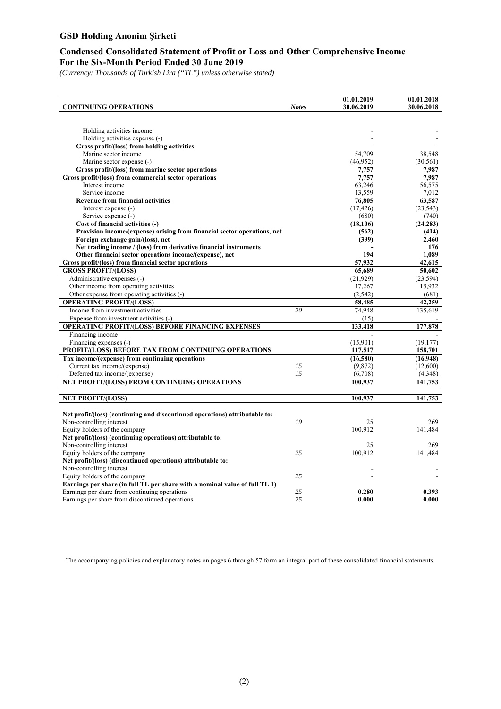#### **Condensed Consolidated Statement of Profit or Loss and Other Comprehensive Income For the Six-Month Period Ended 30 June 2019**

*(Currency: Thousands of Turkish Lira ("TL") unless otherwise stated)* 

|                                                                             |              | 01.01.2019 | 01.01.2018 |
|-----------------------------------------------------------------------------|--------------|------------|------------|
| <b>CONTINUING OPERATIONS</b>                                                | <b>Notes</b> | 30.06.2019 | 30.06.2018 |
|                                                                             |              |            |            |
|                                                                             |              |            |            |
| Holding activities income                                                   |              |            |            |
| Holding activities expense (-)                                              |              |            |            |
| Gross profit/(loss) from holding activities                                 |              |            |            |
| Marine sector income                                                        |              | 54,709     | 38,548     |
| Marine sector expense (-)                                                   |              | (46,952)   | (30, 561)  |
| Gross profit/(loss) from marine sector operations                           |              | 7,757      | 7,987      |
| Gross profit/(loss) from commercial sector operations                       |              | 7,757      | 7,987      |
| Interest income                                                             |              | 63,246     | 56,575     |
| Service income                                                              |              | 13,559     | 7,012      |
| <b>Revenue from financial activities</b>                                    |              | 76,805     | 63,587     |
| Interest expense (-)                                                        |              | (17, 426)  | (23, 543)  |
| Service expense (-)                                                         |              | (680)      | (740)      |
| Cost of financial activities (-)                                            |              | (18, 106)  | (24, 283)  |
| Provision income/(expense) arising from financial sector operations, net    |              | (562)      | (414)      |
| Foreign exchange gain/(loss), net                                           |              | (399)      | 2,460      |
| Net trading income / (loss) from derivative financial instruments           |              |            | 176        |
| Other financial sector operations income/(expense), net                     |              | 194        | 1.089      |
| Gross profit/(loss) from financial sector operations                        |              | 57,932     | 42,615     |
| <b>GROSS PROFIT/(LOSS)</b>                                                  |              | 65,689     | 50,602     |
| Administrative expenses (-)                                                 |              | (21,929)   | (23, 594)  |
| Other income from operating activities                                      |              | 17,267     | 15,932     |
| Other expense from operating activities (-)                                 |              | (2,542)    | (681)      |
| <b>OPERATING PROFIT/(LOSS)</b>                                              |              | 58,485     | 42,259     |
| Income from investment activities                                           | 20           | 74,948     | 135,619    |
| Expense from investment activities (-)                                      |              | (15)       |            |
| OPERATING PROFIT/(LOSS) BEFORE FINANCING EXPENSES                           |              | 133,418    | 177,878    |
| Financing income                                                            |              |            |            |
| Financing expenses (-)                                                      |              | (15,901)   | (19, 177)  |
| PROFIT/(LOSS) BEFORE TAX FROM CONTINUING OPERATIONS                         |              | 117,517    | 158,701    |
| Tax income/(expense) from continuing operations                             |              | (16,580)   | (16,948)   |
| Current tax income/(expense)                                                | 15           | (9,872)    | (12,600)   |
| Deferred tax income/(expense)                                               | 15           | (6,708)    | (4,348)    |
| NET PROFIT/(LOSS) FROM CONTINUING OPERATIONS                                |              | 100,937    |            |
|                                                                             |              |            | 141,753    |
|                                                                             |              |            |            |
| <b>NET PROFIT/(LOSS)</b>                                                    |              | 100,937    | 141,753    |
|                                                                             |              |            |            |
| Net profit/(loss) (continuing and discontinued operations) attributable to: |              |            |            |
| Non-controlling interest                                                    | 19           | 25         | 269        |
| Equity holders of the company                                               |              | 100,912    | 141,484    |
| Net profit/(loss) (continuing operations) attributable to:                  |              |            |            |
| Non-controlling interest                                                    |              | 25         | 269        |
| Equity holders of the company                                               | 25           | 100,912    | 141,484    |
| Net profit/(loss) (discontinued operations) attributable to:                |              |            |            |
| Non-controlling interest                                                    |              | ٠          |            |
| Equity holders of the company                                               | 25           |            |            |
| Earnings per share (in full TL per share with a nominal value of full TL 1) |              |            |            |
| Earnings per share from continuing operations                               | 25           | 0.280      | 0.393      |
| Earnings per share from discontinued operations                             | 25           | 0.000      | 0.000      |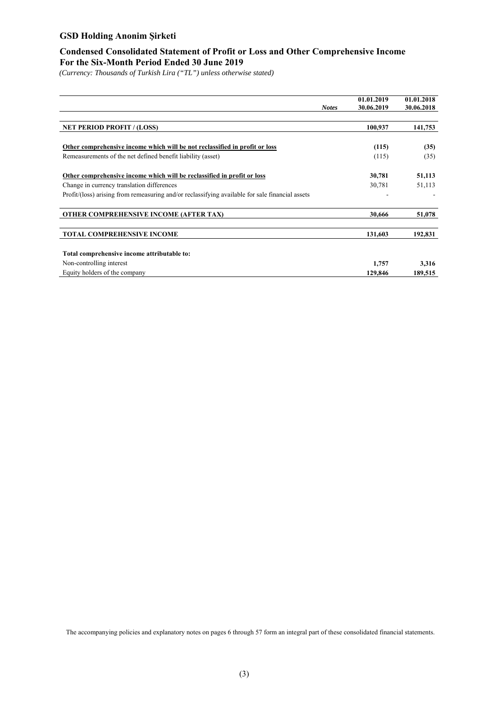#### **Condensed Consolidated Statement of Profit or Loss and Other Comprehensive Income For the Six-Month Period Ended 30 June 2019**

*(Currency: Thousands of Turkish Lira ("TL") unless otherwise stated)* 

|                                                                                                 |              | 01.01.2019 | 01.01.2018 |
|-------------------------------------------------------------------------------------------------|--------------|------------|------------|
|                                                                                                 | <b>Notes</b> | 30.06.2019 | 30.06.2018 |
|                                                                                                 |              |            |            |
| <b>NET PERIOD PROFIT / (LOSS)</b>                                                               |              | 100,937    | 141,753    |
|                                                                                                 |              |            |            |
| Other comprehensive income which will be not reclassified in profit or loss                     |              | (115)      | (35)       |
| Remeasurements of the net defined benefit liability (asset)                                     |              | (115)      | (35)       |
|                                                                                                 |              |            |            |
| Other comprehensive income which will be reclassified in profit or loss                         |              | 30,781     | 51,113     |
| Change in currency translation differences                                                      |              | 30,781     | 51,113     |
| Profit/(loss) arising from remeasuring and/or reclassifying available for sale financial assets |              |            |            |
| <b>OTHER COMPREHENSIVE INCOME (AFTER TAX)</b>                                                   |              | 30.666     | 51,078     |
|                                                                                                 |              |            |            |
| <b>TOTAL COMPREHENSIVE INCOME</b>                                                               |              | 131,603    | 192,831    |
|                                                                                                 |              |            |            |
| Total comprehensive income attributable to:                                                     |              |            |            |
| Non-controlling interest                                                                        |              | 1,757      | 3,316      |
| Equity holders of the company                                                                   |              | 129,846    | 189,515    |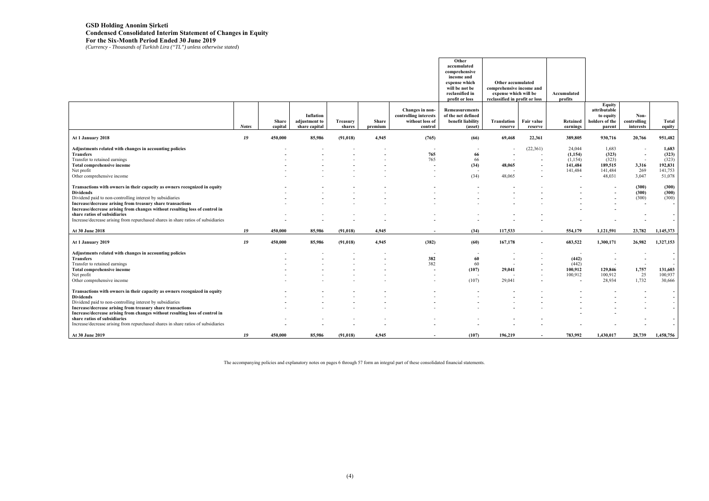### **GSD Holding Anonim Şirketi Condensed Consolidated Interim Statement of Changes in Equity For the Six-Month Period Ended 30 June 2019**  *(Currency - Thousands of Turkish Lira ("TL") unless otherwise stated*)

|                                                                                   |              |                  |                                |                           |                         |                                          | Other<br>accumulated<br>comprehensive<br>income and<br>expense which<br>will be not be<br>reclassified in<br>profit or loss | Other accumulated<br>comprehensive income and<br>expense which will be<br>reclassified in profit or loss |                          | Accumulated<br>profits |                                            |                          |                          |
|-----------------------------------------------------------------------------------|--------------|------------------|--------------------------------|---------------------------|-------------------------|------------------------------------------|-----------------------------------------------------------------------------------------------------------------------------|----------------------------------------------------------------------------------------------------------|--------------------------|------------------------|--------------------------------------------|--------------------------|--------------------------|
|                                                                                   |              |                  | <b>Inflation</b>               |                           |                         | Changes in non-<br>controlling interests | <b>Remeasurements</b><br>of the net defined                                                                                 |                                                                                                          |                          |                        | <b>Equity</b><br>attributable<br>to equity | Non-                     |                          |
|                                                                                   | <b>Notes</b> | Share<br>capital | adjustment to<br>share capital | <b>Treasury</b><br>shares | <b>Share</b><br>premium | without loss of<br>control               | benefit liability<br>(asset)                                                                                                | Translation<br>reserve                                                                                   | Fair value<br>reserve    | Retained<br>earnings   | holders of the<br>parent                   | controlling<br>interests | Total<br>equity          |
| At 1 January 2018                                                                 | 19           | 450,000          | 85,986                         | (91, 018)                 | 4,945                   | (765)                                    | (66)                                                                                                                        | 69,468                                                                                                   | 22,361                   | 389,805                | 930,716                                    | 20,766                   | 951,482                  |
| Adjustments related with changes in accounting policies                           |              |                  |                                |                           |                         |                                          |                                                                                                                             |                                                                                                          | (22,361)                 | 24,044                 | 1,683                                      |                          | 1,683                    |
| Transfers                                                                         |              |                  |                                |                           |                         | 765                                      | 66                                                                                                                          | $\sim$                                                                                                   |                          | (1,154)                | (323)                                      | $\overline{\phantom{a}}$ | (323)                    |
| Transfer to retained earnings                                                     |              |                  |                                |                           |                         | 765                                      | 66                                                                                                                          | $\sim$                                                                                                   |                          | (1,154)                | (323)                                      | $\overline{\phantom{a}}$ | (323)                    |
| Total comprehensive income                                                        |              |                  |                                |                           |                         |                                          | (34)                                                                                                                        | 48,065                                                                                                   |                          | 141,484                | 189,515                                    | 3,316                    | 192,831                  |
| Net profit                                                                        |              |                  |                                |                           |                         |                                          |                                                                                                                             |                                                                                                          |                          | 141,484                | 141,484                                    | 269                      | 141,753                  |
| Other comprehensive income                                                        |              |                  |                                |                           |                         |                                          | (34)                                                                                                                        | 48,065                                                                                                   |                          |                        | 48,031                                     | 3,047                    | 51,078                   |
| Transactions with owners in their capacity as owners recognized in equity         |              |                  |                                |                           |                         |                                          |                                                                                                                             |                                                                                                          |                          |                        |                                            | (300)                    | (300)                    |
| <b>Dividends</b>                                                                  |              |                  |                                |                           |                         |                                          |                                                                                                                             |                                                                                                          |                          |                        |                                            | (300)                    | (300)                    |
| Dividend paid to non-controlling interest by subsidiaries                         |              |                  |                                |                           |                         |                                          |                                                                                                                             |                                                                                                          |                          |                        |                                            | (300)                    | (300)                    |
| Increase/decrease arising from treasury share transactions                        |              |                  |                                |                           |                         |                                          |                                                                                                                             |                                                                                                          |                          |                        |                                            | $\overline{\phantom{a}}$ | $\sim$                   |
| Increase/decrease arising from changes without resulting loss of control in       |              |                  |                                |                           |                         |                                          |                                                                                                                             |                                                                                                          |                          |                        |                                            |                          |                          |
| share ratios of subsidiaries                                                      |              |                  |                                |                           |                         |                                          |                                                                                                                             |                                                                                                          |                          |                        |                                            |                          | $\sim$                   |
| Increase/decrease arising from repurchased shares in share ratios of subsidiaries |              |                  |                                |                           |                         |                                          |                                                                                                                             |                                                                                                          |                          |                        |                                            |                          | $\overline{\phantom{a}}$ |
| At 30 June 2018                                                                   | 19           | 450,000          | 85,986                         | (91, 018)                 | 4,945                   |                                          | (34)                                                                                                                        | 117,533                                                                                                  | $\sim$                   | 554,179                | 1,121,591                                  | 23,782                   | 1,145,373                |
| At 1 January 2019                                                                 | 19           | 450,000          | 85,986                         | (91, 018)                 | 4,945                   | (382)                                    | (60)                                                                                                                        | 167,178                                                                                                  |                          | 683,522                | 1,300,171                                  | 26,982                   | 1,327,153                |
| Adjustments related with changes in accounting policies                           |              |                  |                                |                           |                         |                                          | $\overline{\phantom{a}}$                                                                                                    |                                                                                                          |                          |                        |                                            |                          | $\sim$                   |
| <b>Transfers</b>                                                                  |              |                  |                                |                           |                         | 382                                      | 60                                                                                                                          | $\overline{\phantom{a}}$                                                                                 | $\sim$                   | (442)                  |                                            | $\overline{\phantom{a}}$ | $\sim$                   |
| Transfer to retained earnings                                                     |              |                  |                                |                           |                         | 382                                      | 60                                                                                                                          | $\sim$                                                                                                   |                          | (442)                  |                                            |                          |                          |
| Total comprehensive income                                                        |              |                  |                                |                           |                         |                                          | (107)                                                                                                                       | 29,041                                                                                                   |                          | 100,912                | 129,846                                    | 1,757                    | 131,603                  |
| Net profit                                                                        |              |                  |                                |                           |                         |                                          | $\overline{\phantom{a}}$                                                                                                    |                                                                                                          |                          | 100,912                | 100,912                                    | 25                       | 100,937                  |
| Other comprehensive income                                                        |              |                  |                                |                           |                         |                                          | (107)                                                                                                                       | 29,041                                                                                                   |                          |                        | 28,934                                     | 1,732                    | 30,666                   |
| Transactions with owners in their capacity as owners recognized in equity         |              |                  |                                |                           |                         |                                          |                                                                                                                             |                                                                                                          |                          |                        |                                            |                          |                          |
| <b>Dividends</b>                                                                  |              |                  |                                |                           |                         |                                          |                                                                                                                             |                                                                                                          |                          |                        |                                            |                          |                          |
| Dividend paid to non-controlling interest by subsidiaries                         |              |                  |                                |                           |                         |                                          |                                                                                                                             |                                                                                                          |                          |                        |                                            |                          |                          |
| Increase/decrease arising from treasury share transactions                        |              |                  |                                |                           |                         |                                          |                                                                                                                             |                                                                                                          |                          |                        |                                            |                          | $\sim$                   |
| Increase/decrease arising from changes without resulting loss of control in       |              |                  |                                |                           |                         |                                          |                                                                                                                             |                                                                                                          |                          |                        |                                            |                          |                          |
| share ratios of subsidiaries                                                      |              |                  |                                |                           |                         |                                          |                                                                                                                             |                                                                                                          |                          |                        |                                            |                          |                          |
| Increase/decrease arising from repurchased shares in share ratios of subsidiaries |              |                  |                                |                           |                         |                                          |                                                                                                                             |                                                                                                          |                          |                        |                                            |                          |                          |
| At 30 June 2019                                                                   | 19           | 450,000          | 85,986                         | (91, 018)                 | 4,945                   |                                          | (107)                                                                                                                       | 196,219                                                                                                  | $\overline{\phantom{0}}$ | 783,992                | 1,430,017                                  | 28,739                   | 1,458,756                |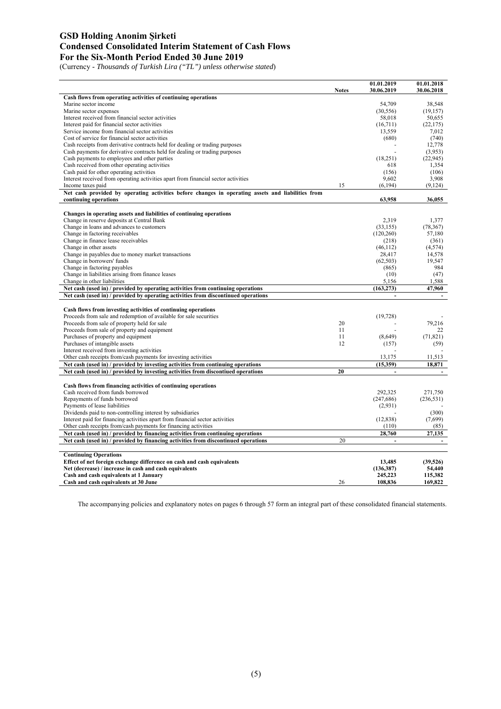#### **GSD Holding Anonim Şirketi Condensed Consolidated Interim Statement of Cash Flows For the Six-Month Period Ended 30 June 2019**

(Currency - *Thousands of Turkish Lira ("TL") unless otherwise stated*)

|                                                                                                   | <b>Notes</b> | 01.01.2019<br>30.06.2019 | 01.01.2018<br>30.06.2018 |
|---------------------------------------------------------------------------------------------------|--------------|--------------------------|--------------------------|
| Cash flows from operating activities of continuing operations                                     |              |                          |                          |
| Marine sector income                                                                              |              | 54,709                   | 38.548                   |
| Marine sector expenses                                                                            |              | (30, 556)                | (19, 157)                |
| Interest received from financial sector activities                                                |              | 58,018                   | 50,655                   |
| Interest paid for financial sector activities                                                     |              | (16,711)                 | (22, 175)                |
| Service income from financial sector activities                                                   |              | 13,559                   | 7,012                    |
| Cost of service for financial sector activities                                                   |              | (680)                    | (740)                    |
| Cash receipts from derivative contracts held for dealing or trading purposes                      |              |                          | 12,778                   |
| Cash payments for derivative contracts held for dealing or trading purposes                       |              |                          | (3,953)                  |
| Cash payments to employees and other parties                                                      |              | (18,251)                 | (22, 945)                |
| Cash received from other operating activities                                                     |              | 618                      | 1.354                    |
| Cash paid for other operating activities                                                          |              | (156)                    | (106)                    |
| Interest received from operating activities apart from financial sector activities                |              | 9.602                    | 3,908                    |
| Income taxes paid                                                                                 | 15           | (6.194)                  | (9.124)                  |
| Net cash provided by operating activities before changes in operating assets and liabilities from |              |                          |                          |
| continuing operations                                                                             |              | 63,958                   | 36,055                   |
|                                                                                                   |              |                          |                          |
| Changes in operating assets and liabilities of continuing operations                              |              |                          |                          |
| Change in reserve deposits at Central Bank                                                        |              | 2,319                    | 1,377                    |
| Change in loans and advances to customers                                                         |              | (33, 155)                | (78, 367)                |
| Change in factoring receivables                                                                   |              | (120, 260)               | 57,180                   |
| Change in finance lease receivables                                                               |              | (218)                    | (361)                    |
| Change in other assets                                                                            |              | (46, 112)                | (4,574)                  |
| Change in payables due to money market transactions                                               |              | 28,417                   | 14,578                   |
| Change in borrowers' funds                                                                        |              | (62, 503)                | 19.547<br>984            |
| Change in factoring payables                                                                      |              | (865)                    |                          |
| Change in liabilities arising from finance leases<br>Change in other liabilities                  |              | (10)<br>5,156            | (47)<br>1,588            |
|                                                                                                   |              |                          |                          |
|                                                                                                   |              |                          |                          |
| Net cash (used in) / provided by operating activities from continuing operations                  |              | (163, 273)               | 47,960                   |
| Net cash (used in) / provided by operating activities from discontinued operations                |              |                          |                          |
|                                                                                                   |              |                          |                          |
| Cash flows from investing activities of continuing operations                                     |              |                          |                          |
| Proceeds from sale and redemption of available for sale securities                                | 20           | (19, 728)                | 79,216                   |
| Proceeds from sale of property held for sale<br>Proceeds from sale of property and equipment      | 11           |                          | 22                       |
| Purchases of property and equipment                                                               | 11           | (8,649)                  | (71, 821)                |
| Purchases of intangible assets                                                                    | 12           | (157)                    | (59)                     |
| Interest received from investing activities                                                       |              |                          |                          |
| Other cash receipts from/cash payments for investing activities                                   |              | 13,175                   | 11,513                   |
| Net cash (used in) / provided by investing activities from continuing operations                  |              | (15,359)                 | 18,871                   |
| Net cash (used in) / provided by investing activities from discontiued operations                 | 20           |                          |                          |
|                                                                                                   |              |                          |                          |
| Cash flows from financing activities of continuing operations                                     |              |                          |                          |
| Cash received from funds borrowed                                                                 |              | 292,325                  | 271,750                  |
| Repayments of funds borrowed                                                                      |              | (247, 686)               | (236, 531)               |
| Payments of lease liabilities                                                                     |              | (2,931)                  |                          |
| Dividends paid to non-controlling interest by subsidiaries                                        |              |                          | (300)                    |
| Interest paid for financing activities apart from financial sector activities                     |              | (12, 838)                | (7,699)                  |
| Other cash receipts from/cash payments for financing activities                                   |              | (110)                    | (85)                     |
| Net cash (used in) / provided by financing activities from continuing operations                  |              | 28.760                   | 27.135                   |
| Net cash (used in) / provided by financing activities from discontinued operations                | 20           | $\ddot{\phantom{a}}$     | $\overline{\phantom{a}}$ |
|                                                                                                   |              |                          |                          |
| <b>Continuing Operations</b>                                                                      |              |                          |                          |
| Effect of net foreign exchange difference on cash and cash equivalents                            |              | 13,485                   | (39,526)                 |
| Net (decrease) / increase in cash and cash equivalents                                            |              | (136, 387)               | 54,440                   |
| Cash and cash equivalents at 1 January<br>Cash and cash equivalents at 30 June                    | 26           | 245,223<br>108.836       | 115,382<br>169,822       |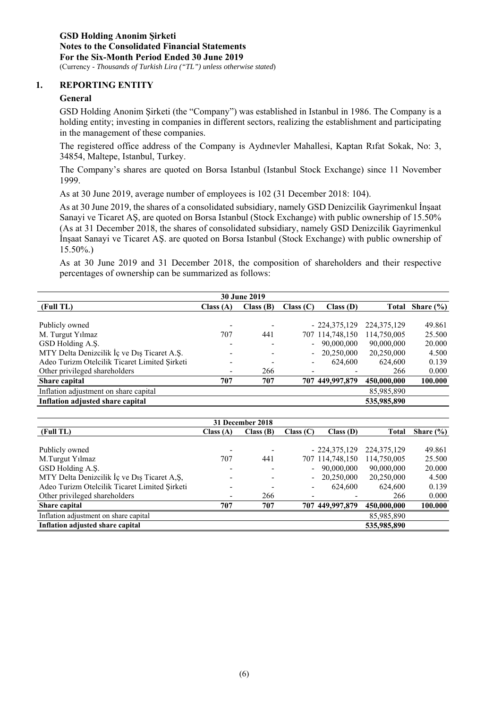#### **1. REPORTING ENTITY**

#### **General**

GSD Holding Anonim Şirketi (the "Company") was established in Istanbul in 1986. The Company is a holding entity; investing in companies in different sectors, realizing the establishment and participating in the management of these companies.

The registered office address of the Company is Aydınevler Mahallesi, Kaptan Rıfat Sokak, No: 3, 34854, Maltepe, Istanbul, Turkey.

The Company's shares are quoted on Borsa Istanbul (Istanbul Stock Exchange) since 11 November 1999.

As at 30 June 2019, average number of employees is 102 (31 December 2018: 104).

As at 30 June 2019, the shares of a consolidated subsidiary, namely GSD Denizcilik Gayrimenkul İnşaat Sanayi ve Ticaret AŞ, are quoted on Borsa Istanbul (Stock Exchange) with public ownership of 15.50% (As at 31 December 2018, the shares of consolidated subsidiary, namely GSD Denizcilik Gayrimenkul İnşaat Sanayi ve Ticaret AŞ. are quoted on Borsa Istanbul (Stock Exchange) with public ownership of 15.50%.)

As at 30 June 2019 and 31 December 2018, the composition of shareholders and their respective percentages of ownership can be summarized as follows:

| <b>30 June 2019</b>                           |          |          |           |                 |               |               |
|-----------------------------------------------|----------|----------|-----------|-----------------|---------------|---------------|
| (Full TL)                                     | Class(A) | Class(B) | Class (C) | Class(D)        | Total         | Share $(\% )$ |
|                                               |          |          |           |                 |               |               |
| Publicly owned                                |          |          |           | $-224,375,129$  | 224, 375, 129 | 49.861        |
| M. Turgut Yılmaz                              | 707      | 441      |           | 707 114,748,150 | 114,750,005   | 25.500        |
| GSD Holding A.S.                              |          |          |           | 90,000,000      | 90,000,000    | 20.000        |
| MTY Delta Denizcilik İç ve Dış Ticaret A.Ş.   |          |          |           | 20,250,000      | 20,250,000    | 4.500         |
| Adeo Turizm Otelcilik Ticaret Limited Şirketi |          |          |           | 624,600         | 624,600       | 0.139         |
| Other privileged shareholders                 |          | 266      |           |                 | 266           | 0.000         |
| Share capital                                 | 707      | 707      |           | 707 449,997,879 | 450,000,000   | 100.000       |
| Inflation adjustment on share capital         |          |          |           |                 | 85,985,890    |               |
| Inflation adjusted share capital              |          |          |           |                 | 535,985,890   |               |

|                                               | 31 December 2018 |          |           |                 |               |               |  |  |  |
|-----------------------------------------------|------------------|----------|-----------|-----------------|---------------|---------------|--|--|--|
| (Full TL)                                     | Class(A)         | Class(B) | Class (C) | Class(D)        | Total         | Share $(\% )$ |  |  |  |
|                                               |                  |          |           |                 |               |               |  |  |  |
| Publicly owned                                |                  |          |           | $-224,375,129$  | 224, 375, 129 | 49.861        |  |  |  |
| M.Turgut Yilmaz                               | 707              | 441      |           | 707 114,748,150 | 114,750,005   | 25.500        |  |  |  |
| GSD Holding A.S.                              |                  |          |           | 90,000,000      | 90,000,000    | 20.000        |  |  |  |
| MTY Delta Denizcilik İç ve Dış Ticaret A,Ş,   |                  |          |           | 20,250,000      | 20,250,000    | 4.500         |  |  |  |
| Adeo Turizm Otelcilik Ticaret Limited Sirketi |                  |          |           | 624,600         | 624,600       | 0.139         |  |  |  |
| Other privileged shareholders                 |                  | 266      |           |                 | 266           | 0.000         |  |  |  |
| Share capital                                 | 707              | 707      |           | 707 449,997,879 | 450,000,000   | 100.000       |  |  |  |
| Inflation adjustment on share capital         |                  |          |           |                 | 85,985,890    |               |  |  |  |
| Inflation adjusted share capital              |                  |          |           |                 | 535,985,890   |               |  |  |  |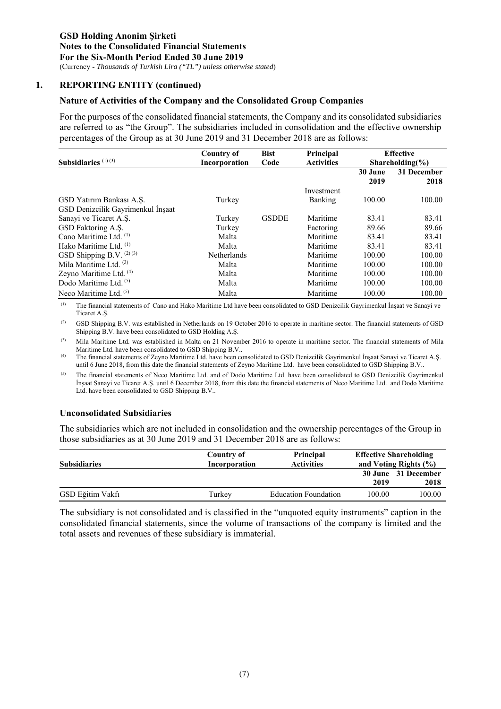#### **1. REPORTING ENTITY (continued)**

#### **Nature of Activities of the Company and the Consolidated Group Companies**

For the purposes of the consolidated financial statements, the Company and its consolidated subsidiaries are referred to as "the Group". The subsidiaries included in consolidation and the effective ownership percentages of the Group as at 30 June 2019 and 31 December 2018 are as follows:

|                                   | <b>Bist</b><br><b>Country of</b> |              | Principal         | <b>Effective</b> |                     |  |
|-----------------------------------|----------------------------------|--------------|-------------------|------------------|---------------------|--|
| Subsidiaries $(1)(3)$             | Incorporation                    | Code         | <b>Activities</b> |                  | $Shareholding(\%)$  |  |
|                                   |                                  |              |                   | 30 June<br>2019  | 31 December<br>2018 |  |
|                                   |                                  |              | Investment        |                  |                     |  |
| GSD Yatırım Bankası A.Ş.          | Turkey                           |              | Banking           | 100.00           | 100.00              |  |
| GSD Denizcilik Gayrimenkul İnşaat |                                  |              |                   |                  |                     |  |
| Sanayi ve Ticaret A.S.            | Turkey                           | <b>GSDDE</b> | Maritime          | 83.41            | 83.41               |  |
| GSD Faktoring A.S.                | Turkey                           |              | Factoring         | 89.66            | 89.66               |  |
| Cano Maritime Ltd. (1)            | Malta                            |              | Maritime          | 83.41            | 83.41               |  |
| Hako Maritime Ltd. <sup>(1)</sup> | Malta                            |              | Maritime          | 83.41            | 83.41               |  |
| GSD Shipping B.V. $(2)(3)$        | <b>Netherlands</b>               |              | Maritime          | 100.00           | 100.00              |  |
| Mila Maritime Ltd. $(3)$          | Malta                            |              | Maritime          | 100.00           | 100.00              |  |
| Zeyno Maritime Ltd. (4)           | Malta                            |              | Maritime          | 100.00           | 100.00              |  |
| Dodo Maritime Ltd. <sup>(5)</sup> | Malta                            |              | Maritime          | 100.00           | 100.00              |  |
| Neco Maritime Ltd. $(5)$          | Malta                            |              | Maritime          | 100.00           | 100.00              |  |

(1) The financial statements of Cano and Hako Maritime Ltd have been consolidated to GSD Denizcilik Gayrimenkul İnşaat ve Sanayi ve Ticaret A.Ş.

(2) GSD Shipping B.V. was established in Netherlands on 19 October 2016 to operate in maritime sector. The financial statements of GSD Shipping B.V. have been consolidated to GSD Holding A.Ş.

(3) Mila Maritime Ltd. was established in Malta on 21 November 2016 to operate in maritime sector. The financial statements of Mila Maritime Ltd. have been consolidated to GSD Shipping B.V..

(4) The financial statements of Zeyno Maritime Ltd. have been consolidated to GSD Denizcilik Gayrimenkul İnşaat Sanayi ve Ticaret A.Ş. until 6 June 2018, from this date the financial statements of Zeyno Maritime Ltd. have been consolidated to GSD Shipping B.V..

(5) The financial statements of Neco Maritime Ltd. and of Dodo Maritime Ltd. have been consolidated to GSD Denizcilik Gayrimenkul İnşaat Sanayi ve Ticaret A.Ş. until 6 December 2018, from this date the financial statements of Neco Maritime Ltd. and Dodo Maritime Ltd. have been consolidated to GSD Shipping B.V..

#### **Unconsolidated Subsidiaries**

The subsidiaries which are not included in consolidation and the ownership percentages of the Group in those subsidiaries as at 30 June 2019 and 31 December 2018 are as follows:

| <b>Subsidiaries</b> | Country of<br>Incorporation | <b>Principal</b><br><b>Activities</b> | <b>Effective Shareholding</b><br>and Voting Rights $(\% )$ |                             |
|---------------------|-----------------------------|---------------------------------------|------------------------------------------------------------|-----------------------------|
|                     |                             |                                       | 2019                                                       | 30 June 31 December<br>2018 |
| GSD Eğitim Vakfı    | Turkey                      | <b>Education Foundation</b>           | 100.00                                                     | 100.00                      |

The subsidiary is not consolidated and is classified in the "unquoted equity instruments" caption in the consolidated financial statements, since the volume of transactions of the company is limited and the total assets and revenues of these subsidiary is immaterial.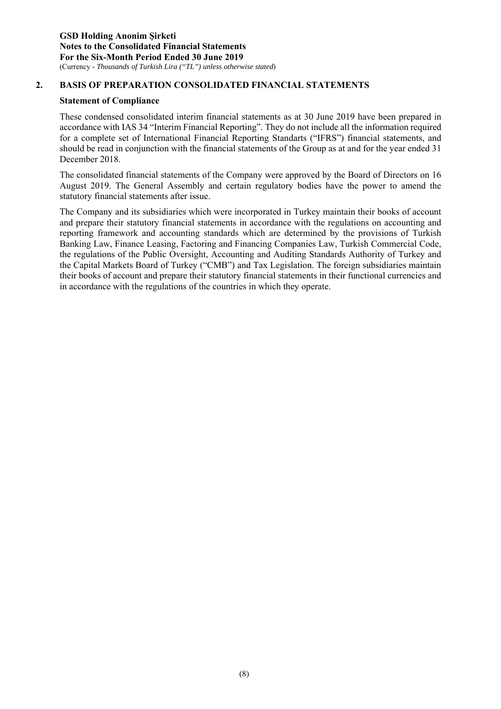#### **2. BASIS OF PREPARATION CONSOLIDATED FINANCIAL STATEMENTS**

#### **Statement of Compliance**

These condensed consolidated interim financial statements as at 30 June 2019 have been prepared in accordance with IAS 34 "Interim Financial Reporting". They do not include all the information required for a complete set of International Financial Reporting Standarts ("IFRS") financial statements, and should be read in conjunction with the financial statements of the Group as at and for the year ended 31 December 2018.

The consolidated financial statements of the Company were approved by the Board of Directors on 16 August 2019. The General Assembly and certain regulatory bodies have the power to amend the statutory financial statements after issue.

The Company and its subsidiaries which were incorporated in Turkey maintain their books of account and prepare their statutory financial statements in accordance with the regulations on accounting and reporting framework and accounting standards which are determined by the provisions of Turkish Banking Law, Finance Leasing, Factoring and Financing Companies Law, Turkish Commercial Code, the regulations of the Public Oversight, Accounting and Auditing Standards Authority of Turkey and the Capital Markets Board of Turkey ("CMB") and Tax Legislation. The foreign subsidiaries maintain their books of account and prepare their statutory financial statements in their functional currencies and in accordance with the regulations of the countries in which they operate.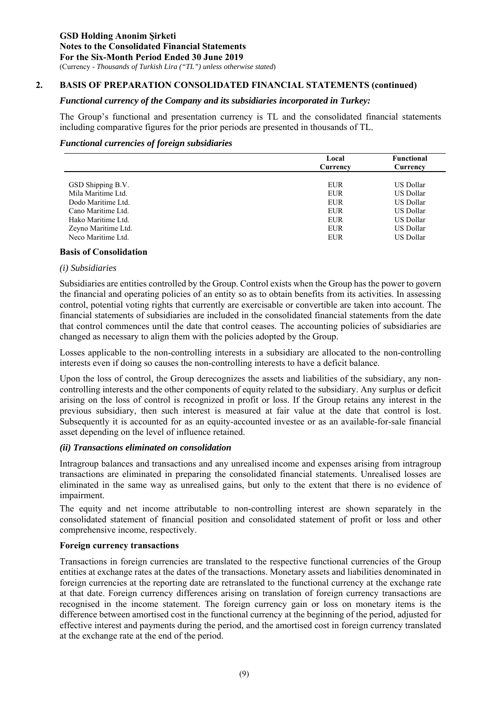#### **2. BASIS OF PREPARATION CONSOLIDATED FINANCIAL STATEMENTS (continued)**

#### *Functional currency of the Company and its subsidiaries incorporated in Turkey:*

The Group's functional and presentation currency is TL and the consolidated financial statements including comparative figures for the prior periods are presented in thousands of TL.

#### *Functional currencies of foreign subsidiaries*

|                     | Local      | <b>Functional</b> |
|---------------------|------------|-------------------|
|                     | Currency   | Currency          |
|                     |            |                   |
| GSD Shipping B.V.   | EUR        | US Dollar         |
| Mila Maritime Ltd.  | <b>EUR</b> | <b>US Dollar</b>  |
| Dodo Maritime Ltd.  | <b>EUR</b> | US Dollar         |
| Cano Maritime Ltd.  | EUR        | US Dollar         |
| Hako Maritime Ltd.  | <b>EUR</b> | US Dollar         |
| Zeyno Maritime Ltd. | <b>EUR</b> | US Dollar         |
| Neco Maritime Ltd.  | <b>EUR</b> | <b>US Dollar</b>  |
|                     |            |                   |

#### **Basis of Consolidation**

#### *(i) Subsidiaries*

Subsidiaries are entities controlled by the Group. Control exists when the Group has the power to govern the financial and operating policies of an entity so as to obtain benefits from its activities. In assessing control, potential voting rights that currently are exercisable or convertible are taken into account. The financial statements of subsidiaries are included in the consolidated financial statements from the date that control commences until the date that control ceases. The accounting policies of subsidiaries are changed as necessary to align them with the policies adopted by the Group.

Losses applicable to the non-controlling interests in a subsidiary are allocated to the non-controlling interests even if doing so causes the non-controlling interests to have a deficit balance.

Upon the loss of control, the Group derecognizes the assets and liabilities of the subsidiary, any noncontrolling interests and the other components of equity related to the subsidiary. Any surplus or deficit arising on the loss of control is recognized in profit or loss. If the Group retains any interest in the previous subsidiary, then such interest is measured at fair value at the date that control is lost. Subsequently it is accounted for as an equity-accounted investee or as an available-for-sale financial asset depending on the level of influence retained.

#### *(ii) Transactions eliminated on consolidation*

Intragroup balances and transactions and any unrealised income and expenses arising from intragroup transactions are eliminated in preparing the consolidated financial statements. Unrealised losses are eliminated in the same way as unrealised gains, but only to the extent that there is no evidence of impairment.

The equity and net income attributable to non-controlling interest are shown separately in the consolidated statement of financial position and consolidated statement of profit or loss and other comprehensive income, respectively.

#### **Foreign currency transactions**

Transactions in foreign currencies are translated to the respective functional currencies of the Group entities at exchange rates at the dates of the transactions. Monetary assets and liabilities denominated in foreign currencies at the reporting date are retranslated to the functional currency at the exchange rate at that date. Foreign currency differences arising on translation of foreign currency transactions are recognised in the income statement. The foreign currency gain or loss on monetary items is the difference between amortised cost in the functional currency at the beginning of the period, adjusted for effective interest and payments during the period, and the amortised cost in foreign currency translated at the exchange rate at the end of the period.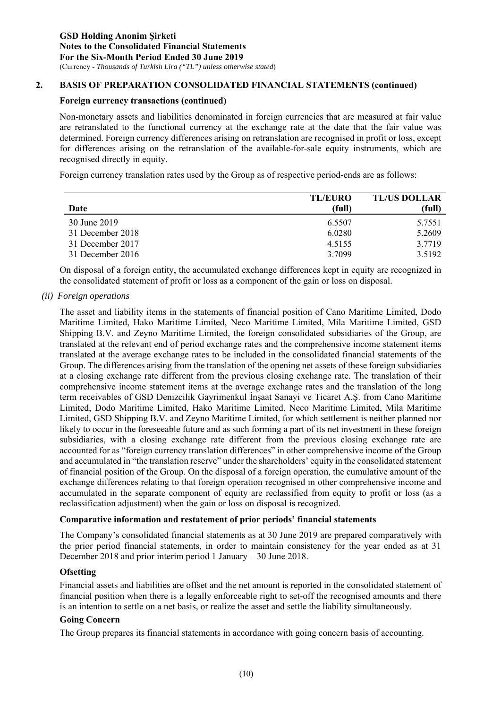#### **2. BASIS OF PREPARATION CONSOLIDATED FINANCIAL STATEMENTS (continued)**

#### **Foreign currency transactions (continued)**

Non-monetary assets and liabilities denominated in foreign currencies that are measured at fair value are retranslated to the functional currency at the exchange rate at the date that the fair value was determined. Foreign currency differences arising on retranslation are recognised in profit or loss, except for differences arising on the retranslation of the available-for-sale equity instruments, which are recognised directly in equity.

Foreign currency translation rates used by the Group as of respective period-ends are as follows:

|                  | <b>TL/EURO</b> | <b>TL/US DOLLAR</b> |
|------------------|----------------|---------------------|
| Date             | (full)         | (full)              |
| 30 June 2019     | 6.5507         | 5.7551              |
| 31 December 2018 | 6.0280         | 5.2609              |
| 31 December 2017 | 4.5155         | 3.7719              |
| 31 December 2016 | 3.7099         | 3.5192              |

On disposal of a foreign entity, the accumulated exchange differences kept in equity are recognized in the consolidated statement of profit or loss as a component of the gain or loss on disposal.

*(ii) Foreign operations* 

The asset and liability items in the statements of financial position of Cano Maritime Limited, Dodo Maritime Limited, Hako Maritime Limited, Neco Maritime Limited, Mila Maritime Limited, GSD Shipping B.V. and Zeyno Maritime Limited, the foreign consolidated subsidiaries of the Group, are translated at the relevant end of period exchange rates and the comprehensive income statement items translated at the average exchange rates to be included in the consolidated financial statements of the Group. The differences arising from the translation of the opening net assets of these foreign subsidiaries at a closing exchange rate different from the previous closing exchange rate. The translation of their comprehensive income statement items at the average exchange rates and the translation of the long term receivables of GSD Denizcilik Gayrimenkul İnşaat Sanayi ve Ticaret A.Ş. from Cano Maritime Limited, Dodo Maritime Limited, Hako Maritime Limited, Neco Maritime Limited, Mila Maritime Limited, GSD Shipping B.V. and Zeyno Maritime Limited, for which settlement is neither planned nor likely to occur in the foreseeable future and as such forming a part of its net investment in these foreign subsidiaries, with a closing exchange rate different from the previous closing exchange rate are accounted for as "foreign currency translation differences" in other comprehensive income of the Group and accumulated in "the translation reserve" under the shareholders' equity in the consolidated statement of financial position of the Group. On the disposal of a foreign operation, the cumulative amount of the exchange differences relating to that foreign operation recognised in other comprehensive income and accumulated in the separate component of equity are reclassified from equity to profit or loss (as a reclassification adjustment) when the gain or loss on disposal is recognized.

#### **Comparative information and restatement of prior periods' financial statements**

The Company's consolidated financial statements as at 30 June 2019 are prepared comparatively with the prior period financial statements, in order to maintain consistency for the year ended as at 31 December 2018 and prior interim period 1 January – 30 June 2018.

#### **Ofsetting**

Financial assets and liabilities are offset and the net amount is reported in the consolidated statement of financial position when there is a legally enforceable right to set-off the recognised amounts and there is an intention to settle on a net basis, or realize the asset and settle the liability simultaneously.

#### **Going Concern**

The Group prepares its financial statements in accordance with going concern basis of accounting.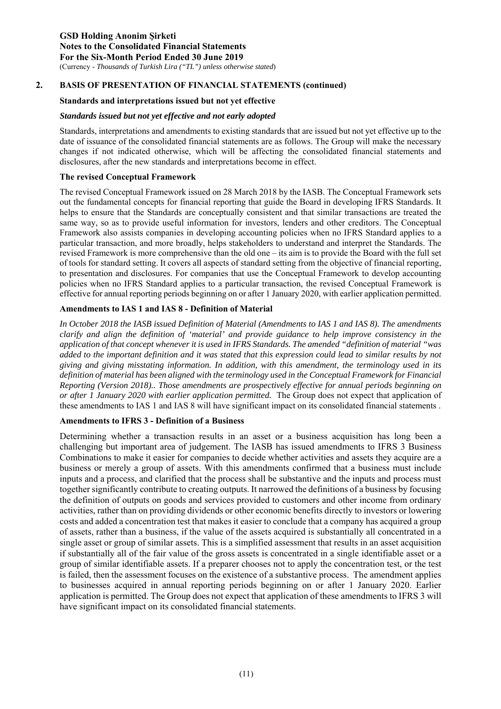#### **Standards and interpretations issued but not yet effective**

#### *Standards issued but not yet effective and not early adopted*

Standards, interpretations and amendments to existing standards that are issued but not yet effective up to the date of issuance of the consolidated financial statements are as follows. The Group will make the necessary changes if not indicated otherwise, which will be affecting the consolidated financial statements and disclosures, after the new standards and interpretations become in effect.

#### **The revised Conceptual Framework**

The revised Conceptual Framework issued on 28 March 2018 by the IASB. The Conceptual Framework sets out the fundamental concepts for financial reporting that guide the Board in developing IFRS Standards. It helps to ensure that the Standards are conceptually consistent and that similar transactions are treated the same way, so as to provide useful information for investors, lenders and other creditors. The Conceptual Framework also assists companies in developing accounting policies when no IFRS Standard applies to a particular transaction, and more broadly, helps stakeholders to understand and interpret the Standards. The revised Framework is more comprehensive than the old one – its aim is to provide the Board with the full set of tools for standard setting. It covers all aspects of standard setting from the objective of financial reporting, to presentation and disclosures. For companies that use the Conceptual Framework to develop accounting policies when no IFRS Standard applies to a particular transaction, the revised Conceptual Framework is effective for annual reporting periods beginning on or after 1 January 2020, with earlier application permitted.

#### **Amendments to IAS 1 and IAS 8 - Definition of Material**

*In October 2018 the IASB issued Definition of Material (Amendments to IAS 1 and IAS 8). The amendments clarify and align the definition of 'material' and provide guidance to help improve consistency in the application of that concept whenever it is used in IFRS Standards. The amended "definition of material "was added to the important definition and it was stated that this expression could lead to similar results by not giving and giving misstating information. In addition, with this amendment, the terminology used in its definition of material has been aligned with the terminology used in the Conceptual Framework for Financial Reporting (Version 2018).. Those amendments are prospectively effective for annual periods beginning on or after 1 January 2020 with earlier application permitted.* The Group does not expect that application of these amendments to IAS 1 and IAS 8 will have significant impact on its consolidated financial statements .

#### **Amendments to IFRS 3 - Definition of a Business**

Determining whether a transaction results in an asset or a business acquisition has long been a challenging but important area of judgement. The IASB has issued amendments to IFRS 3 Business Combinations to make it easier for companies to decide whether activities and assets they acquire are a business or merely a group of assets. With this amendments confirmed that a business must include inputs and a process, and clarified that the process shall be substantive and the inputs and process must together significantly contribute to creating outputs. It narrowed the definitions of a business by focusing the definition of outputs on goods and services provided to customers and other income from ordinary activities, rather than on providing dividends or other economic benefits directly to investors or lowering costs and added a concentration test that makes it easier to conclude that a company has acquired a group of assets, rather than a business, if the value of the assets acquired is substantially all concentrated in a single asset or group of similar assets. This is a simplified assessment that results in an asset acquisition if substantially all of the fair value of the gross assets is concentrated in a single identifiable asset or a group of similar identifiable assets. If a preparer chooses not to apply the concentration test, or the test is failed, then the assessment focuses on the existence of a substantive process. The amendment applies to businesses acquired in annual reporting periods beginning on or after 1 January 2020. Earlier application is permitted. The Group does not expect that application of these amendments to IFRS 3 will have significant impact on its consolidated financial statements.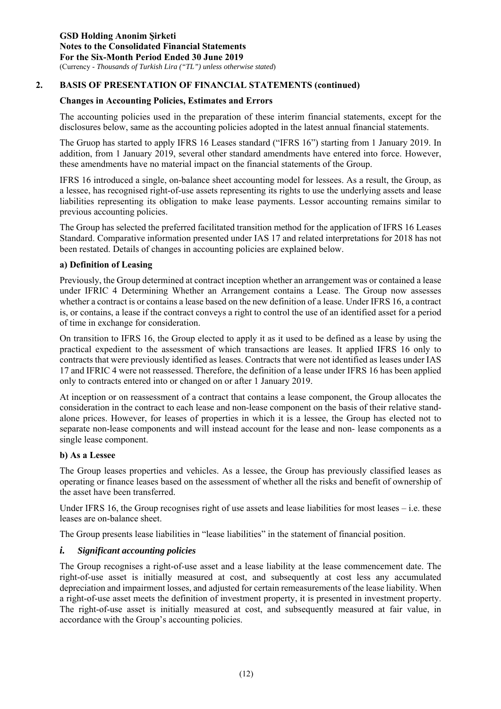#### **Changes in Accounting Policies, Estimates and Errors**

The accounting policies used in the preparation of these interim financial statements, except for the disclosures below, same as the accounting policies adopted in the latest annual financial statements.

The Gruop has started to apply IFRS 16 Leases standard ("IFRS 16") starting from 1 January 2019. In addition, from 1 January 2019, several other standard amendments have entered into force. However, these amendments have no material impact on the financial statements of the Group.

IFRS 16 introduced a single, on-balance sheet accounting model for lessees. As a result, the Group, as a lessee, has recognised right-of-use assets representing its rights to use the underlying assets and lease liabilities representing its obligation to make lease payments. Lessor accounting remains similar to previous accounting policies.

The Group has selected the preferred facilitated transition method for the application of IFRS 16 Leases Standard. Comparative information presented under IAS 17 and related interpretations for 2018 has not been restated. Details of changes in accounting policies are explained below.

#### **a) Definition of Leasing**

Previously, the Group determined at contract inception whether an arrangement was or contained a lease under IFRIC 4 Determining Whether an Arrangement contains a Lease. The Group now assesses whether a contract is or contains a lease based on the new definition of a lease. Under IFRS 16, a contract is, or contains, a lease if the contract conveys a right to control the use of an identified asset for a period of time in exchange for consideration.

On transition to IFRS 16, the Group elected to apply it as it used to be defined as a lease by using the practical expedient to the assessment of which transactions are leases. It applied IFRS 16 only to contracts that were previously identified as leases. Contracts that were not identified as leases under IAS 17 and IFRIC 4 were not reassessed. Therefore, the definition of a lease under IFRS 16 has been applied only to contracts entered into or changed on or after 1 January 2019.

At inception or on reassessment of a contract that contains a lease component, the Group allocates the consideration in the contract to each lease and non-lease component on the basis of their relative standalone prices. However, for leases of properties in which it is a lessee, the Group has elected not to separate non-lease components and will instead account for the lease and non- lease components as a single lease component.

#### **b) As a Lessee**

The Group leases properties and vehicles. As a lessee, the Group has previously classified leases as operating or finance leases based on the assessment of whether all the risks and benefit of ownership of the asset have been transferred.

Under IFRS 16, the Group recognises right of use assets and lease liabilities for most leases  $-$  i.e. these leases are on-balance sheet.

The Group presents lease liabilities in "lease liabilities" in the statement of financial position.

#### *i. Significant accounting policies*

The Group recognises a right-of-use asset and a lease liability at the lease commencement date. The right-of-use asset is initially measured at cost, and subsequently at cost less any accumulated depreciation and impairment losses, and adjusted for certain remeasurements of the lease liability. When a right-of-use asset meets the definition of investment property, it is presented in investment property. The right-of-use asset is initially measured at cost, and subsequently measured at fair value, in accordance with the Group's accounting policies.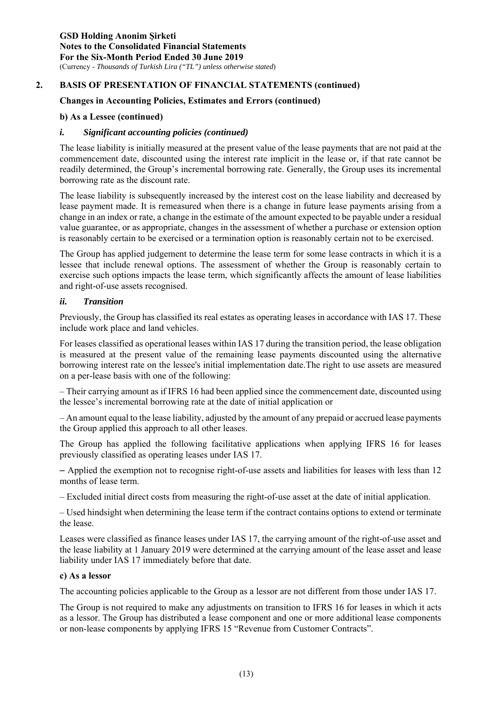#### **Changes in Accounting Policies, Estimates and Errors (continued)**

#### **b) As a Lessee (continued)**

#### *i. Significant accounting policies (continued)*

The lease liability is initially measured at the present value of the lease payments that are not paid at the commencement date, discounted using the interest rate implicit in the lease or, if that rate cannot be readily determined, the Group's incremental borrowing rate. Generally, the Group uses its incremental borrowing rate as the discount rate.

The lease liability is subsequently increased by the interest cost on the lease liability and decreased by lease payment made. It is remeasured when there is a change in future lease payments arising from a change in an index or rate, a change in the estimate of the amount expected to be payable under a residual value guarantee, or as appropriate, changes in the assessment of whether a purchase or extension option is reasonably certain to be exercised or a termination option is reasonably certain not to be exercised.

The Group has applied judgement to determine the lease term for some lease contracts in which it is a lessee that include renewal options. The assessment of whether the Group is reasonably certain to exercise such options impacts the lease term, which significantly affects the amount of lease liabilities and right-of-use assets recognised.

#### *ii. Transition*

Previously, the Group has classified its real estates as operating leases in accordance with IAS 17. These include work place and land vehicles.

For leases classified as operational leases within IAS 17 during the transition period, the lease obligation is measured at the present value of the remaining lease payments discounted using the alternative borrowing interest rate on the lessee's initial implementation date.The right to use assets are measured on a per-lease basis with one of the following:

– Their carrying amount as if IFRS 16 had been applied since the commencement date, discounted using the lessee's incremental borrowing rate at the date of initial application or

– An amount equal to the lease liability, adjusted by the amount of any prepaid or accrued lease payments the Group applied this approach to all other leases.

The Group has applied the following facilitative applications when applying IFRS 16 for leases previously classified as operating leases under IAS 17.

– Applied the exemption not to recognise right-of-use assets and liabilities for leases with less than 12 months of lease term.

– Excluded initial direct costs from measuring the right-of-use asset at the date of initial application.

– Used hindsight when determining the lease term if the contract contains options to extend or terminate the lease.

Leases were classified as finance leases under IAS 17, the carrying amount of the right-of-use asset and the lease liability at 1 January 2019 were determined at the carrying amount of the lease asset and lease liability under IAS 17 immediately before that date.

#### **c) As a lessor**

The accounting policies applicable to the Group as a lessor are not different from those under IAS 17.

The Group is not required to make any adjustments on transition to IFRS 16 for leases in which it acts as a lessor. The Group has distributed a lease component and one or more additional lease components or non-lease components by applying IFRS 15 "Revenue from Customer Contracts".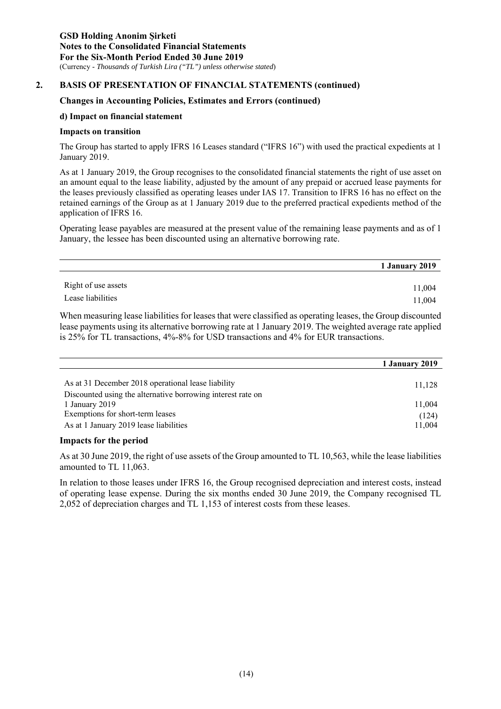#### **Changes in Accounting Policies, Estimates and Errors (continued)**

#### **d) Impact on financial statement**

#### **Impacts on transition**

The Group has started to apply IFRS 16 Leases standard ("IFRS 16") with used the practical expedients at 1 January 2019.

As at 1 January 2019, the Group recognises to the consolidated financial statements the right of use asset on an amount equal to the lease liability, adjusted by the amount of any prepaid or accrued lease payments for the leases previously classified as operating leases under IAS 17. Transition to IFRS 16 has no effect on the retained earnings of the Group as at 1 January 2019 due to the preferred practical expedients method of the application of IFRS 16.

Operating lease payables are measured at the present value of the remaining lease payments and as of 1 January, the lessee has been discounted using an alternative borrowing rate.

|                     | 1 January 2019 |
|---------------------|----------------|
|                     |                |
| Right of use assets | 11,004         |
| Lease liabilities   | 11,004         |

When measuring lease liabilities for leases that were classified as operating leases, the Group discounted lease payments using its alternative borrowing rate at 1 January 2019. The weighted average rate applied is 25% for TL transactions, 4%-8% for USD transactions and 4% for EUR transactions.

|                                                             | 1 January 2019 |
|-------------------------------------------------------------|----------------|
|                                                             |                |
| As at 31 December 2018 operational lease liability          | 11,128         |
| Discounted using the alternative borrowing interest rate on |                |
| 1 January 2019                                              | 11,004         |
| Exemptions for short-term leases                            | (124)          |
| As at 1 January 2019 lease liabilities                      | 11,004         |

#### **Impacts for the period**

As at 30 June 2019, the right of use assets of the Group amounted to TL 10,563, while the lease liabilities amounted to TL 11,063.

In relation to those leases under IFRS 16, the Group recognised depreciation and interest costs, instead of operating lease expense. During the six months ended 30 June 2019, the Company recognised TL 2,052 of depreciation charges and TL 1,153 of interest costs from these leases.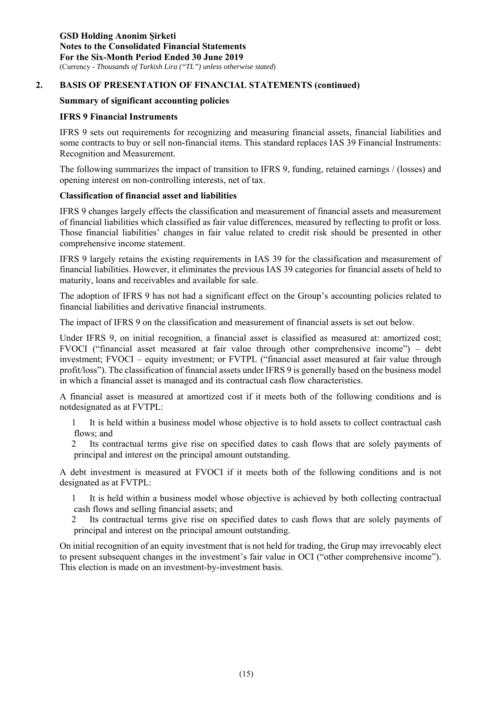#### **Summary of significant accounting policies**

#### **IFRS 9 Financial Instruments**

IFRS 9 sets out requirements for recognizing and measuring financial assets, financial liabilities and some contracts to buy or sell non-financial items. This standard replaces IAS 39 Financial Instruments: Recognition and Measurement.

The following summarizes the impact of transition to IFRS 9, funding, retained earnings / (losses) and opening interest on non-controlling interests, net of tax.

#### **Classification of financial asset and liabilities**

IFRS 9 changes largely effects the classification and measurement of financial assets and measurement of financial liabilities which classified as fair value differences, measured by reflecting to profit or loss. Those financial liabilities' changes in fair value related to credit risk should be presented in other comprehensive income statement.

IFRS 9 largely retains the existing requirements in IAS 39 for the classification and measurement of financial liabilities. However, it eliminates the previous IAS 39 categories for financial assets of held to maturity, loans and receivables and available for sale.

The adoption of IFRS 9 has not had a significant effect on the Group's accounting policies related to financial liabilities and derivative financial instruments.

The impact of IFRS 9 on the classification and measurement of financial assets is set out below.

Under IFRS 9, on initial recognition, a financial asset is classified as measured at: amortized cost; FVOCI ("financial asset measured at fair value through other comprehensive income") – debt investment; FVOCI – equity investment; or FVTPL ("financial asset measured at fair value through profit/loss"). The classification of financial assets under IFRS 9 is generally based on the business model in which a financial asset is managed and its contractual cash flow characteristics.

A financial asset is measured at amortized cost if it meets both of the following conditions and is notdesignated as at FVTPL:

1 It is held within a business model whose objective is to hold assets to collect contractual cash flows; and

2 Its contractual terms give rise on specified dates to cash flows that are solely payments of principal and interest on the principal amount outstanding.

A debt investment is measured at FVOCI if it meets both of the following conditions and is not designated as at FVTPL:

1 It is held within a business model whose objective is achieved by both collecting contractual cash flows and selling financial assets; and

2 Its contractual terms give rise on specified dates to cash flows that are solely payments of principal and interest on the principal amount outstanding.

On initial recognition of an equity investment that is not held for trading, the Grup may irrevocably elect to present subsequent changes in the investment's fair value in OCI ("other comprehensive income"). This election is made on an investment-by-investment basis.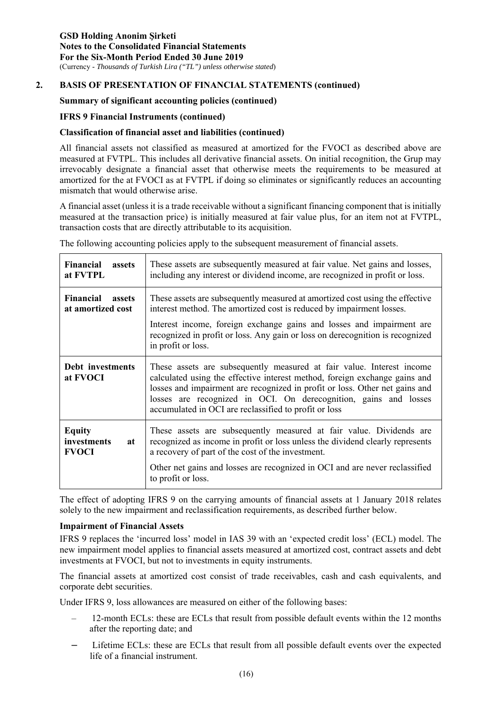#### **Summary of significant accounting policies (continued)**

#### **IFRS 9 Financial Instruments (continued)**

#### **Classification of financial asset and liabilities (continued)**

All financial assets not classified as measured at amortized for the FVOCI as described above are measured at FVTPL. This includes all derivative financial assets. On initial recognition, the Grup may irrevocably designate a financial asset that otherwise meets the requirements to be measured at amortized for the at FVOCI as at FVTPL if doing so eliminates or significantly reduces an accounting mismatch that would otherwise arise.

A financial asset (unless it is a trade receivable without a significant financing component that is initially measured at the transaction price) is initially measured at fair value plus, for an item not at FVTPL, transaction costs that are directly attributable to its acquisition.

The following accounting policies apply to the subsequent measurement of financial assets.

| Financial<br>assets<br>at FVTPL                        | These assets are subsequently measured at fair value. Net gains and losses,<br>including any interest or dividend income, are recognized in profit or loss.                                                                                                                                                                                                     |
|--------------------------------------------------------|-----------------------------------------------------------------------------------------------------------------------------------------------------------------------------------------------------------------------------------------------------------------------------------------------------------------------------------------------------------------|
| <b>Financial</b><br><b>assets</b><br>at amortized cost | These assets are subsequently measured at amortized cost using the effective<br>interest method. The amortized cost is reduced by impairment losses.                                                                                                                                                                                                            |
|                                                        | Interest income, foreign exchange gains and losses and impairment are<br>recognized in profit or loss. Any gain or loss on derecognition is recognized<br>in profit or loss.                                                                                                                                                                                    |
| Debt investments<br>at FVOCI                           | These assets are subsequently measured at fair value. Interest income<br>calculated using the effective interest method, foreign exchange gains and<br>losses and impairment are recognized in profit or loss. Other net gains and<br>losses are recognized in OCI. On derecognition, gains and losses<br>accumulated in OCI are reclassified to profit or loss |
| <b>Equity</b><br>investments<br>at<br><b>FVOCI</b>     | These assets are subsequently measured at fair value. Dividends are<br>recognized as income in profit or loss unless the dividend clearly represents<br>a recovery of part of the cost of the investment.                                                                                                                                                       |
|                                                        | Other net gains and losses are recognized in OCI and are never reclassified<br>to profit or loss.                                                                                                                                                                                                                                                               |

The effect of adopting IFRS 9 on the carrying amounts of financial assets at 1 January 2018 relates solely to the new impairment and reclassification requirements, as described further below.

#### **Impairment of Financial Assets**

IFRS 9 replaces the 'incurred loss' model in IAS 39 with an 'expected credit loss' (ECL) model. The new impairment model applies to financial assets measured at amortized cost, contract assets and debt investments at FVOCI, but not to investments in equity instruments.

The financial assets at amortized cost consist of trade receivables, cash and cash equivalents, and corporate debt securities.

Under IFRS 9, loss allowances are measured on either of the following bases:

- 12-month ECLs: these are ECLs that result from possible default events within the 12 months after the reporting date; and
- Lifetime ECLs: these are ECLs that result from all possible default events over the expected life of a financial instrument.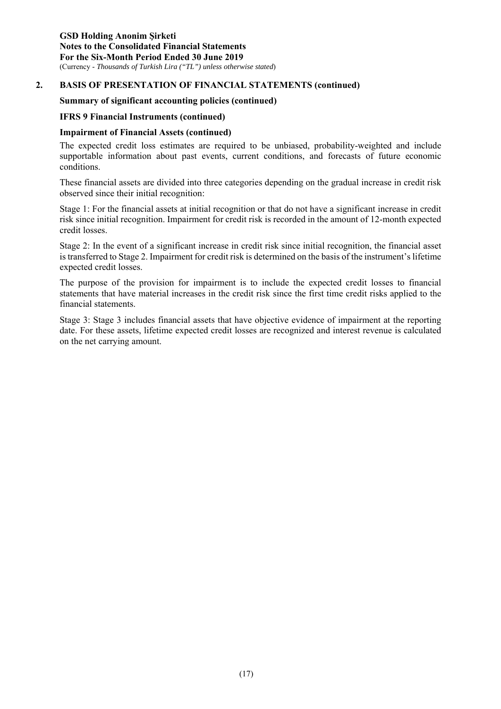#### **Summary of significant accounting policies (continued)**

#### **IFRS 9 Financial Instruments (continued)**

#### **Impairment of Financial Assets (continued)**

The expected credit loss estimates are required to be unbiased, probability-weighted and include supportable information about past events, current conditions, and forecasts of future economic conditions.

These financial assets are divided into three categories depending on the gradual increase in credit risk observed since their initial recognition:

Stage 1: For the financial assets at initial recognition or that do not have a significant increase in credit risk since initial recognition. Impairment for credit risk is recorded in the amount of 12-month expected credit losses.

Stage 2: In the event of a significant increase in credit risk since initial recognition, the financial asset is transferred to Stage 2. Impairment for credit risk is determined on the basis of the instrument's lifetime expected credit losses.

The purpose of the provision for impairment is to include the expected credit losses to financial statements that have material increases in the credit risk since the first time credit risks applied to the financial statements.

Stage 3: Stage 3 includes financial assets that have objective evidence of impairment at the reporting date. For these assets, lifetime expected credit losses are recognized and interest revenue is calculated on the net carrying amount.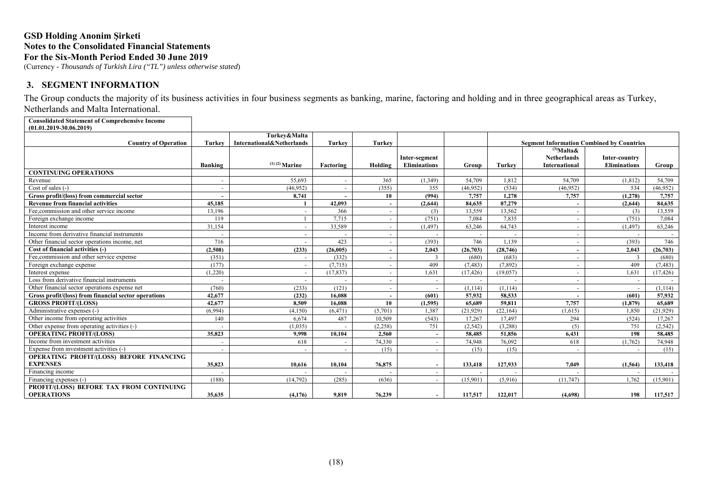(Currency - *Thousands of Turkish Lira ("TL") unless otherwise stated*)

#### **3. SEGMENT INFORMATION**

The Group conducts the majority of its business activities in four business segments as banking, marine, factoring and holding and in three geographical areas as Turkey, Netherlands and Malta International.

**Consolidated Statement of Comprehensive Income (01.01.2019-30.06.2019)**

|                                                      |                          | Turkey&Malta              |               |                          |                     |           |               |                                                  |                          |           |
|------------------------------------------------------|--------------------------|---------------------------|---------------|--------------------------|---------------------|-----------|---------------|--------------------------------------------------|--------------------------|-----------|
| <b>Country of Operation</b>                          | Turkey                   | International&Netherlands | <b>Turkev</b> | <b>Turkey</b>            |                     |           |               | <b>Segment Information Combined by Countries</b> |                          |           |
|                                                      |                          |                           |               |                          |                     |           |               | $^{(3)}$ Malta&                                  |                          |           |
|                                                      |                          |                           |               |                          | Inter-segment       |           |               | <b>Netherlands</b>                               | Inter-country            |           |
|                                                      | Banking                  | $(1)$ (2) Marine          | Factoring     | Holding                  | <b>Eliminations</b> | Group     | <b>Turkey</b> | <b>International</b>                             | <b>Eliminations</b>      | Group     |
| <b>CONTINUING OPERATIONS</b>                         |                          |                           |               |                          |                     |           |               |                                                  |                          |           |
| Revenue                                              |                          | 55.693                    |               | 365                      | (1,349)             | 54,709    | 1.812         | 54.709                                           | (1, 812)                 | 54,709    |
| Cost of sales $(-)$                                  |                          | (46.952)                  |               | (355)                    | 355                 | (46.952)  | (534)         | (46,952)                                         | 534                      | (46.952)  |
| Gross profit/(loss) from commercial sector           |                          | 8,741                     |               | 10                       | (994)               | 7,757     | 1,278         | 7,757                                            | (1,278)                  | 7,757     |
| <b>Revenue from financial activities</b>             | 45.185                   |                           | 42,093        |                          | (2.644)             | 84.635    | 87,279        |                                                  | (2.644)                  | 84.635    |
| Fee.commission and other service income              | 13.196                   |                           | 366           |                          | (3)                 | 13,559    | 13,562        |                                                  | (3)                      | 13,559    |
| Foreign exchange income                              | 119                      |                           | 7.715         | $\sim$                   | (751)               | 7.084     | 7.835         | $\sim$                                           | (751)                    | 7,084     |
| Interest income                                      | 31.154                   |                           | 33,589        |                          | (1, 497)            | 63.246    | 64,743        | $\sim$                                           | (1, 497)                 | 63,246    |
| Income from derivative financial instruments         |                          | $\sim$                    |               | $\overline{\phantom{a}}$ | $\sim$              |           |               | $\sim$                                           |                          |           |
| Other financial sector operations income, net        | 716                      |                           | 423           | $\blacksquare$           | (393)               | 746       | 1.139         | $\overline{\phantom{a}}$                         | (393)                    | 746       |
| Cost of financial activities (-)                     | (2,508)                  | (233)                     | (26.005)      |                          | 2.043               | (26,703)  | (28,746)      |                                                  | 2.043                    | (26,703)  |
| Fee, commission and other service expense            | (351)                    |                           | (332)         |                          | 3                   | (680)     | (683)         |                                                  | 3                        | (680)     |
| Foreign exchange expense                             | (177)                    | $\sim$                    | (7.715)       | $\sim$                   | 409                 | (7.483)   | (7.892)       | $\overline{\phantom{a}}$                         | 409                      | (7.483)   |
| Interest expense                                     | (1,220)                  | $\sim$                    | (17, 837)     | $\sim$                   | 1.631               | (17, 426) | (19,057)      | $\sim$                                           | 1.631                    | (17, 426) |
| Loss from derivative financial instruments           |                          |                           |               |                          |                     |           |               |                                                  |                          |           |
| Other financial sector operations expense net        | (760)                    | (233)                     | (121)         |                          |                     | (1,114)   | (1.114)       | $\overline{\phantom{a}}$                         |                          | (1, 114)  |
| Gross profit/(loss) from financial sector operations | 42,677                   | (232)                     | 16.088        |                          | (601)               | 57,932    | 58,533        | $\sim$                                           | (601)                    | 57,932    |
| <b>GROSS PROFIT/(LOSS)</b>                           | 42,677                   | 8.509                     | 16.088        | 10                       | (1,595)             | 65.689    | 59.811        | 7,757                                            | (1,879)                  | 65,689    |
| Administrative expenses (-)                          | (6,994)                  | (4,150)                   | (6, 471)      | (5,701)                  | 1.387               | (21, 929) | (22, 164)     | (1.615)                                          | 1.850                    | (21,929)  |
| Other income from operating activities               | 140                      | 6,674                     | 487           | 10.509                   | (543)               | 17,267    | 17,497        | 294                                              | (524)                    | 17,267    |
| Other expense from operating activities (-)          |                          | (1,035)                   |               | (2,258)                  | 751                 | (2,542)   | (3,288)       | (5)                                              | 751                      | (2,542)   |
| <b>OPERATING PROFIT/(LOSS)</b>                       | 35,823                   | 9,998                     | 10.104        | 2,560                    | $\blacksquare$      | 58,485    | 51,856        | 6,431                                            | 198                      | 58,485    |
| Income from investment activities                    |                          | 618                       |               | 74,330                   | $\sim$              | 74,948    | 76,092        | 618                                              | (1,762)                  | 74,948    |
| Expense from investment activities (-)               | $\overline{\phantom{a}}$ |                           |               | (15)                     | $\sim$              | (15)      | (15)          |                                                  | $\overline{\phantom{a}}$ | (15)      |
| OPERATING PROFIT/(LOSS) BEFORE FINANCING             |                          |                           |               |                          |                     |           |               |                                                  |                          |           |
| <b>EXPENSES</b>                                      | 35,823                   | 10.616                    | 10.104        | 76,875                   | $\sim$              | 133,418   | 127,933       | 7.049                                            | (1, 564)                 | 133,418   |
| Financing income                                     |                          |                           |               |                          |                     |           |               |                                                  |                          |           |
| Financing expenses (-)                               | (188)                    | (14, 792)                 | (285)         | (636)                    | $\sim$              | (15,901)  | (5,916)       | (11,747)                                         | 1.762                    | (15,901)  |
| PROFIT/(LOSS) BEFORE TAX FROM CONTINUING             |                          |                           |               |                          |                     |           |               |                                                  |                          |           |
| <b>OPERATIONS</b>                                    | 35,635                   | (4,176)                   | 9.819         | 76,239                   |                     | 117,517   | 122,017       | (4,698)                                          | 198                      | 117,517   |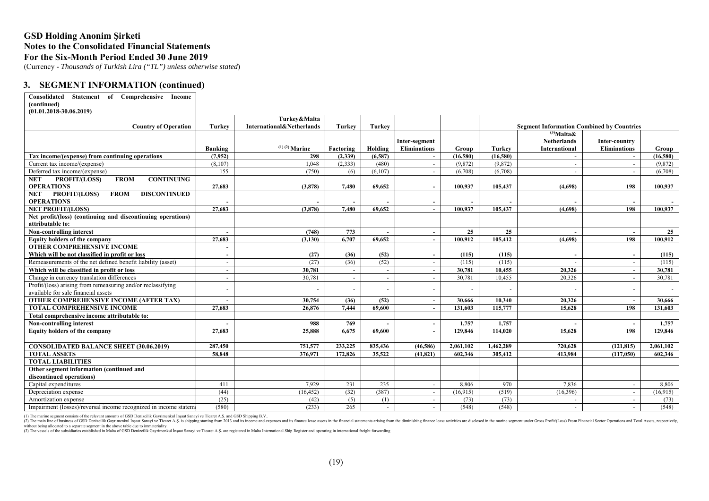(Currency - *Thousands of Turkish Lira ("TL") unless otherwise stated*)

#### **3. SEGMENT INFORMATION (continued)**

| Consolidated<br>Statement of Comprehensive<br>Income<br>(continued) |                |                           |               |         |                     |           |           |                                                  |                     |           |
|---------------------------------------------------------------------|----------------|---------------------------|---------------|---------|---------------------|-----------|-----------|--------------------------------------------------|---------------------|-----------|
| $(01.01.2018 - 30.06.2019)$                                         |                |                           |               |         |                     |           |           |                                                  |                     |           |
|                                                                     |                | Turkey&Malta              |               |         |                     |           |           |                                                  |                     |           |
| <b>Country of Operation</b>                                         | <b>Turkey</b>  | International&Netherlands | <b>Turkey</b> | Turkey  |                     |           |           | <b>Segment Information Combined by Countries</b> |                     |           |
|                                                                     |                |                           |               |         |                     |           |           | $\overline{^{(3)}}$ Malta&                       |                     |           |
|                                                                     |                |                           |               |         | Inter-segment       |           |           | <b>Netherlands</b>                               | Inter-country       |           |
|                                                                     | Banking        | $(1)$ (2) Marine          | Factoring     | Holding | <b>Eliminations</b> | Group     | Turkev    | International                                    | <b>Eliminations</b> | Group     |
| Tax income/(expense) from continuing operations                     | (7,952)        | 298                       | (2,339)       | (6,587) |                     | (16,580)  | (16,580)  |                                                  |                     | (16,580)  |
| Current tax income/(expense)                                        | (8,107)        | 1,048                     | (2,333)       | (480)   |                     | (9,872)   | (9,872)   |                                                  |                     | (9,872)   |
| Deferred tax income/(expense)                                       | 155            | (750)                     | (6)           | (6,107) |                     | (6,708)   | (6,708)   |                                                  |                     | (6.708)   |
| <b>NET</b><br>PROFIT/(LOSS)<br><b>FROM</b><br><b>CONTINUING</b>     |                |                           |               |         |                     |           |           |                                                  |                     |           |
| <b>OPERATIONS</b>                                                   | 27,683         | (3,878)                   | 7.480         | 69.652  |                     | 100.937   | 105,437   | (4.698)                                          | 198                 | 100.937   |
| PROFIT/(LOSS)<br><b>FROM</b><br><b>DISCONTINUED</b><br><b>NET</b>   |                |                           |               |         |                     |           |           |                                                  |                     |           |
| <b>OPERATIONS</b>                                                   |                |                           |               |         |                     |           |           |                                                  |                     |           |
| <b>NET PROFIT/(LOSS)</b>                                            | 27,683         | (3,878)                   | 7.480         | 69.652  | $\sim$              | 100,937   | 105.437   | (4,698)                                          | 198                 | 100,937   |
| Net profit/(loss) (continuing and discontinuing operations)         |                |                           |               |         |                     |           |           |                                                  |                     |           |
| attributable to:                                                    |                |                           |               |         |                     |           |           |                                                  |                     |           |
| Non-controlling interest                                            |                | (748)                     | 773           |         |                     | 25        | 25        |                                                  |                     | 25        |
| <b>Equity holders of the company</b>                                | 27,683         | (3, 130)                  | 6.707         | 69.652  |                     | 100.912   | 105,412   | (4,698)                                          | 198                 | 100.912   |
| <b>OTHER COMPREHENSIVE INCOME</b>                                   |                |                           |               |         |                     |           |           |                                                  |                     |           |
| Which will be not classified in profit or loss                      | $\blacksquare$ | (27)                      | (36)          | (52)    |                     | (115)     | (115)     |                                                  |                     | (115)     |
| Remeasurements of the net defined benefit liability (asset)         | $\sim$         | (27)                      | (36)          | (52)    |                     | (115)     | (115)     |                                                  |                     | (115)     |
| Which will be classified in profit or loss                          | $\sim$         | 30,781                    |               |         |                     | 30,781    | 10,455    | 20,326                                           |                     | 30,781    |
| Change in currency translation differences                          | $\sim$         | 30,781                    |               |         |                     | 30,781    | 10,455    | 20,326                                           |                     | 30,781    |
| Profit/(loss) arising from remeasuring and/or reclassifying         |                |                           |               |         |                     |           |           |                                                  |                     |           |
| available for sale financial assets                                 |                |                           |               |         |                     |           |           |                                                  |                     |           |
| <b>OTHER COMPREHENSIVE INCOME (AFTER TAX)</b>                       |                | 30,754                    | (36)          | (52)    |                     | 30,666    | 10,340    | 20,326                                           |                     | 30,666    |
| TOTAL COMPREHENSIVE INCOME                                          | 27,683         | 26,876                    | 7.444         | 69.600  |                     | 131.603   | 115,777   | 15.628                                           | 198                 | 131.603   |
| Total comprehensive income attributable to:                         |                |                           |               |         |                     |           |           |                                                  |                     |           |
| Non-controlling interest                                            |                | 988                       | 769           |         | $\overline{a}$      | 1,757     | 1,757     |                                                  | $\sim$              | 1,757     |
| <b>Equity holders of the company</b>                                | 27,683         | 25,888                    | 6.675         | 69.600  |                     | 129,846   | 114,020   | 15.628                                           | 198                 | 129,846   |
|                                                                     |                |                           |               |         |                     |           |           |                                                  |                     |           |
| <b>CONSOLIDATED BALANCE SHEET (30.06.2019)</b>                      | 287,450        | 751,577                   | 233,225       | 835,436 | (46,586)            | 2,061,102 | 1,462,289 | 720.628                                          | (121, 815)          | 2,061,102 |
| <b>TOTAL ASSETS</b>                                                 | 58,848         | 376,971                   | 172,826       | 35,522  | (41, 821)           | 602,346   | 305,412   | 413,984                                          | (117,050)           | 602,346   |
| <b>TOTAL LIABILITIES</b>                                            |                |                           |               |         |                     |           |           |                                                  |                     |           |
| Other segment information (continued and                            |                |                           |               |         |                     |           |           |                                                  |                     |           |
| discontinued operations)                                            |                |                           |               |         |                     |           |           |                                                  |                     |           |
| Capital expenditures                                                | 411            | 7.929                     | 231           | 235     |                     | 8,806     | 970       | 7.836                                            |                     | 8,806     |
| Depreciation expense                                                | (44)           | (16, 452)                 | (32)          | (387)   | $\sim$              | (16,915)  | (519)     | (16,396)                                         | $\sim$              | (16,915)  |
| Amortization expense                                                | (25)           | (42)                      | (5)           | (1)     | $\sim$              | (73)      | (73)      | $\sim$                                           | $\sim$              | (73)      |
| Impairment (losses)/reversal income recognized in income statem     | (580)          | (233)                     | 265           | $\sim$  |                     | (548)     | (548)     |                                                  |                     | (548)     |

(1) The marine segment consists of the relevant amounts of GSD Denizcilik Gayrimenkul Insaat Sanayi ve Ticaret A.S. and GSD Shipping B.V..<br>(2) The main line of business of GSD Denizcilik Gayrimenkul Insat Sanayi ve Ticaret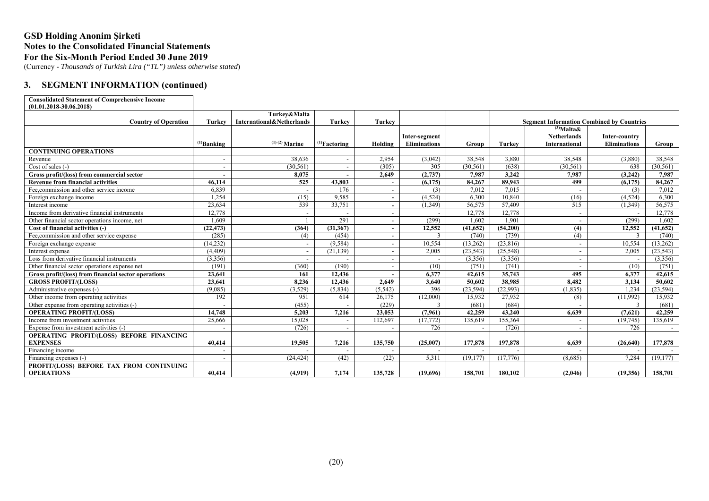(Currency - *Thousands of Turkish Lira ("TL") unless otherwise stated*)

#### **3. SEGMENT INFORMATION (continued)**

#### **Consolidated Statement of Comprehensive Income (01.01.2018-30.06.2018)**

| $(01.01.2010 - 30.00.2010)$                          |                          |                           |                    |                          |                     |                          |               |                                                                     |                     |           |
|------------------------------------------------------|--------------------------|---------------------------|--------------------|--------------------------|---------------------|--------------------------|---------------|---------------------------------------------------------------------|---------------------|-----------|
|                                                      |                          | Turkey&Malta              |                    |                          |                     |                          |               |                                                                     |                     |           |
| <b>Country of Operation</b>                          | Turkey                   | International&Netherlands | <b>Turkey</b>      | <b>Turkey</b>            |                     |                          |               | <b>Segment Information Combined by Countries</b><br>$^{(3)}$ Malta& |                     |           |
|                                                      |                          |                           |                    |                          | Inter-segment       |                          |               | <b>Netherlands</b>                                                  | Inter-country       |           |
|                                                      | $^{(1)}$ Banking         | $(1)(2)$ Marine           | $^{(1)}$ Factoring | Holding                  | <b>Eliminations</b> | Group                    | <b>Turkey</b> | <b>International</b>                                                | <b>Eliminations</b> | Group     |
| <b>CONTINUING OPERATIONS</b>                         |                          |                           |                    |                          |                     |                          |               |                                                                     |                     |           |
| Revenue                                              | $\overline{\phantom{a}}$ | 38.636                    |                    | 2,954                    | (3,042)             | 38,548                   | 3,880         | 38,548                                                              | (3,880)             | 38,548    |
| Cost of sales (-)                                    | $\overline{\phantom{a}}$ | (30, 561)                 |                    | (305)                    | 305                 | (30, 561)                | (638)         | (30, 561)                                                           | 638                 | (30, 561) |
| Gross profit/(loss) from commercial sector           |                          | 8,075                     |                    | 2.649                    | (2,737)             | 7.987                    | 3,242         | 7.987                                                               | (3,242)             | 7,987     |
| <b>Revenue from financial activities</b>             | 46,114                   | 525                       | 43,803             | $\overline{\phantom{a}}$ | (6,175)             | 84,267                   | 89.943        | 499                                                                 | (6, 175)            | 84,267    |
| Fee, commission and other service income             | 6,839                    | $\overline{\phantom{a}}$  | 176                | $\overline{\phantom{0}}$ | (3)                 | 7,012                    | 7.015         |                                                                     | (3)                 | 7,012     |
| Foreign exchange income                              | 1.254                    | (15)                      | 9,585              | $\sim$                   | (4,524)             | 6.300                    | 10.840        | (16)                                                                | (4.524)             | 6,300     |
| Interest income                                      | 23,634                   | 539                       | 33,751             | $\sim$                   | (1, 349)            | 56,575                   | 57,409        | 515                                                                 | (1, 349)            | 56,575    |
| Income from derivative financial instruments         | 12,778                   | $\overline{\phantom{a}}$  |                    |                          |                     | 12,778                   | 12,778        | $\overline{\phantom{a}}$                                            |                     | 12,778    |
| Other financial sector operations income, net        | 1.609                    |                           | 291                | $\overline{\phantom{a}}$ | (299)               | 1.602                    | 1.901         | $\overline{\phantom{a}}$                                            | (299)               | 1.602     |
| Cost of financial activities (-)                     | (22, 473)                | (364)                     | (31, 367)          | $\overline{\phantom{a}}$ | 12,552              | (41, 652)                | (54,200)      | (4)                                                                 | 12,552              | (41, 652) |
| Fee, commission and other service expense            | (285)                    | (4)                       | (454)              | $\overline{\phantom{a}}$ | $\mathbf{3}$        | (740)                    | (739)         | (4)                                                                 | $\mathcal{L}$       | (740)     |
| Foreign exchange expense                             | (14, 232)                | $\overline{\phantom{a}}$  | (9,584)            | $\overline{\phantom{a}}$ | 10,554              | (13,262)                 | (23,816)      |                                                                     | 10,554              | (13,262)  |
| Interest expense                                     | (4, 409)                 | $\overline{\phantom{a}}$  | (21, 139)          | $\sim$                   | 2,005               | (23, 543)                | (25,548)      | $\overline{\phantom{0}}$                                            | 2,005               | (23, 543) |
| Loss from derivative financial instruments           | (3,356)                  |                           |                    | $\overline{\phantom{0}}$ |                     | (3,356)                  | (3,356)       | $\overline{\phantom{a}}$                                            |                     | (3,356)   |
| Other financial sector operations expense net        | (191)                    | (360)                     | (190)              |                          | (10)                | (751)                    | (741)         |                                                                     | (10)                | (751)     |
| Gross profit/(loss) from financial sector operations | 23,641                   | 161                       | 12,436             |                          | 6,377               | 42,615                   | 35,743        | 495                                                                 | 6,377               | 42,615    |
| <b>GROSS PROFIT/(LOSS)</b>                           | 23,641                   | 8.236                     | 12,436             | 2.649                    | 3.640               | 50.602                   | 38,985        | 8.482                                                               | 3,134               | 50.602    |
| Administrative expenses (-)                          | (9,085)                  | (3,529)                   | (5,834)            | (5, 542)                 | 396                 | (23, 594)                | (22,993)      | (1, 835)                                                            | 1,234               | (23, 594) |
| Other income from operating activities               | 192                      | 951                       | 614                | 26,175                   | (12,000)            | 15,932                   | 27,932        | (8)                                                                 | (11,992)            | 15,932    |
| Other expense from operating activities (-)          |                          | (455)                     |                    | (229)                    | 3                   | (681)                    | (684)         |                                                                     | 3                   | (681)     |
| <b>OPERATING PROFIT/(LOSS)</b>                       | 14.748                   | 5,203                     | 7,216              | 23,053                   | (7,961)             | 42,259                   | 43,240        | 6.639                                                               | (7,621)             | 42,259    |
| Income from investment activities                    | 25,666                   | 15,028                    |                    | 112,697                  | (17,772)            | 135,619                  | 155,364       |                                                                     | (19,745)            | 135,619   |
| Expense from investment activities (-)               |                          | (726)                     |                    |                          | 726                 | $\overline{\phantom{a}}$ | (726)         |                                                                     | 726                 | $\sim$    |
| OPERATING PROFIT/(LOSS) BEFORE FINANCING             |                          |                           |                    |                          |                     |                          |               |                                                                     |                     |           |
| <b>EXPENSES</b>                                      | 40,414                   | 19,505                    | 7,216              | 135,750                  | (25,007)            | 177,878                  | 197,878       | 6,639                                                               | (26,640)            | 177,878   |
| Financing income                                     | $\overline{\phantom{a}}$ |                           |                    |                          |                     |                          |               |                                                                     |                     |           |
| Financing expenses (-)                               | $\overline{\phantom{a}}$ | (24.424)                  | (42)               | (22)                     | 5.311               | (19.177)                 | (17,776)      | (8.685)                                                             | 7.284               | (19.177)  |
| PROFIT/(LOSS) BEFORE TAX FROM CONTINUING             |                          |                           |                    |                          |                     |                          |               |                                                                     |                     |           |
| <b>OPERATIONS</b>                                    | 40.414                   | (4,919)                   | 7,174              | 135,728                  | (19,696)            | 158,701                  | 180.102       | (2,046)                                                             | (19,356)            | 158,701   |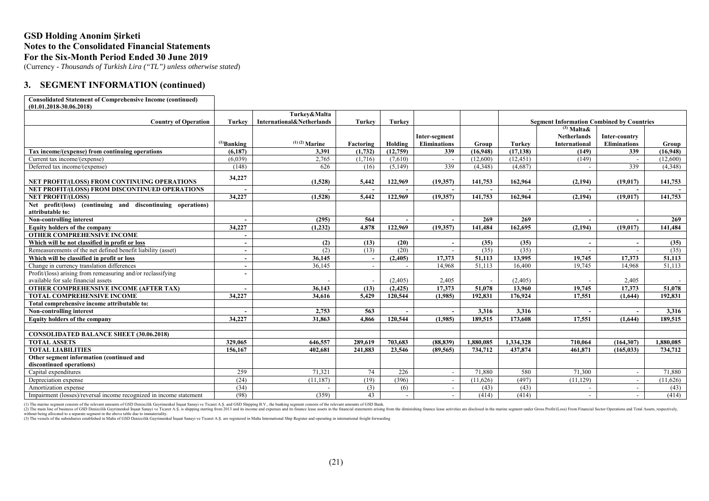(Currency - *Thousands of Turkish Lira ("TL") unless otherwise stated*)

#### **3. SEGMENT INFORMATION (continued)**

| <b>Consolidated Statement of Comprehensive Income (continued)</b> |  |
|-------------------------------------------------------------------|--|
|                                                                   |  |

| <b>Country of Operation</b><br>International&Netherlands<br><b>Turkey</b><br><b>Turkey</b><br><b>Segment Information Combined by Countries</b><br><b>Turkey</b><br>$^{(3)}$ Malta &<br><b>Netherlands</b><br>Inter-segment<br>Inter-country<br>$(1)$ (2) Marine<br>Holding<br><b>Eliminations</b><br><b>Eliminations</b><br>$^{(1)}$ Banking<br>Factoring<br>Group<br>Turkey<br>International<br>Group<br>Tax income/(expense) from continuing operations<br>(6,187)<br>3,391<br>(1,732)<br>(12,759)<br>339<br>(16,948)<br>(17, 138)<br>339<br>(149)<br>(16,948)<br>2,765<br>(12,600)<br>(12, 451)<br>(6,039)<br>(1,716)<br>(7,610)<br>(149)<br>(12,600)<br>Current tax income/(expense)<br>339<br>339<br>(4,348)<br>(4,687)<br>(4,348)<br>Deferred tax income/(expense)<br>(148)<br>626<br>(16)<br>(5,149)<br>34,227<br><b>NET PROFIT/(LOSS) FROM CONTINUING OPERATIONS</b><br>(1,528)<br>5,442<br>122,969<br>(19,357)<br>141,753<br>162.964<br>141,753<br>(2, 194)<br>(19, 017)<br>NET PROFIT/(LOSS) FROM DISCONTINUED OPERATIONS<br>34,227<br>122,969<br>(19,357)<br>141,753<br>141,753<br><b>NET PROFIT/(LOSS)</b><br>(1,528)<br>5,442<br>162,964<br>(2, 194)<br>(19, 017)<br>Net profit/(loss) (continuing and discontinuing operations)<br>attributable to:<br>269<br>Non-controlling interest<br>564<br>(295)<br>269<br>269<br>4,878<br>34,227<br>122,969<br>(19,357)<br>141,484<br>(1,232)<br>162,695<br>(2, 194)<br>(19, 017)<br>141,484<br>Equity holders of the company<br><b>OTHER COMPREHENSIVE INCOME</b><br>Which will be not classified in profit or loss<br>(2)<br>(13)<br>(20)<br>(35)<br>(35)<br>(35)<br>$\blacksquare$<br>Remeasurements of the net defined benefit liability (asset)<br>(2)<br>(20)<br>(35)<br>(13)<br>(35)<br>(35)<br>Which will be classified in profit or loss<br>36,145<br>17,373<br>51,113<br>13,995<br>(2,405)<br>19,745<br>17,373<br>51,113<br>$\overline{\phantom{a}}$<br>51,113<br>51,113<br>36,145<br>14,968<br>16,400<br>19.745<br>14,968<br>Change in currency translation differences<br>Profit/(loss) arising from remeasuring and/or reclassifying<br>available for sale financial assets<br>(2,405)<br>2,405<br>(2,405)<br>2,405<br><b>OTHER COMPREHENSIVE INCOME (AFTER TAX)</b><br>17,373<br>51,078<br>36,143<br>51,078<br>13.960<br>19.745<br>17.373<br>(13)<br>(2, 425)<br><b>TOTAL COMPREHENSIVE INCOME</b><br>34,227<br>34.616<br>5.429<br>120,544<br>(1.985)<br>192.831<br>176.924<br>17.551<br>192.831<br>(1.644)<br>Total comprehensive income attributable to:<br>2,753<br>563<br>3,316<br>3,316<br>Non-controlling interest<br>3,316<br>34,227<br>31,863<br>4.866<br>120,544<br>(1,985)<br>189,515<br>173,608<br>17,551<br>189,515<br>Equity holders of the company<br>(1,644)<br><b>CONSOLIDATED BALANCE SHEET (30.06.2018)</b><br>646,557<br>703,683<br>1,334,328<br>1,880,085<br><b>TOTAL ASSETS</b><br>329,065<br>289,619<br>(88, 839)<br>1,880,085<br>710,064<br>(164, 307)<br><b>TOTAL LIABILITIES</b><br>156,167<br>402.681<br>241,883<br>23,546<br>(89, 565)<br>734,712<br>437.874<br>461.871<br>(165, 033)<br>734,712<br>Other segment information (continued and<br>discontinued operations)<br>259<br>71,321<br>74<br>226<br>71,880<br>580<br>71,300<br>71,880<br>Capital expenditures<br>$\sim$<br>$\sim$<br>(24)<br>(396)<br>(497)<br>(11.187)<br>(19)<br>(11,626)<br>(11, 129)<br>(11,626)<br>Depreciation expense<br>$\sim$<br>$\sim$<br>(43)<br>(34)<br>(3)<br>(43)<br>(43)<br>Amortization expense<br>(6)<br>$\overline{\phantom{a}}$<br>(359)<br>43<br>(414)<br>(414)<br>(414)<br>Impairment (losses)/reversal income recognized in income statement<br>(98)<br>$\sim$<br>$\overline{\phantom{a}}$<br>$\sim$ | $(01.01.2018 - 30.06.2018)$ |              |  |  |  |  |
|------------------------------------------------------------------------------------------------------------------------------------------------------------------------------------------------------------------------------------------------------------------------------------------------------------------------------------------------------------------------------------------------------------------------------------------------------------------------------------------------------------------------------------------------------------------------------------------------------------------------------------------------------------------------------------------------------------------------------------------------------------------------------------------------------------------------------------------------------------------------------------------------------------------------------------------------------------------------------------------------------------------------------------------------------------------------------------------------------------------------------------------------------------------------------------------------------------------------------------------------------------------------------------------------------------------------------------------------------------------------------------------------------------------------------------------------------------------------------------------------------------------------------------------------------------------------------------------------------------------------------------------------------------------------------------------------------------------------------------------------------------------------------------------------------------------------------------------------------------------------------------------------------------------------------------------------------------------------------------------------------------------------------------------------------------------------------------------------------------------------------------------------------------------------------------------------------------------------------------------------------------------------------------------------------------------------------------------------------------------------------------------------------------------------------------------------------------------------------------------------------------------------------------------------------------------------------------------------------------------------------------------------------------------------------------------------------------------------------------------------------------------------------------------------------------------------------------------------------------------------------------------------------------------------------------------------------------------------------------------------------------------------------------------------------------------------------------------------------------------------------------------------------------------------------------------------------------------------------------------------------------------------------------------------------------------------------------------------------------------------------------------------------------------------------------------------------------------------------------------------------------------------------------------------------------------------------------------------------------------------------------------------------------------------------------------------|-----------------------------|--------------|--|--|--|--|
|                                                                                                                                                                                                                                                                                                                                                                                                                                                                                                                                                                                                                                                                                                                                                                                                                                                                                                                                                                                                                                                                                                                                                                                                                                                                                                                                                                                                                                                                                                                                                                                                                                                                                                                                                                                                                                                                                                                                                                                                                                                                                                                                                                                                                                                                                                                                                                                                                                                                                                                                                                                                                                                                                                                                                                                                                                                                                                                                                                                                                                                                                                                                                                                                                                                                                                                                                                                                                                                                                                                                                                                                                                                                                                |                             | Turkev&Malta |  |  |  |  |
|                                                                                                                                                                                                                                                                                                                                                                                                                                                                                                                                                                                                                                                                                                                                                                                                                                                                                                                                                                                                                                                                                                                                                                                                                                                                                                                                                                                                                                                                                                                                                                                                                                                                                                                                                                                                                                                                                                                                                                                                                                                                                                                                                                                                                                                                                                                                                                                                                                                                                                                                                                                                                                                                                                                                                                                                                                                                                                                                                                                                                                                                                                                                                                                                                                                                                                                                                                                                                                                                                                                                                                                                                                                                                                |                             |              |  |  |  |  |
|                                                                                                                                                                                                                                                                                                                                                                                                                                                                                                                                                                                                                                                                                                                                                                                                                                                                                                                                                                                                                                                                                                                                                                                                                                                                                                                                                                                                                                                                                                                                                                                                                                                                                                                                                                                                                                                                                                                                                                                                                                                                                                                                                                                                                                                                                                                                                                                                                                                                                                                                                                                                                                                                                                                                                                                                                                                                                                                                                                                                                                                                                                                                                                                                                                                                                                                                                                                                                                                                                                                                                                                                                                                                                                |                             |              |  |  |  |  |
|                                                                                                                                                                                                                                                                                                                                                                                                                                                                                                                                                                                                                                                                                                                                                                                                                                                                                                                                                                                                                                                                                                                                                                                                                                                                                                                                                                                                                                                                                                                                                                                                                                                                                                                                                                                                                                                                                                                                                                                                                                                                                                                                                                                                                                                                                                                                                                                                                                                                                                                                                                                                                                                                                                                                                                                                                                                                                                                                                                                                                                                                                                                                                                                                                                                                                                                                                                                                                                                                                                                                                                                                                                                                                                |                             |              |  |  |  |  |
|                                                                                                                                                                                                                                                                                                                                                                                                                                                                                                                                                                                                                                                                                                                                                                                                                                                                                                                                                                                                                                                                                                                                                                                                                                                                                                                                                                                                                                                                                                                                                                                                                                                                                                                                                                                                                                                                                                                                                                                                                                                                                                                                                                                                                                                                                                                                                                                                                                                                                                                                                                                                                                                                                                                                                                                                                                                                                                                                                                                                                                                                                                                                                                                                                                                                                                                                                                                                                                                                                                                                                                                                                                                                                                |                             |              |  |  |  |  |
|                                                                                                                                                                                                                                                                                                                                                                                                                                                                                                                                                                                                                                                                                                                                                                                                                                                                                                                                                                                                                                                                                                                                                                                                                                                                                                                                                                                                                                                                                                                                                                                                                                                                                                                                                                                                                                                                                                                                                                                                                                                                                                                                                                                                                                                                                                                                                                                                                                                                                                                                                                                                                                                                                                                                                                                                                                                                                                                                                                                                                                                                                                                                                                                                                                                                                                                                                                                                                                                                                                                                                                                                                                                                                                |                             |              |  |  |  |  |
|                                                                                                                                                                                                                                                                                                                                                                                                                                                                                                                                                                                                                                                                                                                                                                                                                                                                                                                                                                                                                                                                                                                                                                                                                                                                                                                                                                                                                                                                                                                                                                                                                                                                                                                                                                                                                                                                                                                                                                                                                                                                                                                                                                                                                                                                                                                                                                                                                                                                                                                                                                                                                                                                                                                                                                                                                                                                                                                                                                                                                                                                                                                                                                                                                                                                                                                                                                                                                                                                                                                                                                                                                                                                                                |                             |              |  |  |  |  |
|                                                                                                                                                                                                                                                                                                                                                                                                                                                                                                                                                                                                                                                                                                                                                                                                                                                                                                                                                                                                                                                                                                                                                                                                                                                                                                                                                                                                                                                                                                                                                                                                                                                                                                                                                                                                                                                                                                                                                                                                                                                                                                                                                                                                                                                                                                                                                                                                                                                                                                                                                                                                                                                                                                                                                                                                                                                                                                                                                                                                                                                                                                                                                                                                                                                                                                                                                                                                                                                                                                                                                                                                                                                                                                |                             |              |  |  |  |  |
|                                                                                                                                                                                                                                                                                                                                                                                                                                                                                                                                                                                                                                                                                                                                                                                                                                                                                                                                                                                                                                                                                                                                                                                                                                                                                                                                                                                                                                                                                                                                                                                                                                                                                                                                                                                                                                                                                                                                                                                                                                                                                                                                                                                                                                                                                                                                                                                                                                                                                                                                                                                                                                                                                                                                                                                                                                                                                                                                                                                                                                                                                                                                                                                                                                                                                                                                                                                                                                                                                                                                                                                                                                                                                                |                             |              |  |  |  |  |
|                                                                                                                                                                                                                                                                                                                                                                                                                                                                                                                                                                                                                                                                                                                                                                                                                                                                                                                                                                                                                                                                                                                                                                                                                                                                                                                                                                                                                                                                                                                                                                                                                                                                                                                                                                                                                                                                                                                                                                                                                                                                                                                                                                                                                                                                                                                                                                                                                                                                                                                                                                                                                                                                                                                                                                                                                                                                                                                                                                                                                                                                                                                                                                                                                                                                                                                                                                                                                                                                                                                                                                                                                                                                                                |                             |              |  |  |  |  |
|                                                                                                                                                                                                                                                                                                                                                                                                                                                                                                                                                                                                                                                                                                                                                                                                                                                                                                                                                                                                                                                                                                                                                                                                                                                                                                                                                                                                                                                                                                                                                                                                                                                                                                                                                                                                                                                                                                                                                                                                                                                                                                                                                                                                                                                                                                                                                                                                                                                                                                                                                                                                                                                                                                                                                                                                                                                                                                                                                                                                                                                                                                                                                                                                                                                                                                                                                                                                                                                                                                                                                                                                                                                                                                |                             |              |  |  |  |  |
|                                                                                                                                                                                                                                                                                                                                                                                                                                                                                                                                                                                                                                                                                                                                                                                                                                                                                                                                                                                                                                                                                                                                                                                                                                                                                                                                                                                                                                                                                                                                                                                                                                                                                                                                                                                                                                                                                                                                                                                                                                                                                                                                                                                                                                                                                                                                                                                                                                                                                                                                                                                                                                                                                                                                                                                                                                                                                                                                                                                                                                                                                                                                                                                                                                                                                                                                                                                                                                                                                                                                                                                                                                                                                                |                             |              |  |  |  |  |
|                                                                                                                                                                                                                                                                                                                                                                                                                                                                                                                                                                                                                                                                                                                                                                                                                                                                                                                                                                                                                                                                                                                                                                                                                                                                                                                                                                                                                                                                                                                                                                                                                                                                                                                                                                                                                                                                                                                                                                                                                                                                                                                                                                                                                                                                                                                                                                                                                                                                                                                                                                                                                                                                                                                                                                                                                                                                                                                                                                                                                                                                                                                                                                                                                                                                                                                                                                                                                                                                                                                                                                                                                                                                                                |                             |              |  |  |  |  |
|                                                                                                                                                                                                                                                                                                                                                                                                                                                                                                                                                                                                                                                                                                                                                                                                                                                                                                                                                                                                                                                                                                                                                                                                                                                                                                                                                                                                                                                                                                                                                                                                                                                                                                                                                                                                                                                                                                                                                                                                                                                                                                                                                                                                                                                                                                                                                                                                                                                                                                                                                                                                                                                                                                                                                                                                                                                                                                                                                                                                                                                                                                                                                                                                                                                                                                                                                                                                                                                                                                                                                                                                                                                                                                |                             |              |  |  |  |  |
|                                                                                                                                                                                                                                                                                                                                                                                                                                                                                                                                                                                                                                                                                                                                                                                                                                                                                                                                                                                                                                                                                                                                                                                                                                                                                                                                                                                                                                                                                                                                                                                                                                                                                                                                                                                                                                                                                                                                                                                                                                                                                                                                                                                                                                                                                                                                                                                                                                                                                                                                                                                                                                                                                                                                                                                                                                                                                                                                                                                                                                                                                                                                                                                                                                                                                                                                                                                                                                                                                                                                                                                                                                                                                                |                             |              |  |  |  |  |
|                                                                                                                                                                                                                                                                                                                                                                                                                                                                                                                                                                                                                                                                                                                                                                                                                                                                                                                                                                                                                                                                                                                                                                                                                                                                                                                                                                                                                                                                                                                                                                                                                                                                                                                                                                                                                                                                                                                                                                                                                                                                                                                                                                                                                                                                                                                                                                                                                                                                                                                                                                                                                                                                                                                                                                                                                                                                                                                                                                                                                                                                                                                                                                                                                                                                                                                                                                                                                                                                                                                                                                                                                                                                                                |                             |              |  |  |  |  |
|                                                                                                                                                                                                                                                                                                                                                                                                                                                                                                                                                                                                                                                                                                                                                                                                                                                                                                                                                                                                                                                                                                                                                                                                                                                                                                                                                                                                                                                                                                                                                                                                                                                                                                                                                                                                                                                                                                                                                                                                                                                                                                                                                                                                                                                                                                                                                                                                                                                                                                                                                                                                                                                                                                                                                                                                                                                                                                                                                                                                                                                                                                                                                                                                                                                                                                                                                                                                                                                                                                                                                                                                                                                                                                |                             |              |  |  |  |  |
|                                                                                                                                                                                                                                                                                                                                                                                                                                                                                                                                                                                                                                                                                                                                                                                                                                                                                                                                                                                                                                                                                                                                                                                                                                                                                                                                                                                                                                                                                                                                                                                                                                                                                                                                                                                                                                                                                                                                                                                                                                                                                                                                                                                                                                                                                                                                                                                                                                                                                                                                                                                                                                                                                                                                                                                                                                                                                                                                                                                                                                                                                                                                                                                                                                                                                                                                                                                                                                                                                                                                                                                                                                                                                                |                             |              |  |  |  |  |
|                                                                                                                                                                                                                                                                                                                                                                                                                                                                                                                                                                                                                                                                                                                                                                                                                                                                                                                                                                                                                                                                                                                                                                                                                                                                                                                                                                                                                                                                                                                                                                                                                                                                                                                                                                                                                                                                                                                                                                                                                                                                                                                                                                                                                                                                                                                                                                                                                                                                                                                                                                                                                                                                                                                                                                                                                                                                                                                                                                                                                                                                                                                                                                                                                                                                                                                                                                                                                                                                                                                                                                                                                                                                                                |                             |              |  |  |  |  |
|                                                                                                                                                                                                                                                                                                                                                                                                                                                                                                                                                                                                                                                                                                                                                                                                                                                                                                                                                                                                                                                                                                                                                                                                                                                                                                                                                                                                                                                                                                                                                                                                                                                                                                                                                                                                                                                                                                                                                                                                                                                                                                                                                                                                                                                                                                                                                                                                                                                                                                                                                                                                                                                                                                                                                                                                                                                                                                                                                                                                                                                                                                                                                                                                                                                                                                                                                                                                                                                                                                                                                                                                                                                                                                |                             |              |  |  |  |  |
|                                                                                                                                                                                                                                                                                                                                                                                                                                                                                                                                                                                                                                                                                                                                                                                                                                                                                                                                                                                                                                                                                                                                                                                                                                                                                                                                                                                                                                                                                                                                                                                                                                                                                                                                                                                                                                                                                                                                                                                                                                                                                                                                                                                                                                                                                                                                                                                                                                                                                                                                                                                                                                                                                                                                                                                                                                                                                                                                                                                                                                                                                                                                                                                                                                                                                                                                                                                                                                                                                                                                                                                                                                                                                                |                             |              |  |  |  |  |
|                                                                                                                                                                                                                                                                                                                                                                                                                                                                                                                                                                                                                                                                                                                                                                                                                                                                                                                                                                                                                                                                                                                                                                                                                                                                                                                                                                                                                                                                                                                                                                                                                                                                                                                                                                                                                                                                                                                                                                                                                                                                                                                                                                                                                                                                                                                                                                                                                                                                                                                                                                                                                                                                                                                                                                                                                                                                                                                                                                                                                                                                                                                                                                                                                                                                                                                                                                                                                                                                                                                                                                                                                                                                                                |                             |              |  |  |  |  |
|                                                                                                                                                                                                                                                                                                                                                                                                                                                                                                                                                                                                                                                                                                                                                                                                                                                                                                                                                                                                                                                                                                                                                                                                                                                                                                                                                                                                                                                                                                                                                                                                                                                                                                                                                                                                                                                                                                                                                                                                                                                                                                                                                                                                                                                                                                                                                                                                                                                                                                                                                                                                                                                                                                                                                                                                                                                                                                                                                                                                                                                                                                                                                                                                                                                                                                                                                                                                                                                                                                                                                                                                                                                                                                |                             |              |  |  |  |  |
|                                                                                                                                                                                                                                                                                                                                                                                                                                                                                                                                                                                                                                                                                                                                                                                                                                                                                                                                                                                                                                                                                                                                                                                                                                                                                                                                                                                                                                                                                                                                                                                                                                                                                                                                                                                                                                                                                                                                                                                                                                                                                                                                                                                                                                                                                                                                                                                                                                                                                                                                                                                                                                                                                                                                                                                                                                                                                                                                                                                                                                                                                                                                                                                                                                                                                                                                                                                                                                                                                                                                                                                                                                                                                                |                             |              |  |  |  |  |
|                                                                                                                                                                                                                                                                                                                                                                                                                                                                                                                                                                                                                                                                                                                                                                                                                                                                                                                                                                                                                                                                                                                                                                                                                                                                                                                                                                                                                                                                                                                                                                                                                                                                                                                                                                                                                                                                                                                                                                                                                                                                                                                                                                                                                                                                                                                                                                                                                                                                                                                                                                                                                                                                                                                                                                                                                                                                                                                                                                                                                                                                                                                                                                                                                                                                                                                                                                                                                                                                                                                                                                                                                                                                                                |                             |              |  |  |  |  |
|                                                                                                                                                                                                                                                                                                                                                                                                                                                                                                                                                                                                                                                                                                                                                                                                                                                                                                                                                                                                                                                                                                                                                                                                                                                                                                                                                                                                                                                                                                                                                                                                                                                                                                                                                                                                                                                                                                                                                                                                                                                                                                                                                                                                                                                                                                                                                                                                                                                                                                                                                                                                                                                                                                                                                                                                                                                                                                                                                                                                                                                                                                                                                                                                                                                                                                                                                                                                                                                                                                                                                                                                                                                                                                |                             |              |  |  |  |  |
|                                                                                                                                                                                                                                                                                                                                                                                                                                                                                                                                                                                                                                                                                                                                                                                                                                                                                                                                                                                                                                                                                                                                                                                                                                                                                                                                                                                                                                                                                                                                                                                                                                                                                                                                                                                                                                                                                                                                                                                                                                                                                                                                                                                                                                                                                                                                                                                                                                                                                                                                                                                                                                                                                                                                                                                                                                                                                                                                                                                                                                                                                                                                                                                                                                                                                                                                                                                                                                                                                                                                                                                                                                                                                                |                             |              |  |  |  |  |
|                                                                                                                                                                                                                                                                                                                                                                                                                                                                                                                                                                                                                                                                                                                                                                                                                                                                                                                                                                                                                                                                                                                                                                                                                                                                                                                                                                                                                                                                                                                                                                                                                                                                                                                                                                                                                                                                                                                                                                                                                                                                                                                                                                                                                                                                                                                                                                                                                                                                                                                                                                                                                                                                                                                                                                                                                                                                                                                                                                                                                                                                                                                                                                                                                                                                                                                                                                                                                                                                                                                                                                                                                                                                                                |                             |              |  |  |  |  |
|                                                                                                                                                                                                                                                                                                                                                                                                                                                                                                                                                                                                                                                                                                                                                                                                                                                                                                                                                                                                                                                                                                                                                                                                                                                                                                                                                                                                                                                                                                                                                                                                                                                                                                                                                                                                                                                                                                                                                                                                                                                                                                                                                                                                                                                                                                                                                                                                                                                                                                                                                                                                                                                                                                                                                                                                                                                                                                                                                                                                                                                                                                                                                                                                                                                                                                                                                                                                                                                                                                                                                                                                                                                                                                |                             |              |  |  |  |  |
|                                                                                                                                                                                                                                                                                                                                                                                                                                                                                                                                                                                                                                                                                                                                                                                                                                                                                                                                                                                                                                                                                                                                                                                                                                                                                                                                                                                                                                                                                                                                                                                                                                                                                                                                                                                                                                                                                                                                                                                                                                                                                                                                                                                                                                                                                                                                                                                                                                                                                                                                                                                                                                                                                                                                                                                                                                                                                                                                                                                                                                                                                                                                                                                                                                                                                                                                                                                                                                                                                                                                                                                                                                                                                                |                             |              |  |  |  |  |
|                                                                                                                                                                                                                                                                                                                                                                                                                                                                                                                                                                                                                                                                                                                                                                                                                                                                                                                                                                                                                                                                                                                                                                                                                                                                                                                                                                                                                                                                                                                                                                                                                                                                                                                                                                                                                                                                                                                                                                                                                                                                                                                                                                                                                                                                                                                                                                                                                                                                                                                                                                                                                                                                                                                                                                                                                                                                                                                                                                                                                                                                                                                                                                                                                                                                                                                                                                                                                                                                                                                                                                                                                                                                                                |                             |              |  |  |  |  |
|                                                                                                                                                                                                                                                                                                                                                                                                                                                                                                                                                                                                                                                                                                                                                                                                                                                                                                                                                                                                                                                                                                                                                                                                                                                                                                                                                                                                                                                                                                                                                                                                                                                                                                                                                                                                                                                                                                                                                                                                                                                                                                                                                                                                                                                                                                                                                                                                                                                                                                                                                                                                                                                                                                                                                                                                                                                                                                                                                                                                                                                                                                                                                                                                                                                                                                                                                                                                                                                                                                                                                                                                                                                                                                |                             |              |  |  |  |  |
|                                                                                                                                                                                                                                                                                                                                                                                                                                                                                                                                                                                                                                                                                                                                                                                                                                                                                                                                                                                                                                                                                                                                                                                                                                                                                                                                                                                                                                                                                                                                                                                                                                                                                                                                                                                                                                                                                                                                                                                                                                                                                                                                                                                                                                                                                                                                                                                                                                                                                                                                                                                                                                                                                                                                                                                                                                                                                                                                                                                                                                                                                                                                                                                                                                                                                                                                                                                                                                                                                                                                                                                                                                                                                                |                             |              |  |  |  |  |
|                                                                                                                                                                                                                                                                                                                                                                                                                                                                                                                                                                                                                                                                                                                                                                                                                                                                                                                                                                                                                                                                                                                                                                                                                                                                                                                                                                                                                                                                                                                                                                                                                                                                                                                                                                                                                                                                                                                                                                                                                                                                                                                                                                                                                                                                                                                                                                                                                                                                                                                                                                                                                                                                                                                                                                                                                                                                                                                                                                                                                                                                                                                                                                                                                                                                                                                                                                                                                                                                                                                                                                                                                                                                                                |                             |              |  |  |  |  |
|                                                                                                                                                                                                                                                                                                                                                                                                                                                                                                                                                                                                                                                                                                                                                                                                                                                                                                                                                                                                                                                                                                                                                                                                                                                                                                                                                                                                                                                                                                                                                                                                                                                                                                                                                                                                                                                                                                                                                                                                                                                                                                                                                                                                                                                                                                                                                                                                                                                                                                                                                                                                                                                                                                                                                                                                                                                                                                                                                                                                                                                                                                                                                                                                                                                                                                                                                                                                                                                                                                                                                                                                                                                                                                |                             |              |  |  |  |  |

(1) The marine segment consists of the relevant amounts of GSD Denizcilik Gayrimenkul Insaat Sanayi ve Ticaret A.S. and GSD Shipping s.V., the banking segment consists of the relevant amounts of GSD Bank.<br>(2) The main line without being allocated to a separate segment in the above table due to immateriality.<br>(3) The vessels of the subsidiaries established in Malta of GSD Denizcilik Gavrimenkul Insaat Sanavi ve Ticaret A.S. are registered in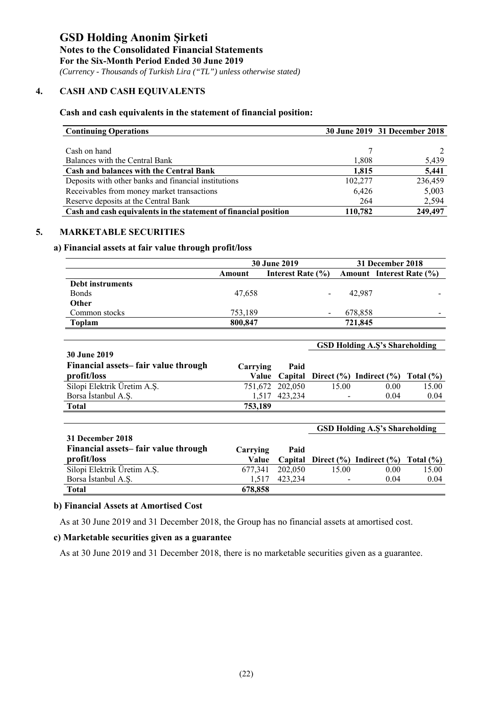*(Currency - Thousands of Turkish Lira ("TL") unless otherwise stated)*

#### **4. CASH AND CASH EQUIVALENTS**

#### **Cash and cash equivalents in the statement of financial position:**

| <b>Continuing Operations</b>                                     |         | 30 June 2019 31 December 2018 |
|------------------------------------------------------------------|---------|-------------------------------|
|                                                                  |         |                               |
| Cash on hand                                                     |         |                               |
| Balances with the Central Bank                                   | 1,808   | 5,439                         |
| <b>Cash and balances with the Central Bank</b>                   | 1.815   | 5,441                         |
| Deposits with other banks and financial institutions             | 102,277 | 236,459                       |
| Receivables from money market transactions                       | 6,426   | 5,003                         |
| Reserve deposits at the Central Bank                             | 264     | 2,594                         |
| Cash and cash equivalents in the statement of financial position | 110,782 | 249.497                       |

#### **5. MARKETABLE SECURITIES**

#### **a) Financial assets at fair value through profit/loss**

|                  |         | <b>30 June 2019</b> |         | 31 December 2018                |
|------------------|---------|---------------------|---------|---------------------------------|
|                  | Amount  | Interest Rate (%)   |         | <b>Amount</b> Interest Rate (%) |
| Debt instruments |         |                     |         |                                 |
| <b>Bonds</b>     | 47.658  |                     | 42,987  |                                 |
| <b>Other</b>     |         |                     |         |                                 |
| Common stocks    | 753,189 |                     | 678,858 |                                 |
| Toplam           | 800,847 |                     | 721,845 |                                 |

|                                     |          |                 | <b>GSD Holding A.S's Shareholding</b> |                                                          |       |  |  |
|-------------------------------------|----------|-----------------|---------------------------------------|----------------------------------------------------------|-------|--|--|
| <b>30 June 2019</b>                 |          |                 |                                       |                                                          |       |  |  |
| Financial assets-fair value through | Carrying | Paid            |                                       |                                                          |       |  |  |
| profit/loss                         |          |                 |                                       | Value Capital Direct $(\%)$ Indirect $(\%)$ Total $(\%)$ |       |  |  |
| Silopi Elektrik Üretim A.Ş.         |          | 751,672 202,050 | 15.00                                 | 0.00                                                     | 15.00 |  |  |
| Borsa İstanbul A.S.                 |          | 1.517 423.234   |                                       | 0.04                                                     | 0.04  |  |  |
| <b>Total</b>                        | 753,189  |                 |                                       |                                                          |       |  |  |

|                                     |          |         | <b>GSD Holding A.S's Shareholding</b> |                                         |               |  |  |
|-------------------------------------|----------|---------|---------------------------------------|-----------------------------------------|---------------|--|--|
| 31 December 2018                    |          |         |                                       |                                         |               |  |  |
| Financial assets-fair value through | Carrying | Paid    |                                       |                                         |               |  |  |
| profit/loss                         | Value    |         |                                       | Capital Direct $(\% )$ Indirect $(\% )$ | Total $(\% )$ |  |  |
| Silopi Elektrik Üretim A.Ş.         | 677.341  | 202,050 | 15.00                                 | 0.00                                    | 15.00         |  |  |
| Borsa Istanbul A.S.                 | 1.517    | 423.234 |                                       | 0.04                                    | 0.04          |  |  |
| <b>Total</b>                        | 678,858  |         |                                       |                                         |               |  |  |

#### **b) Financial Assets at Amortised Cost**

As at 30 June 2019 and 31 December 2018, the Group has no financial assets at amortised cost.

#### **c) Marketable securities given as a guarantee**

As at 30 June 2019 and 31 December 2018, there is no marketable securities given as a guarantee.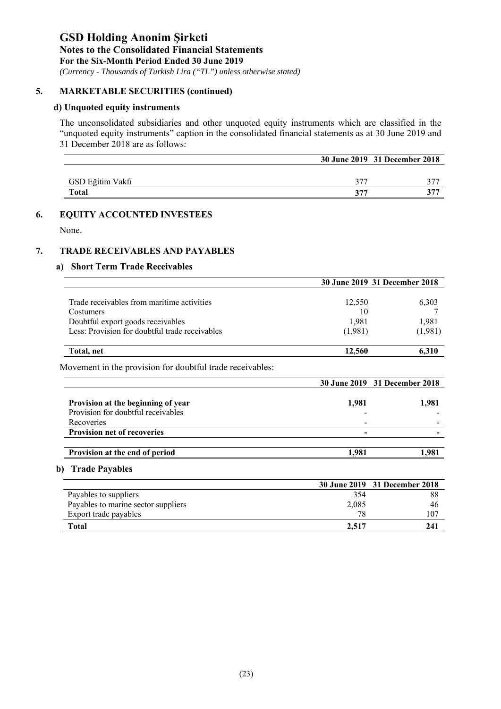## **GSD Holding Anonim Şirketi Notes to the Consolidated Financial Statements**

**For the Six-Month Period Ended 30 June 2019** 

 *(Currency - Thousands of Turkish Lira ("TL") unless otherwise stated)*

#### **5. MARKETABLE SECURITIES (continued)**

#### **d) Unquoted equity instruments**

The unconsolidated subsidiaries and other unquoted equity instruments which are classified in the "unquoted equity instruments" caption in the consolidated financial statements as at 30 June 2019 and 31 December 2018 are as follows:

|                  |     | 30 June 2019 31 December 2018 |
|------------------|-----|-------------------------------|
|                  |     |                               |
| GSD Eğitim Vakfı | 377 |                               |
| <b>Total</b>     | 377 | 377                           |

#### **6. EQUITY ACCOUNTED INVESTEES**

None.

#### **7. TRADE RECEIVABLES AND PAYABLES**

#### **a) Short Term Trade Receivables**

|                                                | 30 June 2019 31 December 2018 |         |  |
|------------------------------------------------|-------------------------------|---------|--|
|                                                |                               |         |  |
| Trade receivables from maritime activities     | 12.550                        | 6,303   |  |
| Costumers                                      | 10                            |         |  |
| Doubtful export goods receivables              | 1,981                         | 1,981   |  |
| Less: Provision for doubtful trade receivables | (1,981)                       | (1,981) |  |
| Total, net                                     | 12,560                        | 6.310   |  |

Movement in the provision for doubtful trade receivables:

|                                                                                        |       | 30 June 2019 31 December 2018 |
|----------------------------------------------------------------------------------------|-------|-------------------------------|
| Provision at the beginning of year<br>Provision for doubtful receivables<br>Recoveries | 1.981 | 1.981                         |
| <b>Provision net of recoveries</b>                                                     | -     |                               |
|                                                                                        |       |                               |
| Provision at the end of period                                                         | l.981 | .98                           |

#### **b) Trade Payables**

|                                     |       | 30 June 2019 31 December 2018 |
|-------------------------------------|-------|-------------------------------|
| Payables to suppliers               | 354   | 88                            |
| Payables to marine sector suppliers | 2,085 | 46                            |
| Export trade payables               | 78    | 107                           |
| Total                               | 2.517 | 241                           |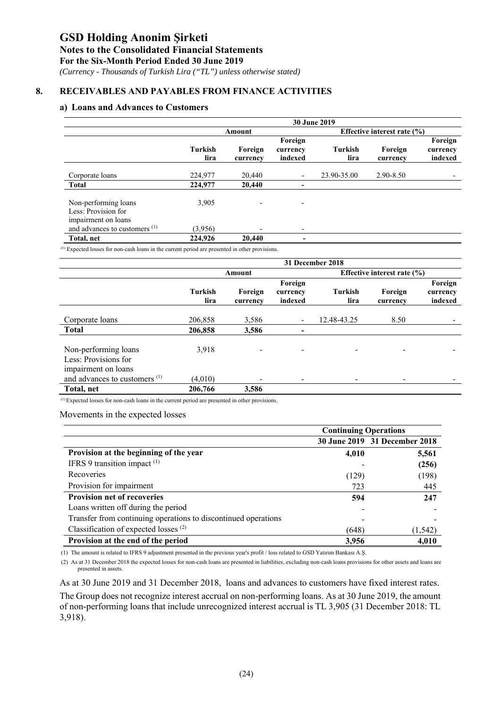#### **Notes to the Consolidated Financial Statements**

**For the Six-Month Period Ended 30 June 2019** 

 *(Currency - Thousands of Turkish Lira ("TL") unless otherwise stated)*

#### **8. RECEIVABLES AND PAYABLES FROM FINANCE ACTIVITIES**

#### **a) Loans and Advances to Customers**

|                                                                    | <b>30 June 2019</b>    |                     |                                |                        |                                 |                                |
|--------------------------------------------------------------------|------------------------|---------------------|--------------------------------|------------------------|---------------------------------|--------------------------------|
|                                                                    |                        | Amount              |                                |                        | Effective interest rate $(\% )$ |                                |
|                                                                    | <b>Turkish</b><br>lira | Foreign<br>currency | Foreign<br>currency<br>indexed | <b>Turkish</b><br>lira | Foreign<br>currency             | Foreign<br>currency<br>indexed |
| Corporate loans                                                    | 224,977                | 20,440              |                                | 23.90-35.00            | 2.90-8.50                       |                                |
| Total                                                              | 224,977                | 20,440              | $\,$                           |                        |                                 |                                |
| Non-performing loans<br>Less: Provision for<br>impairment on loans | 3,905                  |                     | $\overline{\phantom{0}}$       |                        |                                 |                                |
| and advances to customers $(1)$                                    | (3,956)                |                     |                                |                        |                                 |                                |
| Total, net                                                         | 224,926                | 20,440              | -                              |                        |                                 |                                |

Expected losses for non-cash loans in the current period are presented in other provisions.

|                                                                     | 31 December 2018       |                          |                                |                              |                                 |                                |
|---------------------------------------------------------------------|------------------------|--------------------------|--------------------------------|------------------------------|---------------------------------|--------------------------------|
|                                                                     |                        | Amount                   |                                |                              | Effective interest rate $(\% )$ |                                |
|                                                                     | <b>Turkish</b><br>lira | Foreign<br>currency      | Foreign<br>currency<br>indexed | <b>Turkish</b><br>lira       | Foreign<br>currency             | Foreign<br>currency<br>indexed |
| Corporate loans<br><b>Total</b>                                     | 206,858<br>206,858     | 3,586<br>3,586           | $\overline{\phantom{a}}$       | 12.48-43.25                  | 8.50                            |                                |
|                                                                     |                        |                          | -                              |                              |                                 |                                |
| Non-performing loans<br>Less: Provisions for<br>impairment on loans | 3,918                  | $\overline{\phantom{a}}$ | $\overline{\phantom{0}}$       | $\qquad \qquad \blacksquare$ |                                 |                                |
| and advances to customers <sup>(1)</sup>                            | (4.010)                |                          | $\overline{\phantom{0}}$       | -                            |                                 |                                |
| Total, net                                                          | 206,766                | 3,586                    |                                |                              |                                 |                                |

 $<sup>(1)</sup>$  Expected losses for non-cash loans in the current period are presented in other provisions.</sup>

Movements in the expected losses

|                                                                | <b>Continuing Operations</b> |                               |  |
|----------------------------------------------------------------|------------------------------|-------------------------------|--|
|                                                                |                              | 30 June 2019 31 December 2018 |  |
| Provision at the beginning of the year                         | 4,010                        | 5,561                         |  |
| IFRS 9 transition impact $(1)$                                 |                              | (256)                         |  |
| Recoveries                                                     | (129)                        | (198)                         |  |
| Provision for impairment                                       | 723                          | 445                           |  |
| <b>Provision net of recoveries</b>                             | 594                          | 247                           |  |
| Loans written off during the period                            |                              |                               |  |
| Transfer from continuing operations to discontinued operations |                              |                               |  |
| Classification of expected losses <sup>(2)</sup>               | (648)                        | (1, 542)                      |  |
| Provision at the end of the period                             | 3,956                        | 4,010                         |  |

(1) The amount is related to IFRS 9 adjustment presented in the previous year's profit / loss related to GSD Yatırım Bankası A.Ş.

 (2) As at 31 December 2018 the expected losses for non-cash loans are presented in liabilities, excluding non-cash loans provisions for other assets and loans are presented in assets.

As at 30 June 2019 and 31 December 2018, loans and advances to customers have fixed interest rates.

The Group does not recognize interest accrual on non-performing loans. As at 30 June 2019, the amount of non-performing loans that include unrecognized interest accrual is TL 3,905 (31 December 2018: TL 3,918).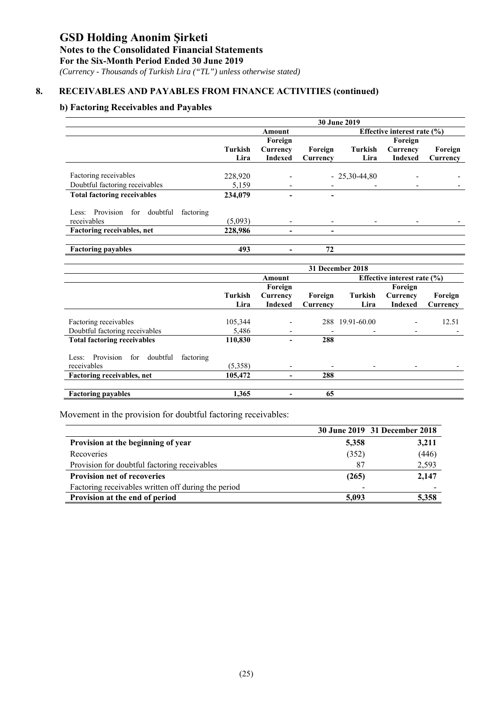### **Notes to the Consolidated Financial Statements**

**For the Six-Month Period Ended 30 June 2019** 

 *(Currency - Thousands of Turkish Lira ("TL") unless otherwise stated)*

#### **8. RECEIVABLES AND PAYABLES FROM FINANCE ACTIVITIES (continued)**

#### **b) Factoring Receivables and Payables**

|                                                 | 30 June 2019 |                          |          |                |                                 |          |  |
|-------------------------------------------------|--------------|--------------------------|----------|----------------|---------------------------------|----------|--|
|                                                 |              | Amount                   |          |                | Effective interest rate $(\% )$ |          |  |
|                                                 |              | Foreign                  |          |                | Foreign                         |          |  |
|                                                 | Turkish      | Currency                 | Foreign  | Turkish        | Currency                        | Foreign  |  |
|                                                 | Lira         | <b>Indexed</b>           | Currency | Lira           | <b>Indexed</b>                  | Currency |  |
|                                                 |              |                          |          |                |                                 |          |  |
| Factoring receivables                           | 228,920      |                          |          | $-25,30-44,80$ |                                 |          |  |
| Doubtful factoring receivables                  | 5,159        |                          |          |                |                                 |          |  |
| <b>Total factoring receivables</b>              | 234,079      | ۰                        | -        |                |                                 |          |  |
| Less: Provision<br>doubtful<br>factoring<br>for |              |                          |          |                |                                 |          |  |
| receivables                                     | (5,093)      | $\overline{\phantom{a}}$ |          |                |                                 |          |  |
| Factoring receivables, net                      | 228,986      |                          |          |                |                                 |          |  |
|                                                 |              |                          |          |                |                                 |          |  |
| <b>Factoring payables</b>                       | 493          |                          | 72       |                |                                 |          |  |

|                                                    | 31 December 2018 |                              |          |             |                                 |          |  |
|----------------------------------------------------|------------------|------------------------------|----------|-------------|---------------------------------|----------|--|
|                                                    |                  | Amount                       |          |             | Effective interest rate $(\% )$ |          |  |
|                                                    |                  | Foreign                      |          |             | Foreign                         |          |  |
|                                                    | Turkish          | Currency                     | Foreign  | Turkish     | Currency                        | Foreign  |  |
|                                                    | Lira             | <b>Indexed</b>               | Currency | Lira        | <b>Indexed</b>                  | Currency |  |
|                                                    |                  |                              |          |             |                                 |          |  |
| Factoring receivables                              | 105,344          | $\qquad \qquad \blacksquare$ | 288      | 19.91-60.00 |                                 | 12.51    |  |
| Doubtful factoring receivables                     | 5,486            | $\overline{\phantom{a}}$     |          | ٠           |                                 |          |  |
| <b>Total factoring receivables</b>                 | 110,830          | $\overline{a}$               | 288      |             |                                 |          |  |
| Provision<br>for<br>doubtful<br>factoring<br>Less: |                  |                              |          |             |                                 |          |  |
| receivables                                        | (5,358)          | $\overline{\phantom{a}}$     |          |             |                                 |          |  |
| Factoring receivables, net                         | 105,472          | -                            | 288      |             |                                 |          |  |
|                                                    |                  |                              |          |             |                                 |          |  |
| <b>Factoring payables</b>                          | 1,365            |                              | 65       |             |                                 |          |  |

Movement in the provision for doubtful factoring receivables:

|                                                     |       | 30 June 2019 31 December 2018 |
|-----------------------------------------------------|-------|-------------------------------|
| Provision at the beginning of year                  | 5,358 | 3,211                         |
| Recoveries                                          | (352) | (446)                         |
| Provision for doubtful factoring receivables        | 87    | 2,593                         |
| <b>Provision net of recoveries</b>                  | (265) | 2,147                         |
| Factoring receivables written off during the period |       |                               |
| Provision at the end of period                      | 5.093 | 5,358                         |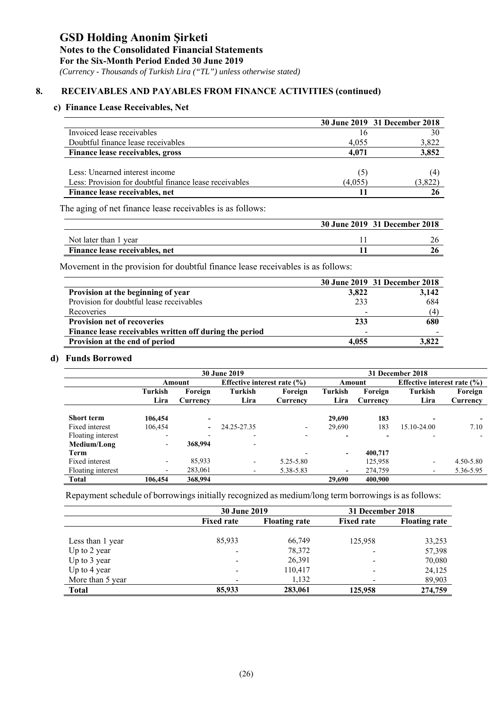*(Currency - Thousands of Turkish Lira ("TL") unless otherwise stated)*

#### **8. RECEIVABLES AND PAYABLES FROM FINANCE ACTIVITIES (continued)**

#### **c) Finance Lease Receivables, Net**

|                                                        |         | 30 June 2019 31 December 2018 |
|--------------------------------------------------------|---------|-------------------------------|
| Invoiced lease receivables                             | 16      | 30                            |
| Doubtful finance lease receivables                     | 4.055   | 3,822                         |
| Finance lease receivables, gross                       | 4.071   | 3,852                         |
|                                                        |         |                               |
| Less: Unearned interest income                         | (5)     | (4)                           |
| Less: Provision for doubtful finance lease receivables | (4.055) | (3,822)                       |
| Finance lease receivables, net                         |         |                               |

The aging of net finance lease receivables is as follows:

|                                | 30 June 2019 31 December 2018 |
|--------------------------------|-------------------------------|
| Not later than 1 year          |                               |
| Finance lease receivables, net |                               |

Movement in the provision for doubtful finance lease receivables is as follows:

|                                                         |                          | 30 June 2019 31 December 2018 |
|---------------------------------------------------------|--------------------------|-------------------------------|
| Provision at the beginning of year                      | 3,822                    | 3,142                         |
| Provision for doubtful lease receivables                | 233                      | 684                           |
| Recoveries                                              |                          | (4)                           |
| <b>Provision net of recoveries</b>                      | 233                      | 680                           |
| Finance lease receivables written off during the period | $\overline{\phantom{a}}$ |                               |
| Provision at the end of period                          | 4.055                    | 3.822                         |

#### **d) Funds Borrowed**

|                   |                          | <b>30 June 2019</b> |                                 |                          |                          |          | 31 December 2018                |           |  |  |
|-------------------|--------------------------|---------------------|---------------------------------|--------------------------|--------------------------|----------|---------------------------------|-----------|--|--|
|                   |                          | Amount              | Effective interest rate $(\% )$ |                          |                          | Amount   | Effective interest rate $(\% )$ |           |  |  |
|                   | Turkish                  | Foreign             | Turkish                         | Foreign                  | Turkish                  | Foreign  | Turkish                         | Foreign   |  |  |
|                   | Lira                     | Currency            | Lira                            | Currency                 | Lira                     | Currency | Lira                            | Currency  |  |  |
|                   |                          |                     |                                 |                          |                          |          |                                 |           |  |  |
| <b>Short term</b> | 106,454                  |                     |                                 |                          | 29,690                   | 183      |                                 |           |  |  |
| Fixed interest    | 106,454                  | $\blacksquare$      | 24.25-27.35                     | $\overline{\phantom{a}}$ | 29,690                   | 183      | 15.10-24.00                     | 7.10      |  |  |
| Floating interest | $\overline{\phantom{0}}$ |                     |                                 |                          |                          |          |                                 |           |  |  |
| Medium/Long       | $\overline{\phantom{0}}$ | 368,994             |                                 |                          |                          |          |                                 |           |  |  |
| Term              |                          |                     |                                 |                          | -                        | 400,717  |                                 |           |  |  |
| Fixed interest    | $\overline{\phantom{0}}$ | 85,933              |                                 | 5.25-5.80                |                          | 125,958  | $\overline{\phantom{a}}$        | 4.50-5.80 |  |  |
| Floating interest | ۰                        | 283,061             |                                 | 5.38-5.83                | $\overline{\phantom{0}}$ | 274,759  | $\overline{\phantom{a}}$        | 5.36-5.95 |  |  |
| <b>Total</b>      | 106.454                  | 368,994             |                                 |                          | 29,690                   | 400,900  |                                 |           |  |  |

Repayment schedule of borrowings initially recognized as medium/long term borrowings is as follows:

|                  | <b>30 June 2019</b> |                      | 31 December 2018  |                      |
|------------------|---------------------|----------------------|-------------------|----------------------|
|                  | <b>Fixed rate</b>   | <b>Floating rate</b> | <b>Fixed rate</b> | <b>Floating rate</b> |
|                  |                     |                      |                   |                      |
| Less than 1 year | 85.933              | 66,749               | 125,958           | 33,253               |
| Up to 2 year     |                     | 78,372               |                   | 57,398               |
| Up to 3 year     | -                   | 26,391               |                   | 70,080               |
| Up to 4 year     | -                   | 110,417              |                   | 24,125               |
| More than 5 year |                     | 1,132                |                   | 89,903               |
| <b>Total</b>     | 85,933              | 283,061              | 125,958           | 274,759              |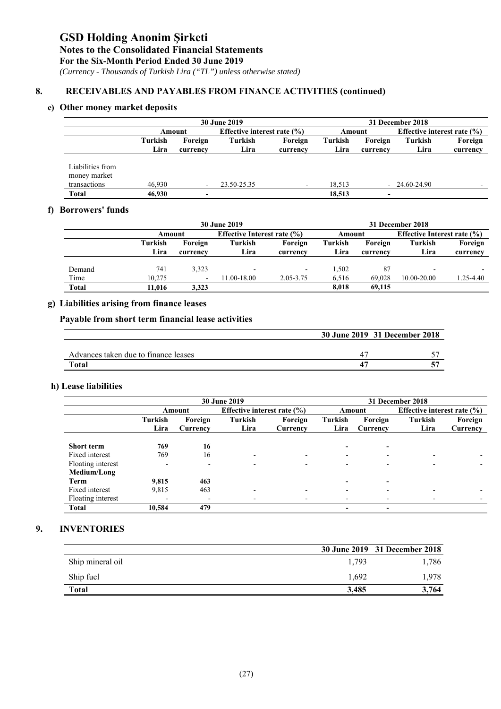#### **Notes to the Consolidated Financial Statements**

**For the Six-Month Period Ended 30 June 2019** 

 *(Currency - Thousands of Turkish Lira ("TL") unless otherwise stated)*

#### **8. RECEIVABLES AND PAYABLES FROM FINANCE ACTIVITIES (continued)**

### **e) Other money market deposits**

|                                                                  | <b>30 June 2019</b> |                                  |                                 |                          |                  | 31 December 2018 |                                 |          |  |
|------------------------------------------------------------------|---------------------|----------------------------------|---------------------------------|--------------------------|------------------|------------------|---------------------------------|----------|--|
|                                                                  |                     | Amount                           | Effective interest rate $(\% )$ |                          | Amount           |                  | Effective interest rate $(\% )$ |          |  |
|                                                                  | Turkish             | Foreign                          | Turkish                         | Foreign                  | Turkish          | Foreign          | Turkish                         | Foreign  |  |
|                                                                  | Lira                | currency                         | Lira                            | currency                 | Lira             | currency         | Lira                            | currency |  |
| Liabilities from<br>money market<br>transactions<br><b>Total</b> | 46.930<br>46,930    | $\overline{\phantom{a}}$<br>$\,$ | 23.50-25.35                     | $\overline{\phantom{0}}$ | 18.513<br>18,513 | $\,$             | $-24.60-24.90$                  |          |  |

#### **f) Borrowers' funds**

|              |         | <b>30 June 2019</b>      |                                 |           |         |          | 31 December 2018                |           |  |  |
|--------------|---------|--------------------------|---------------------------------|-----------|---------|----------|---------------------------------|-----------|--|--|
|              | Amount  |                          | Effective Interest rate $(\% )$ |           | Amount  |          | Effective Interest rate $(\% )$ |           |  |  |
|              | Turkish | Foreign                  | Turkish                         | Foreign   | Turkish | Foreign  | Turkish                         | Foreign   |  |  |
|              | Lira    | currency                 | Lira                            | currency  | Lira    | currency | Lira                            | currency  |  |  |
|              |         |                          |                                 |           |         |          |                                 |           |  |  |
| Demand       | 741     | 3,323                    |                                 | $\sim$    | 1,502   | 87       | $\overline{\phantom{0}}$        |           |  |  |
| Time         | 10.275  | $\overline{\phantom{a}}$ | 11.00-18.00                     | 2.05-3.75 | 6,516   | 69.028   | 10.00-20.00                     | 1.25-4.40 |  |  |
| <b>Total</b> | 11,016  | 3,323                    |                                 |           | 8.018   | 69.115   |                                 |           |  |  |

#### **g) Liabilities arising from finance leases**

#### **Payable from short term financial lease activities**

|                                      | 30 June 2019 31 December 2018 |
|--------------------------------------|-------------------------------|
|                                      |                               |
| Advances taken due to finance leases |                               |
| Total                                |                               |

#### **h) Lease liabilities**

|                   | <b>30 June 2019</b>      |                          |                                 |                          |                          | 31 December 2018         |                                 |          |  |
|-------------------|--------------------------|--------------------------|---------------------------------|--------------------------|--------------------------|--------------------------|---------------------------------|----------|--|
|                   |                          | Amount                   | Effective interest rate $(\% )$ |                          |                          | Amount                   | Effective interest rate $(\% )$ |          |  |
|                   | Turkish                  | Foreign                  | <b>Turkish</b>                  | Foreign                  | Turkish                  | Foreign                  | Turkish                         | Foreign  |  |
|                   | Lira                     | Currency                 | Lira                            | Currency                 | Lira                     | Currency                 | Lira                            | Currency |  |
|                   |                          |                          |                                 |                          |                          |                          |                                 |          |  |
| <b>Short term</b> | 769                      | 16                       |                                 |                          |                          |                          |                                 |          |  |
| Fixed interest    | 769                      | 16                       | $\overline{\phantom{0}}$        | $\overline{\phantom{0}}$ |                          | <b>100</b>               | -                               |          |  |
| Floating interest | $\overline{\phantom{a}}$ | $\overline{\phantom{0}}$ |                                 |                          |                          |                          |                                 |          |  |
| Medium/Long       |                          |                          |                                 |                          |                          |                          |                                 |          |  |
| Term              | 9,815                    | 463                      |                                 |                          |                          |                          |                                 |          |  |
| Fixed interest    | 9,815                    | 463                      |                                 |                          |                          |                          |                                 |          |  |
| Floating interest | ۰                        | $\overline{\phantom{0}}$ |                                 |                          | -                        |                          |                                 |          |  |
| <b>Total</b>      | 10.584                   | 479                      |                                 |                          | $\overline{\phantom{0}}$ | $\overline{\phantom{a}}$ |                                 |          |  |

#### **9. INVENTORIES**

|                  |       | 30 June 2019 31 December 2018 |
|------------------|-------|-------------------------------|
| Ship mineral oil | 1.793 | 1,786                         |
| Ship fuel        | 1,692 | 1.978                         |
| <b>Total</b>     | 3.485 | 3.764                         |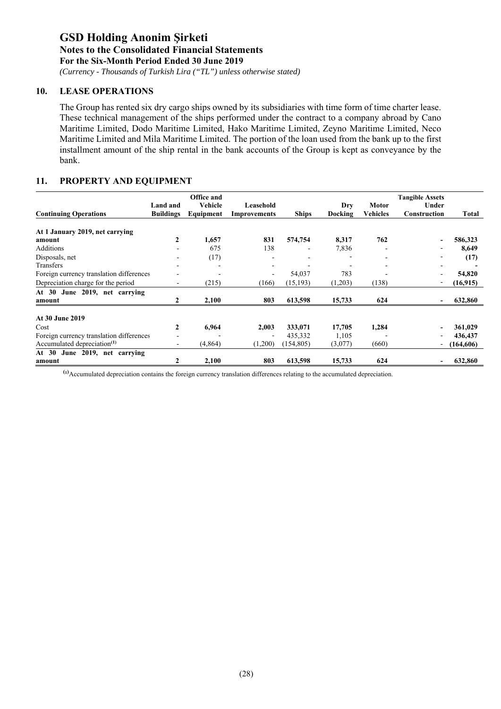*(Currency - Thousands of Turkish Lira ("TL") unless otherwise stated)*

#### **10. LEASE OPERATIONS**

The Group has rented six dry cargo ships owned by its subsidiaries with time form of time charter lease. These technical management of the ships performed under the contract to a company abroad by Cano Maritime Limited, Dodo Maritime Limited, Hako Maritime Limited, Zeyno Maritime Limited, Neco Maritime Limited and Mila Maritime Limited. The portion of the loan used from the bank up to the first installment amount of the ship rental in the bank accounts of the Group is kept as conveyance by the bank.

#### **11. PROPERTY AND EQUIPMENT**

|                                          |                              | Office and           |                           |              |                |                          | <b>Tangible Assets</b> |            |
|------------------------------------------|------------------------------|----------------------|---------------------------|--------------|----------------|--------------------------|------------------------|------------|
| <b>Continuing Operations</b>             | Land and<br><b>Buildings</b> | Vehicle<br>Equipment | Leasehold<br>Improvements | <b>Ships</b> | Dry<br>Docking | <b>Motor</b><br>Vehicles | Under<br>Construction  | Total      |
| At 1 January 2019, net carrying          |                              |                      |                           |              |                |                          |                        |            |
| amount                                   | $\mathbf{2}$                 | 1,657                | 831                       | 574,754      | 8,317          | 762                      |                        | 586,323    |
| Additions                                |                              | 675                  | 138                       |              | 7,836          |                          |                        | 8,649      |
| Disposals, net                           |                              | (17)                 |                           |              |                |                          |                        | (17)       |
| Transfers                                |                              |                      |                           |              |                |                          |                        |            |
| Foreign currency translation differences |                              |                      |                           | 54,037       | 783            |                          |                        | 54,820     |
| Depreciation charge for the period       |                              | (215)                | (166)                     | (15, 193)    | (1,203)        | (138)                    |                        | (16,915)   |
| June 2019, net carrying<br>At 30         |                              |                      |                           |              |                |                          |                        |            |
| amount                                   | 2                            | 2,100                | 803                       | 613,598      | 15,733         | 624                      |                        | 632,860    |
| <b>At 30 June 2019</b>                   |                              |                      |                           |              |                |                          |                        |            |
| Cost                                     | 2                            | 6,964                | 2,003                     | 333,071      | 17,705         | 1,284                    |                        | 361,029    |
| Foreign currency translation differences |                              |                      |                           | 435,332      | 1,105          |                          |                        | 436,437    |
| Accumulated depreciation <sup>(1)</sup>  | $\overline{\phantom{0}}$     | (4,864)              | (1,200)                   | (154, 805)   | (3,077)        | (660)                    |                        | (164, 606) |
| June 2019, net carrying<br>At $30$       |                              |                      |                           |              |                |                          |                        |            |
| amount                                   |                              | 2,100                | 803                       | 613,598      | 15,733         | 624                      |                        | 632,860    |

**(1)** Accumulated depreciation contains the foreign currency translation differences relating to the accumulated depreciation.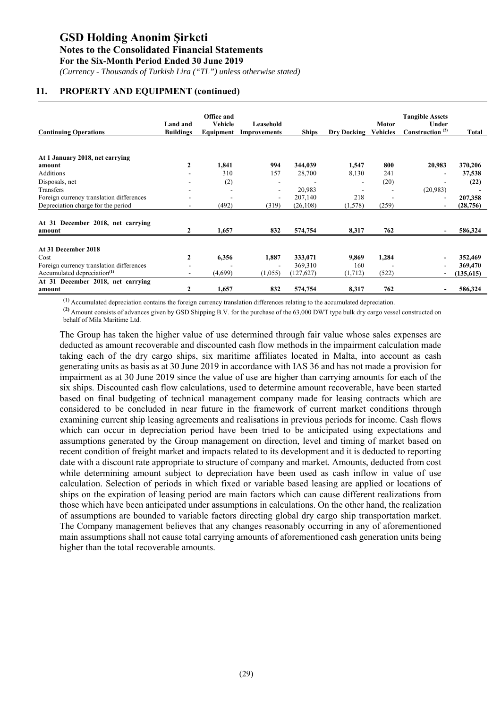*(Currency - Thousands of Turkish Lira ("TL") unless otherwise stated)*

#### **11. PROPERTY AND EQUIPMENT (continued)**

| Land and<br><b>Buildings</b> | Office and<br>Vehicle    | Leasehold<br>Improvements                        | <b>Ships</b>                                       |                                                                  | <b>Motor</b><br><b>Vehicles</b>                                          | <b>Tangible Assets</b><br>Under<br>Construction <sup>(2)</sup> | Total      |
|------------------------------|--------------------------|--------------------------------------------------|----------------------------------------------------|------------------------------------------------------------------|--------------------------------------------------------------------------|----------------------------------------------------------------|------------|
|                              |                          |                                                  |                                                    |                                                                  |                                                                          |                                                                |            |
|                              |                          |                                                  |                                                    |                                                                  |                                                                          |                                                                | 370,206    |
|                              |                          |                                                  |                                                    |                                                                  |                                                                          |                                                                | 37,538     |
|                              |                          |                                                  |                                                    | ۰                                                                |                                                                          |                                                                | (22)       |
|                              |                          | $\overline{\phantom{a}}$                         | 20,983                                             |                                                                  |                                                                          | (20,983)                                                       |            |
|                              |                          | $\overline{\phantom{a}}$                         | 207,140                                            | 218                                                              |                                                                          |                                                                | 207,358    |
|                              | (492)                    | (319)                                            | (26, 108)                                          | (1,578)                                                          | (259)                                                                    |                                                                | (28, 756)  |
|                              |                          |                                                  |                                                    |                                                                  |                                                                          |                                                                |            |
|                              | 1,657                    | 832                                              | 574,754                                            | 8,317                                                            | 762                                                                      |                                                                | 586,324    |
|                              |                          |                                                  |                                                    |                                                                  |                                                                          |                                                                |            |
|                              |                          |                                                  |                                                    |                                                                  |                                                                          |                                                                | 352,469    |
|                              |                          | $\blacksquare$                                   |                                                    |                                                                  |                                                                          |                                                                | 369,470    |
|                              |                          |                                                  |                                                    |                                                                  |                                                                          |                                                                | (135, 615) |
|                              |                          |                                                  |                                                    |                                                                  |                                                                          |                                                                |            |
|                              |                          |                                                  |                                                    |                                                                  |                                                                          |                                                                | 586,324    |
|                              | $\overline{2}$<br>2<br>2 | 1,841<br>310<br>(2)<br>6,356<br>(4,699)<br>1,657 | Equipment<br>994<br>157<br>1,887<br>(1,055)<br>832 | 344,039<br>28,700<br>333,071<br>369,310<br>(127, 627)<br>574,754 | <b>Dry Docking</b><br>1,547<br>8,130<br>9,869<br>160<br>(1,712)<br>8,317 | 800<br>241<br>(20)<br>1,284<br>(522)<br>762                    | 20,983     |

(1) Accumulated depreciation contains the foreign currency translation differences relating to the accumulated depreciation.

**(2)** Amount consists of advances given by GSD Shipping B.V. for the purchase of the 63,000 DWT type bulk dry cargo vessel constructed on behalf of Mila Maritime Ltd.

The Group has taken the higher value of use determined through fair value whose sales expenses are deducted as amount recoverable and discounted cash flow methods in the impairment calculation made taking each of the dry cargo ships, six maritime affiliates located in Malta, into account as cash generating units as basis as at 30 June 2019 in accordance with IAS 36 and has not made a provision for impairment as at 30 June 2019 since the value of use are higher than carrying amounts for each of the six ships. Discounted cash flow calculations, used to determine amount recoverable, have been started based on final budgeting of technical management company made for leasing contracts which are considered to be concluded in near future in the framework of current market conditions through examining current ship leasing agreements and realisations in previous periods for income. Cash flows which can occur in depreciation period have been tried to be anticipated using expectations and assumptions generated by the Group management on direction, level and timing of market based on recent condition of freight market and impacts related to its development and it is deducted to reporting date with a discount rate appropriate to structure of company and market. Amounts, deducted from cost while determining amount subject to depreciation have been used as cash inflow in value of use calculation. Selection of periods in which fixed or variable based leasing are applied or locations of ships on the expiration of leasing period are main factors which can cause different realizations from those which have been anticipated under assumptions in calculations. On the other hand, the realization of assumptions are bounded to variable factors directing global dry cargo ship transportation market. The Company management believes that any changes reasonably occurring in any of aforementioned main assumptions shall not cause total carrying amounts of aforementioned cash generation units being higher than the total recoverable amounts.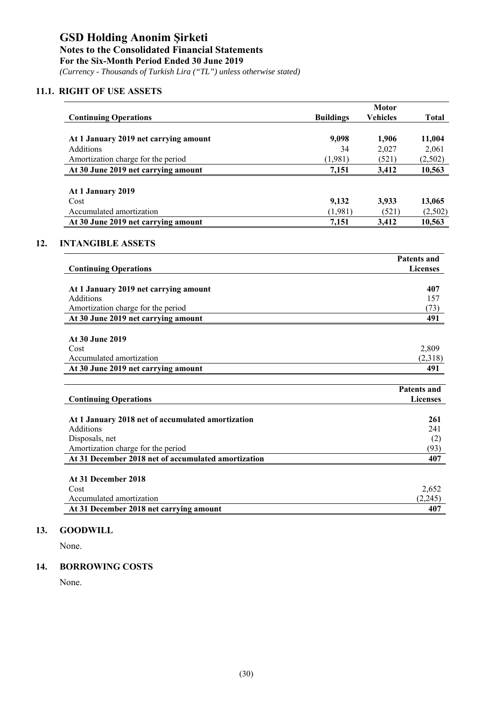*(Currency - Thousands of Turkish Lira ("TL") unless otherwise stated)*

#### **11.1. RIGHT OF USE ASSETS**

**12.** 

|                                                     |                  | <b>Motor</b>    |                                       |
|-----------------------------------------------------|------------------|-----------------|---------------------------------------|
| <b>Continuing Operations</b>                        | <b>Buildings</b> | <b>Vehicles</b> | <b>Total</b>                          |
| At 1 January 2019 net carrying amount               | 9,098            | 1,906           | 11,004                                |
| <b>Additions</b>                                    | 34               | 2,027           | 2,061                                 |
| Amortization charge for the period                  | (1,981)          | (521)           | (2,502)                               |
| At 30 June 2019 net carrying amount                 | 7,151            | 3,412           | 10,563                                |
|                                                     |                  |                 |                                       |
| At 1 January 2019                                   |                  |                 |                                       |
| Cost                                                | 9,132            | 3,933           | 13,065                                |
| Accumulated amortization                            | (1,981)          | (521)           | (2,502)                               |
| At 30 June 2019 net carrying amount                 | 7,151            | 3,412           | 10,563                                |
| <b>INTANGIBLE ASSETS</b>                            |                  |                 |                                       |
|                                                     |                  |                 | <b>Patents and</b>                    |
| <b>Continuing Operations</b>                        |                  |                 | <b>Licenses</b>                       |
|                                                     |                  |                 |                                       |
| At 1 January 2019 net carrying amount               |                  |                 | 407                                   |
| Additions<br>Amortization charge for the period     |                  |                 | 157<br>(73)                           |
| At 30 June 2019 net carrying amount                 |                  |                 | 491                                   |
|                                                     |                  |                 |                                       |
| At 30 June 2019                                     |                  |                 |                                       |
| Cost                                                |                  |                 | 2,809                                 |
| Accumulated amortization                            |                  |                 | (2,318)                               |
| At 30 June 2019 net carrying amount                 |                  |                 | 491                                   |
|                                                     |                  |                 |                                       |
| <b>Continuing Operations</b>                        |                  |                 | <b>Patents and</b><br><b>Licenses</b> |
|                                                     |                  |                 |                                       |
| At 1 January 2018 net of accumulated amortization   |                  |                 | 261                                   |
| <b>Additions</b>                                    |                  |                 | 241                                   |
| Disposals, net                                      |                  |                 | (2)                                   |
| Amortization charge for the period                  |                  |                 | (93)                                  |
| At 31 December 2018 net of accumulated amortization |                  |                 | 407                                   |
|                                                     |                  |                 |                                       |
| At 31 December 2018<br>Cost                         |                  |                 | 2,652                                 |
| Accumulated amortization                            |                  |                 | (2,245)                               |
| At 31 December 2018 net carrying amount             |                  |                 | 407                                   |

#### **13. GOODWILL**

None.

#### **14. BORROWING COSTS**

None.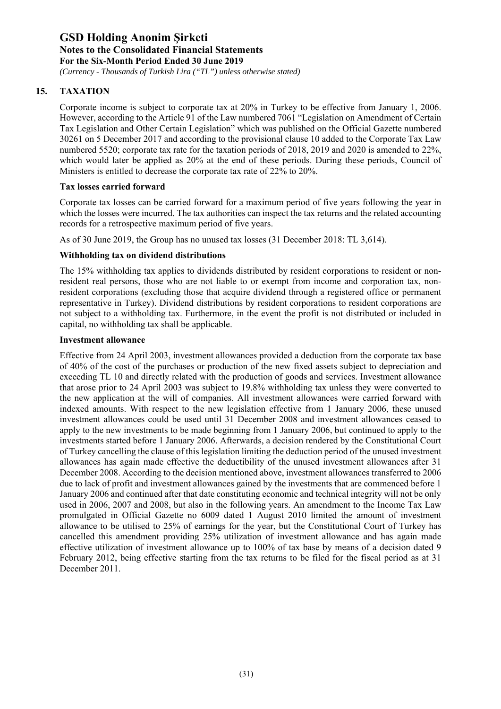*(Currency - Thousands of Turkish Lira ("TL") unless otherwise stated)*

### **15. TAXATION**

Corporate income is subject to corporate tax at 20% in Turkey to be effective from January 1, 2006. However, according to the Article 91 of the Law numbered 7061 "Legislation on Amendment of Certain Tax Legislation and Other Certain Legislation" which was published on the Official Gazette numbered 30261 on 5 December 2017 and according to the provisional clause 10 added to the Corporate Tax Law numbered 5520; corporate tax rate for the taxation periods of 2018, 2019 and 2020 is amended to 22%, which would later be applied as 20% at the end of these periods. During these periods, Council of Ministers is entitled to decrease the corporate tax rate of 22% to 20%.

#### **Tax losses carried forward**

Corporate tax losses can be carried forward for a maximum period of five years following the year in which the losses were incurred. The tax authorities can inspect the tax returns and the related accounting records for a retrospective maximum period of five years.

As of 30 June 2019, the Group has no unused tax losses (31 December 2018: TL 3,614).

#### **Withholding tax on dividend distributions**

The 15% withholding tax applies to dividends distributed by resident corporations to resident or nonresident real persons, those who are not liable to or exempt from income and corporation tax, nonresident corporations (excluding those that acquire dividend through a registered office or permanent representative in Turkey). Dividend distributions by resident corporations to resident corporations are not subject to a withholding tax. Furthermore, in the event the profit is not distributed or included in capital, no withholding tax shall be applicable.

#### **Investment allowance**

Effective from 24 April 2003, investment allowances provided a deduction from the corporate tax base of 40% of the cost of the purchases or production of the new fixed assets subject to depreciation and exceeding TL 10 and directly related with the production of goods and services. Investment allowance that arose prior to 24 April 2003 was subject to 19.8% withholding tax unless they were converted to the new application at the will of companies. All investment allowances were carried forward with indexed amounts. With respect to the new legislation effective from 1 January 2006, these unused investment allowances could be used until 31 December 2008 and investment allowances ceased to apply to the new investments to be made beginning from 1 January 2006, but continued to apply to the investments started before 1 January 2006. Afterwards, a decision rendered by the Constitutional Court of Turkey cancelling the clause of this legislation limiting the deduction period of the unused investment allowances has again made effective the deductibility of the unused investment allowances after 31 December 2008. According to the decision mentioned above, investment allowances transferred to 2006 due to lack of profit and investment allowances gained by the investments that are commenced before 1 January 2006 and continued after that date constituting economic and technical integrity will not be only used in 2006, 2007 and 2008, but also in the following years. An amendment to the Income Tax Law promulgated in Official Gazette no 6009 dated 1 August 2010 limited the amount of investment allowance to be utilised to 25% of earnings for the year, but the Constitutional Court of Turkey has cancelled this amendment providing 25% utilization of investment allowance and has again made effective utilization of investment allowance up to 100% of tax base by means of a decision dated 9 February 2012, being effective starting from the tax returns to be filed for the fiscal period as at 31 December 2011.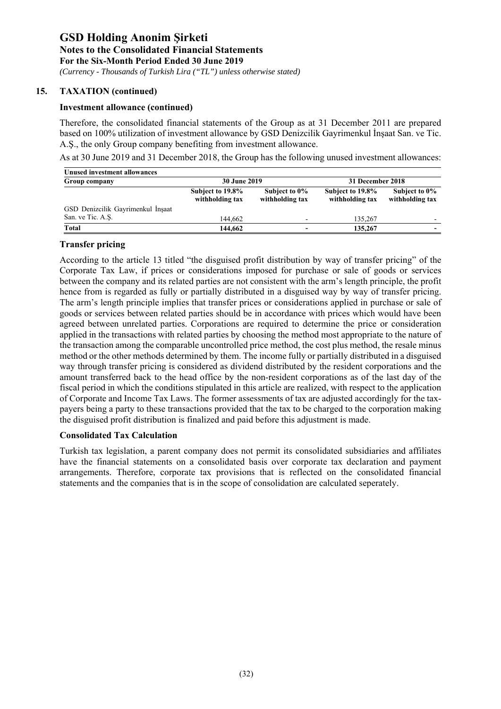*(Currency - Thousands of Turkish Lira ("TL") unless otherwise stated)*

#### **15. TAXATION (continued)**

#### **Investment allowance (continued)**

Therefore, the consolidated financial statements of the Group as at 31 December 2011 are prepared based on 100% utilization of investment allowance by GSD Denizcilik Gayrimenkul İnşaat San. ve Tic. A.Ş., the only Group company benefiting from investment allowance.

As at 30 June 2019 and 31 December 2018, the Group has the following unused investment allowances:

| Unused investment allowances      |                                     |                                  |                                     |                                  |
|-----------------------------------|-------------------------------------|----------------------------------|-------------------------------------|----------------------------------|
| Group company                     | <b>30 June 2019</b>                 |                                  | 31 December 2018                    |                                  |
|                                   | Subject to 19.8%<br>withholding tax | Subject to 0%<br>withholding tax | Subject to 19.8%<br>withholding tax | Subject to 0%<br>withholding tax |
| GSD Denizcilik Gayrimenkul İnşaat |                                     |                                  |                                     |                                  |
| San. ve Tic. A.S.                 | 144.662                             | $\overline{\phantom{0}}$         | 135,267                             | $\overline{\phantom{0}}$         |
| Total                             | 144,662                             |                                  | 135,267                             | $\overline{\phantom{0}}$         |

#### **Transfer pricing**

According to the article 13 titled "the disguised profit distribution by way of transfer pricing" of the Corporate Tax Law, if prices or considerations imposed for purchase or sale of goods or services between the company and its related parties are not consistent with the arm's length principle, the profit hence from is regarded as fully or partially distributed in a disguised way by way of transfer pricing. The arm's length principle implies that transfer prices or considerations applied in purchase or sale of goods or services between related parties should be in accordance with prices which would have been agreed between unrelated parties. Corporations are required to determine the price or consideration applied in the transactions with related parties by choosing the method most appropriate to the nature of the transaction among the comparable uncontrolled price method, the cost plus method, the resale minus method or the other methods determined by them. The income fully or partially distributed in a disguised way through transfer pricing is considered as dividend distributed by the resident corporations and the amount transferred back to the head office by the non-resident corporations as of the last day of the fiscal period in which the conditions stipulated in this article are realized, with respect to the application of Corporate and Income Tax Laws. The former assessments of tax are adjusted accordingly for the taxpayers being a party to these transactions provided that the tax to be charged to the corporation making the disguised profit distribution is finalized and paid before this adjustment is made.

#### **Consolidated Tax Calculation**

Turkish tax legislation, a parent company does not permit its consolidated subsidiaries and affiliates have the financial statements on a consolidated basis over corporate tax declaration and payment arrangements. Therefore, corporate tax provisions that is reflected on the consolidated financial statements and the companies that is in the scope of consolidation are calculated seperately.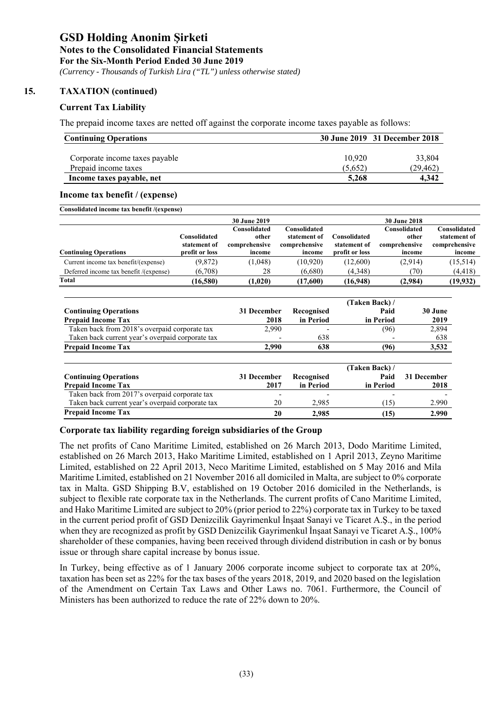*(Currency - Thousands of Turkish Lira ("TL") unless otherwise stated)*

#### **15. TAXATION (continued)**

#### **Current Tax Liability**

The prepaid income taxes are netted off against the corporate income taxes payable as follows:

| <b>Continuing Operations</b>   |         | 30 June 2019 31 December 2018 |
|--------------------------------|---------|-------------------------------|
| Corporate income taxes payable | 10.920  | 33,804                        |
| Prepaid income taxes           | (5.652) | (29, 462)                     |
| Income taxes payable, net      | 5.268   | 4.342                         |

#### **Income tax benefit / (expense)**

| Consolidated income tax benefit /(expense) |  |  |
|--------------------------------------------|--|--|
|                                            |  |  |

|                                        |                              | <b>30 June 2019</b>                    |                                               |                              | <b>30 June 2018</b>                    |                                               |
|----------------------------------------|------------------------------|----------------------------------------|-----------------------------------------------|------------------------------|----------------------------------------|-----------------------------------------------|
|                                        | Consolidated<br>statement of | Consolidated<br>other<br>comprehensive | Consolidated<br>statement of<br>comprehensive | Consolidated<br>statement of | Consolidated<br>other<br>comprehensive | Consolidated<br>statement of<br>comprehensive |
| <b>Continuing Operations</b>           | profit or loss               | income                                 | income                                        | profit or loss               | income                                 | income                                        |
| Current income tax benefit/(expense)   | (9,872)                      | (1,048)                                | (10, 920)                                     | (12,600)                     | (2,914)                                | (15,514)                                      |
| Deferred income tax benefit /(expense) | (6,708)                      | 28                                     | (6,680)                                       | (4,348)                      | (70)                                   | (4, 418)                                      |
| Total                                  | (16,580)                     | (1,020)                                | (17,600)                                      | (16,948)                     | (2,984)                                | (19, 932)                                     |

|                                                  |             |            | (Taken Back)/          |             |
|--------------------------------------------------|-------------|------------|------------------------|-------------|
| <b>Continuing Operations</b>                     | 31 December | Recognised | Paid                   | 30 June     |
| <b>Prepaid Income Tax</b>                        | 2018        | in Period  | in Period              | 2019        |
| Taken back from 2018's overpaid corporate tax    | 2,990       |            | (96)                   | 2,894       |
| Taken back current year's overpaid corporate tax |             | 638        |                        | 638         |
| <b>Prepaid Income Tax</b>                        | 2,990       | 638        | (96)                   | 3,532       |
| <b>Continuing Operations</b>                     | 31 December | Recognised | (Taken Back) /<br>Paid | 31 December |
| <b>Prepaid Income Tax</b>                        | 2017        | in Period  | in Period              | 2018        |
| Taken back from 2017's overpaid corporate tax    |             |            |                        |             |
| Taken back current year's overpaid corporate tax | 20          | 2,985      | (15)                   | 2.990       |
| <b>Prepaid Income Tax</b>                        | 20          | 2,985      | (15)                   | 2.990       |

#### **Corporate tax liability regarding foreign subsidiaries of the Group**

The net profits of Cano Maritime Limited, established on 26 March 2013, Dodo Maritime Limited, established on 26 March 2013, Hako Maritime Limited, established on 1 April 2013, Zeyno Maritime Limited, established on 22 April 2013, Neco Maritime Limited, established on 5 May 2016 and Mila Maritime Limited, established on 21 November 2016 all domiciled in Malta, are subject to 0% corporate tax in Malta. GSD Shipping B.V, established on 19 October 2016 domiciled in the Netherlands, is subject to flexible rate corporate tax in the Netherlands. The current profits of Cano Maritime Limited, and Hako Maritime Limited are subject to 20% (prior period to 22%) corporate tax in Turkey to be taxed in the current period profit of GSD Denizcilik Gayrimenkul İnşaat Sanayi ve Ticaret A.Ş., in the period when they are recognized as profit by GSD Denizcilik Gayrimenkul İnşaat Sanayi ve Ticaret A.Ş., 100% shareholder of these companies, having been received through dividend distribution in cash or by bonus issue or through share capital increase by bonus issue.

In Turkey, being effective as of 1 January 2006 corporate income subject to corporate tax at 20%, taxation has been set as 22% for the tax bases of the years 2018, 2019, and 2020 based on the legislation of the Amendment on Certain Tax Laws and Other Laws no. 7061. Furthermore, the Council of Ministers has been authorized to reduce the rate of 22% down to 20%.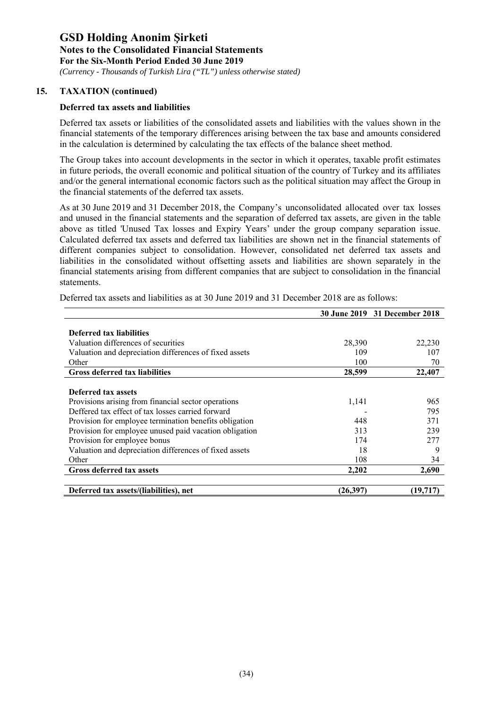*(Currency - Thousands of Turkish Lira ("TL") unless otherwise stated)*

#### **15. TAXATION (continued)**

#### **Deferred tax assets and liabilities**

Deferred tax assets or liabilities of the consolidated assets and liabilities with the values shown in the financial statements of the temporary differences arising between the tax base and amounts considered in the calculation is determined by calculating the tax effects of the balance sheet method.

The Group takes into account developments in the sector in which it operates, taxable profit estimates in future periods, the overall economic and political situation of the country of Turkey and its affiliates and/or the general international economic factors such as the political situation may affect the Group in the financial statements of the deferred tax assets.

As at 30 June 2019 and 31 December 2018, the Company's unconsolidated allocated over tax losses and unused in the financial statements and the separation of deferred tax assets, are given in the table above as titled 'Unused Tax losses and Expiry Years' under the group company separation issue. Calculated deferred tax assets and deferred tax liabilities are shown net in the financial statements of different companies subject to consolidation. However, consolidated net deferred tax assets and liabilities in the consolidated without offsetting assets and liabilities are shown separately in the financial statements arising from different companies that are subject to consolidation in the financial statements.

|                                                        |          | 30 June 2019 31 December 2018 |
|--------------------------------------------------------|----------|-------------------------------|
|                                                        |          |                               |
| Deferred tax liabilities                               |          |                               |
| Valuation differences of securities                    | 28,390   | 22,230                        |
| Valuation and depreciation differences of fixed assets | 109      | 107                           |
| Other                                                  | 100      | 70                            |
| <b>Gross deferred tax liabilities</b>                  | 28,599   | 22,407                        |
|                                                        |          |                               |
| Deferred tax assets                                    |          |                               |
| Provisions arising from financial sector operations    | 1,141    | 965                           |
| Deffered tax effect of tax losses carried forward      |          | 795                           |
| Provision for employee termination benefits obligation | 448      | 371                           |
| Provision for employee unused paid vacation obligation | 313      | 239                           |
| Provision for employee bonus                           | 174      | 277                           |
| Valuation and depreciation differences of fixed assets | 18       | 9                             |
| Other                                                  | 108      | 34                            |
| <b>Gross deferred tax assets</b>                       | 2,202    | 2,690                         |
|                                                        |          |                               |
| Deferred tax assets/(liabilities), net                 | (26,397) | (19, 717)                     |

Deferred tax assets and liabilities as at 30 June 2019 and 31 December 2018 are as follows: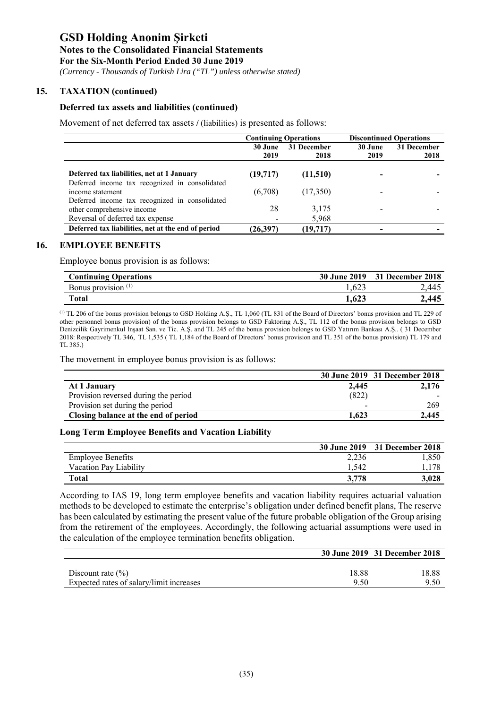*(Currency - Thousands of Turkish Lira ("TL") unless otherwise stated)*

#### **15. TAXATION (continued)**

#### **Deferred tax assets and liabilities (continued)**

Movement of net deferred tax assets **/** (liabilities) is presented as follows:

|                                                                              | <b>Continuing Operations</b> |             | <b>Discontinued Operations</b> |             |
|------------------------------------------------------------------------------|------------------------------|-------------|--------------------------------|-------------|
|                                                                              | 30 June                      | 31 December | 30 June                        | 31 December |
|                                                                              | 2019                         | 2018        | 2019                           | 2018        |
| Deferred tax liabilities, net at 1 January                                   | (19, 717)                    | (11,510)    |                                |             |
| Deferred income tax recognized in consolidated<br>income statement           | (6,708)                      | (17,350)    |                                |             |
| Deferred income tax recognized in consolidated<br>other comprehensive income | 28                           | 3,175       |                                |             |
| Reversal of deferred tax expense                                             |                              | 5,968       |                                |             |
| Deferred tax liabilities, net at the end of period                           | (26,397)                     | (19,717)    |                                |             |

#### **16. EMPLOYEE BENEFITS**

Employee bonus provision is as follows:

| <b>Continuing Operations</b>   |       | 30 June 2019 31 December 2018 |
|--------------------------------|-------|-------------------------------|
| Bonus provision <sup>(1)</sup> | 1,623 | 2,445                         |
| <b>Total</b>                   | 1,623 | 2,445                         |

(1) TL 206 of the bonus provision belongs to GSD Holding A.Ş., TL 1,060 (TL 831 of the Board of Directors' bonus provision and TL 229 of other personnel bonus provision) of the bonus provision belongs to GSD Faktoring A.Ş., TL 112 of the bonus provision belongs to GSD Denizcilik Gayrimenkul Inşaat San. ve Tic. A.Ş. and TL 245 of the bonus provision belongs to GSD Yatırım Bankası A.Ş.. ( 31 December 2018: Respectively TL 346, TL 1,535 ( TL 1,184 of the Board of Directors' bonus provision and TL 351 of the bonus provision) TL 179 and TL 385.)

The movement in employee bonus provision is as follows:

|                                      |       | 30 June 2019 31 December 2018 |
|--------------------------------------|-------|-------------------------------|
| At 1 January                         | 2.445 | 2,176                         |
| Provision reversed during the period | (822) |                               |
| Provision set during the period      | -     | 269                           |
| Closing balance at the end of period | 1.623 | 2,445                         |

#### **Long Term Employee Benefits and Vacation Liability**

|                          |       | 30 June 2019 31 December 2018 |
|--------------------------|-------|-------------------------------|
| <b>Employee Benefits</b> | 2.236 | .850                          |
| Vacation Pay Liability   | 1.542 | .178                          |
| Total                    | 3,778 | 3.028                         |

According to IAS 19, long term employee benefits and vacation liability requires actuarial valuation methods to be developed to estimate the enterprise's obligation under defined benefit plans, The reserve has been calculated by estimating the present value of the future probable obligation of the Group arising from the retirement of the employees. Accordingly, the following actuarial assumptions were used in the calculation of the employee termination benefits obligation.

|                                          |       | 30 June 2019 31 December 2018 |
|------------------------------------------|-------|-------------------------------|
|                                          |       |                               |
| Discount rate $(\% )$                    | 18.88 | 18.88                         |
| Expected rates of salary/limit increases | 9.50  | 9.50                          |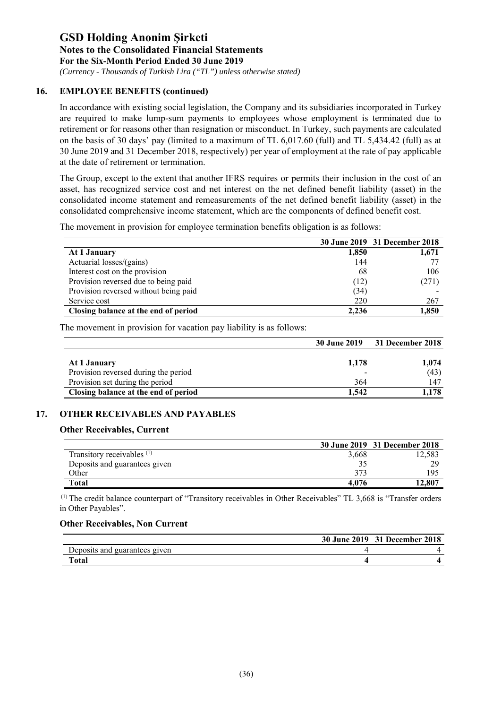*(Currency - Thousands of Turkish Lira ("TL") unless otherwise stated)*

#### **16. EMPLOYEE BENEFITS (continued)**

In accordance with existing social legislation, the Company and its subsidiaries incorporated in Turkey are required to make lump-sum payments to employees whose employment is terminated due to retirement or for reasons other than resignation or misconduct. In Turkey, such payments are calculated on the basis of 30 days' pay (limited to a maximum of TL 6,017.60 (full) and TL 5,434.42 (full) as at 30 June 2019 and 31 December 2018, respectively) per year of employment at the rate of pay applicable at the date of retirement or termination.

The Group, except to the extent that another IFRS requires or permits their inclusion in the cost of an asset, has recognized service cost and net interest on the net defined benefit liability (asset) in the consolidated income statement and remeasurements of the net defined benefit liability (asset) in the consolidated comprehensive income statement, which are the components of defined benefit cost.

The movement in provision for employee termination benefits obligation is as follows:

|                                       |       | 30 June 2019 31 December 2018 |
|---------------------------------------|-------|-------------------------------|
| At 1 January                          | 1,850 | 1,671                         |
| Actuarial losses/(gains)              | 144   |                               |
| Interest cost on the provision        | 68    | 106                           |
| Provision reversed due to being paid  | (12)  | (271)                         |
| Provision reversed without being paid | (34)  |                               |
| Service cost                          | 220   | 267                           |
| Closing balance at the end of period  | 2.236 | 1,850                         |

The movement in provision for vacation pay liability is as follows:

|                                      | <b>30 June 2019</b> | <b>31 December 2018</b> |
|--------------------------------------|---------------------|-------------------------|
|                                      |                     |                         |
| At 1 January                         | 1.178               | 1,074                   |
| Provision reversed during the period |                     | (43)                    |
| Provision set during the period      | 364                 | 147                     |
| Closing balance at the end of period | 1.542               | . 178                   |

#### **17. OTHER RECEIVABLES AND PAYABLES**

#### **Other Receivables, Current**

|                                       |       | 30 June 2019 31 December 2018 |
|---------------------------------------|-------|-------------------------------|
| Transitory receivables <sup>(1)</sup> | 3,668 | .2,583                        |
| Deposits and guarantees given         |       | 20                            |
| Other                                 | 373   | 195                           |
| <b>Total</b>                          | 4.076 | 12.807                        |

 (1) The credit balance counterpart of "Transitory receivables in Other Receivables" TL 3,668 is "Transfer orders in Other Payables".

#### **Other Receivables, Non Current**

|                               | 30 June 2019 31 December 2018 |
|-------------------------------|-------------------------------|
| Deposits and guarantees given |                               |
| Total                         |                               |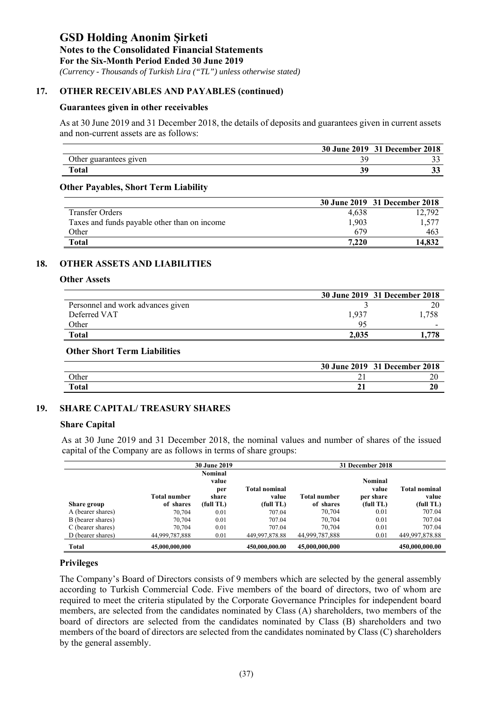*(Currency - Thousands of Turkish Lira ("TL") unless otherwise stated)*

#### **17. OTHER RECEIVABLES AND PAYABLES (continued)**

#### **Guarantees given in other receivables**

As at 30 June 2019 and 31 December 2018, the details of deposits and guarantees given in current assets and non-current assets are as follows:

|                        | 30 June 2019 31 December 2018 |
|------------------------|-------------------------------|
| Other guarantees given |                               |
| Total                  | ັ                             |
|                        |                               |

#### **Other Payables, Short Term Liability**

|                                              |       | 30 June 2019 31 December 2018 |
|----------------------------------------------|-------|-------------------------------|
| <b>Transfer Orders</b>                       | 4.638 | 12,792                        |
| Taxes and funds payable other than on income | 1,903 | 1,577                         |
| Other                                        | 679   | 463                           |
| <b>Total</b>                                 | 7.220 | 14.832                        |

#### **18. OTHER ASSETS AND LIABILITIES**

#### **Other Assets**

|                                   |                | 30 June 2019 31 December 2018 |
|-----------------------------------|----------------|-------------------------------|
| Personnel and work advances given |                |                               |
| Deferred VAT                      | 1.937          | .758                          |
| Other                             | Q <sub>5</sub> | -                             |
| <b>Total</b>                      | 2.035          | 1.778                         |

#### **Other Short Term Liabilities**

|              | 30 June 2019 | 31 December 2018 |
|--------------|--------------|------------------|
| Other        | ∸            |                  |
| <b>Total</b> |              | ∠u               |

#### **19. SHARE CAPITAL/ TREASURY SHARES**

#### **Share Capital**

As at 30 June 2019 and 31 December 2018, the nominal values and number of shares of the issued capital of the Company are as follows in terms of share groups:

|                   |                     | <b>30 June 2019</b> |                      |                     | 31 December 2018 |                      |
|-------------------|---------------------|---------------------|----------------------|---------------------|------------------|----------------------|
|                   |                     | Nominal             |                      |                     |                  |                      |
|                   |                     | value               |                      |                     | Nominal          |                      |
|                   |                     | per                 | <b>Total nominal</b> |                     | value            | <b>Total nominal</b> |
|                   | <b>Total number</b> | share               | value                | <b>Total number</b> | per share        | value                |
| Share group       | of shares           | (full TL)           | (full TL)            | of shares           | (full TL)        | (full TL)            |
| A (bearer shares) | 70,704              | 0.01                | 707.04               | 70,704              | 0.01             | 707.04               |
| B (bearer shares) | 70,704              | 0.01                | 707.04               | 70,704              | 0.01             | 707.04               |
| C (bearer shares) | 70,704              | 0.01                | 707.04               | 70,704              | 0.01             | 707.04               |
| D (bearer shares) | 44,999,787,888      | 0.01                | 449.997.878.88       | 44,999,787,888      | 0.01             | 449,997,878.88       |
| Total             | 45,000,000,000      |                     | 450,000,000.00       | 45,000,000,000      |                  | 450,000,000.00       |

#### **Privileges**

The Company's Board of Directors consists of 9 members which are selected by the general assembly according to Turkish Commercial Code. Five members of the board of directors, two of whom are required to meet the criteria stipulated by the Corporate Governance Principles for independent board members, are selected from the candidates nominated by Class (A) shareholders, two members of the board of directors are selected from the candidates nominated by Class (B) shareholders and two members of the board of directors are selected from the candidates nominated by Class (C) shareholders by the general assembly.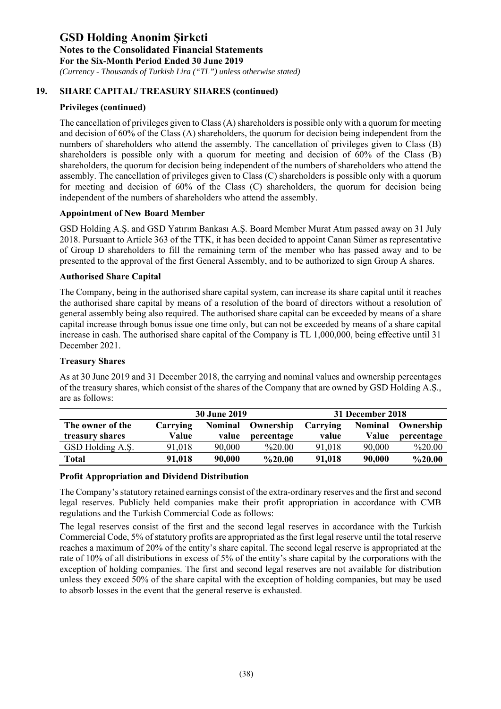*(Currency - Thousands of Turkish Lira ("TL") unless otherwise stated)*

#### **19. SHARE CAPITAL/ TREASURY SHARES (continued)**

#### **Privileges (continued)**

The cancellation of privileges given to Class (A) shareholders is possible only with a quorum for meeting and decision of 60% of the Class (A) shareholders, the quorum for decision being independent from the numbers of shareholders who attend the assembly. The cancellation of privileges given to Class (B) shareholders is possible only with a quorum for meeting and decision of 60% of the Class (B) shareholders, the quorum for decision being independent of the numbers of shareholders who attend the assembly. The cancellation of privileges given to Class (C) shareholders is possible only with a quorum for meeting and decision of 60% of the Class (C) shareholders, the quorum for decision being independent of the numbers of shareholders who attend the assembly.

#### **Appointment of New Board Member**

GSD Holding A.Ş. and GSD Yatırım Bankası A.Ş. Board Member Murat Atım passed away on 31 July 2018. Pursuant to Article 363 of the TTK, it has been decided to appoint Canan Sümer as representative of Group D shareholders to fill the remaining term of the member who has passed away and to be presented to the approval of the first General Assembly, and to be authorized to sign Group A shares.

#### **Authorised Share Capital**

The Company, being in the authorised share capital system, can increase its share capital until it reaches the authorised share capital by means of a resolution of the board of directors without a resolution of general assembly being also required. The authorised share capital can be exceeded by means of a share capital increase through bonus issue one time only, but can not be exceeded by means of a share capital increase in cash. The authorised share capital of the Company is TL 1,000,000, being effective until 31 December 2021.

#### **Treasury Shares**

| are as follows:  |          |                     |                            |       |                  | $\cdots$                 |
|------------------|----------|---------------------|----------------------------|-------|------------------|--------------------------|
|                  |          | <b>30 June 2019</b> |                            |       | 31 December 2018 |                          |
| The owner of the | Carrving |                     | Nominal Ownership Carrying |       |                  | <b>Nominal Ownership</b> |
| treasury shares  | Value    |                     | value percentage           | value |                  | Value percentage         |

GSD Holding A.S. 91,018 90,000 %20.00 91,018 90,000 %20.00 **Total 91,018 90,000 %20.00 91,018 90,000 %20.00**

As at 30 June 2019 and 31 December 2018, the carrying and nominal values and ownership percentages of the treasury shares, which consist of the shares of the Company that are owned by GSD Holding A.Ş.,

#### **Profit Appropriation and Dividend Distribution**

The Company's statutory retained earnings consist of the extra-ordinary reserves and the first and second legal reserves. Publicly held companies make their profit appropriation in accordance with CMB regulations and the Turkish Commercial Code as follows:

The legal reserves consist of the first and the second legal reserves in accordance with the Turkish Commercial Code, 5% of statutory profits are appropriated as the first legal reserve until the total reserve reaches a maximum of 20% of the entity's share capital. The second legal reserve is appropriated at the rate of 10% of all distributions in excess of 5% of the entity's share capital by the corporations with the exception of holding companies. The first and second legal reserves are not available for distribution unless they exceed 50% of the share capital with the exception of holding companies, but may be used to absorb losses in the event that the general reserve is exhausted.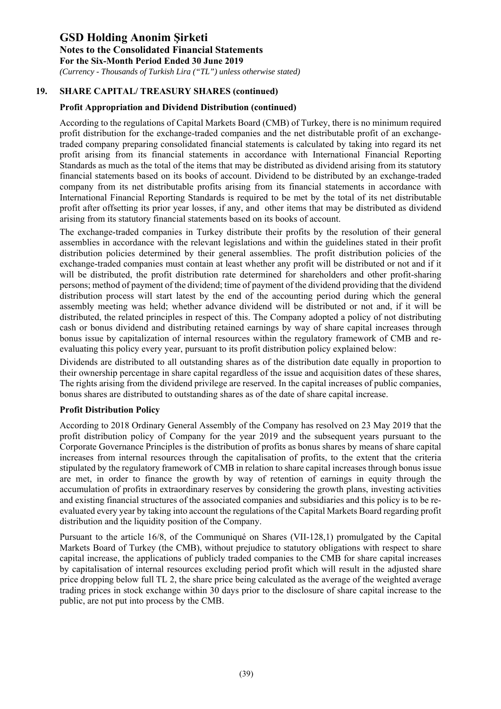*(Currency - Thousands of Turkish Lira ("TL") unless otherwise stated)*

#### **19. SHARE CAPITAL/ TREASURY SHARES (continued)**

#### **Profit Appropriation and Dividend Distribution (continued)**

According to the regulations of Capital Markets Board (CMB) of Turkey, there is no minimum required profit distribution for the exchange-traded companies and the net distributable profit of an exchangetraded company preparing consolidated financial statements is calculated by taking into regard its net profit arising from its financial statements in accordance with International Financial Reporting Standards as much as the total of the items that may be distributed as dividend arising from its statutory financial statements based on its books of account. Dividend to be distributed by an exchange-traded company from its net distributable profits arising from its financial statements in accordance with International Financial Reporting Standards is required to be met by the total of its net distributable profit after offsetting its prior year losses, if any, and other items that may be distributed as dividend arising from its statutory financial statements based on its books of account.

The exchange-traded companies in Turkey distribute their profits by the resolution of their general assemblies in accordance with the relevant legislations and within the guidelines stated in their profit distribution policies determined by their general assemblies. The profit distribution policies of the exchange-traded companies must contain at least whether any profit will be distributed or not and if it will be distributed, the profit distribution rate determined for shareholders and other profit-sharing persons; method of payment of the dividend; time of payment of the dividend providing that the dividend distribution process will start latest by the end of the accounting period during which the general assembly meeting was held; whether advance dividend will be distributed or not and, if it will be distributed, the related principles in respect of this. The Company adopted a policy of not distributing cash or bonus dividend and distributing retained earnings by way of share capital increases through bonus issue by capitalization of internal resources within the regulatory framework of CMB and reevaluating this policy every year, pursuant to its profit distribution policy explained below:

Dividends are distributed to all outstanding shares as of the distribution date equally in proportion to their ownership percentage in share capital regardless of the issue and acquisition dates of these shares, The rights arising from the dividend privilege are reserved. In the capital increases of public companies, bonus shares are distributed to outstanding shares as of the date of share capital increase.

#### **Profit Distribution Policy**

According to 2018 Ordinary General Assembly of the Company has resolved on 23 May 2019 that the profit distribution policy of Company for the year 2019 and the subsequent years pursuant to the Corporate Governance Principles is the distribution of profits as bonus shares by means of share capital increases from internal resources through the capitalisation of profits, to the extent that the criteria stipulated by the regulatory framework of CMB in relation to share capital increases through bonus issue are met, in order to finance the growth by way of retention of earnings in equity through the accumulation of profits in extraordinary reserves by considering the growth plans, investing activities and existing financial structures of the associated companies and subsidiaries and this policy is to be reevaluated every year by taking into account the regulations of the Capital Markets Board regarding profit distribution and the liquidity position of the Company.

Pursuant to the article 16/8, of the Communiqué on Shares (VII-128,1) promulgated by the Capital Markets Board of Turkey (the CMB), without prejudice to statutory obligations with respect to share capital increase, the applications of publicly traded companies to the CMB for share capital increases by capitalisation of internal resources excluding period profit which will result in the adjusted share price dropping below full TL 2, the share price being calculated as the average of the weighted average trading prices in stock exchange within 30 days prior to the disclosure of share capital increase to the public, are not put into process by the CMB.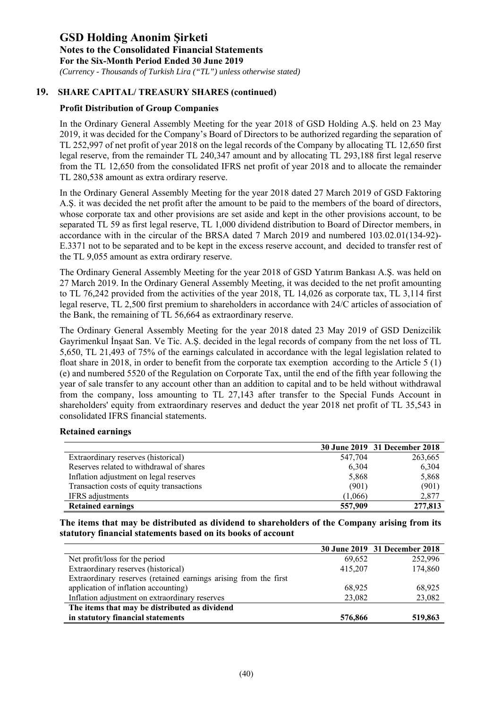*(Currency - Thousands of Turkish Lira ("TL") unless otherwise stated)*

#### **19. SHARE CAPITAL/ TREASURY SHARES (continued)**

#### **Profit Distribution of Group Companies**

In the Ordinary General Assembly Meeting for the year 2018 of GSD Holding A.Ş. held on 23 May 2019, it was decided for the Company's Board of Directors to be authorized regarding the separation of TL 252,997 of net profit of year 2018 on the legal records of the Company by allocating TL 12,650 first legal reserve, from the remainder TL 240,347 amount and by allocating TL 293,188 first legal reserve from the TL 12,650 from the consolidated IFRS net profit of year 2018 and to allocate the remainder TL 280,538 amount as extra ordirary reserve.

In the Ordinary General Assembly Meeting for the year 2018 dated 27 March 2019 of GSD Faktoring A.Ş. it was decided the net profit after the amount to be paid to the members of the board of directors, whose corporate tax and other provisions are set aside and kept in the other provisions account, to be separated TL 59 as first legal reserve, TL 1,000 dividend distribution to Board of Director members, in accordance with in the circular of the BRSA dated 7 March 2019 and numbered 103.02.01(134-92)- E.3371 not to be separated and to be kept in the excess reserve account, and decided to transfer rest of the TL 9,055 amount as extra ordirary reserve.

The Ordinary General Assembly Meeting for the year 2018 of GSD Yatırım Bankası A.Ş. was held on 27 March 2019. In the Ordinary General Assembly Meeting, it was decided to the net profit amounting to TL 76,242 provided from the activities of the year 2018, TL 14,026 as corporate tax, TL 3,114 first legal reserve, TL 2,500 first premium to shareholders in accordance with 24/C articles of association of the Bank, the remaining of TL 56,664 as extraordinary reserve.

The Ordinary General Assembly Meeting for the year 2018 dated 23 May 2019 of GSD Denizcilik Gayrimenkul İnşaat San. Ve Tic. A.Ş. decided in the legal records of company from the net loss of TL 5,650, TL 21,493 of 75% of the earnings calculated in accordance with the legal legislation related to float share in 2018, in order to benefit from the corporate tax exemption according to the Article 5 (1) (e) and numbered 5520 of the Regulation on Corporate Tax, until the end of the fifth year following the year of sale transfer to any account other than an addition to capital and to be held without withdrawal from the company, loss amounting to TL 27,143 after transfer to the Special Funds Account in shareholders' equity from extraordinary reserves and deduct the year 2018 net profit of TL 35,543 in consolidated IFRS financial statements.

#### **Retained earnings**

|                                          |         | 30 June 2019 31 December 2018 |
|------------------------------------------|---------|-------------------------------|
| Extraordinary reserves (historical)      | 547,704 | 263,665                       |
| Reserves related to withdrawal of shares | 6,304   | 6,304                         |
| Inflation adjustment on legal reserves   | 5,868   | 5,868                         |
| Transaction costs of equity transactions | (901)   | (901)                         |
| <b>IFRS</b> adjustments                  | (1.066) | 2,877                         |
| <b>Retained earnings</b>                 | 557,909 | 277,813                       |

**The items that may be distributed as dividend to shareholders of the Company arising from its statutory financial statements based on its books of account** 

|                                                                  |         | 30 June 2019 31 December 2018 |
|------------------------------------------------------------------|---------|-------------------------------|
| Net profit/loss for the period                                   | 69,652  | 252,996                       |
| Extraordinary reserves (historical)                              | 415,207 | 174,860                       |
| Extraordinary reserves (retained earnings arising from the first |         |                               |
| application of inflation accounting)                             | 68.925  | 68.925                        |
| Inflation adjustment on extraordinary reserves                   | 23,082  | 23,082                        |
| The items that may be distributed as dividend                    |         |                               |
| in statutory financial statements                                | 576,866 | 519,863                       |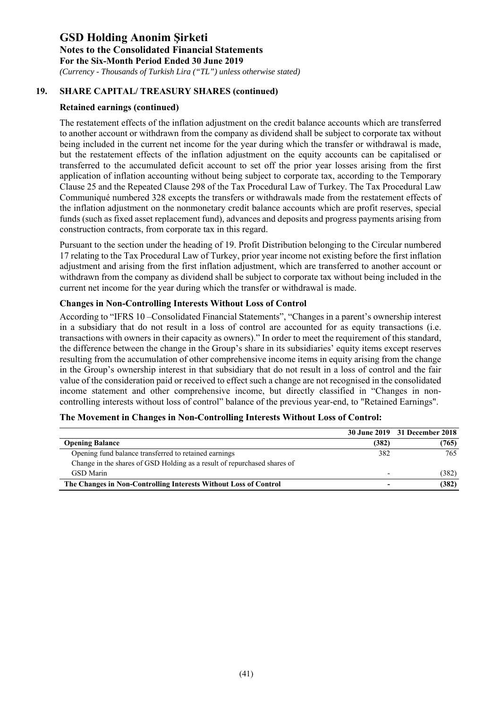*(Currency - Thousands of Turkish Lira ("TL") unless otherwise stated)*

#### **19. SHARE CAPITAL/ TREASURY SHARES (continued)**

#### **Retained earnings (continued)**

The restatement effects of the inflation adjustment on the credit balance accounts which are transferred to another account or withdrawn from the company as dividend shall be subject to corporate tax without being included in the current net income for the year during which the transfer or withdrawal is made, but the restatement effects of the inflation adjustment on the equity accounts can be capitalised or transferred to the accumulated deficit account to set off the prior year losses arising from the first application of inflation accounting without being subject to corporate tax, according to the Temporary Clause 25 and the Repeated Clause 298 of the Tax Procedural Law of Turkey. The Tax Procedural Law Communiqué numbered 328 excepts the transfers or withdrawals made from the restatement effects of the inflation adjustment on the nonmonetary credit balance accounts which are profit reserves, special funds (such as fixed asset replacement fund), advances and deposits and progress payments arising from construction contracts, from corporate tax in this regard.

Pursuant to the section under the heading of 19. Profit Distribution belonging to the Circular numbered 17 relating to the Tax Procedural Law of Turkey, prior year income not existing before the first inflation adjustment and arising from the first inflation adjustment, which are transferred to another account or withdrawn from the company as dividend shall be subject to corporate tax without being included in the current net income for the year during which the transfer or withdrawal is made.

#### **Changes in Non-Controlling Interests Without Loss of Control**

According to "IFRS 10 –Consolidated Financial Statements", "Changes in a parent's ownership interest in a subsidiary that do not result in a loss of control are accounted for as equity transactions (i.e. transactions with owners in their capacity as owners)." In order to meet the requirement of this standard, the difference between the change in the Group's share in its subsidiaries' equity items except reserves resulting from the accumulation of other comprehensive income items in equity arising from the change in the Group's ownership interest in that subsidiary that do not result in a loss of control and the fair value of the consideration paid or received to effect such a change are not recognised in the consolidated income statement and other comprehensive income, but directly classified in "Changes in noncontrolling interests without loss of control" balance of the previous year-end, to "Retained Earnings".

|                                                                          |       | 30 June 2019 31 December 2018 |
|--------------------------------------------------------------------------|-------|-------------------------------|
| <b>Opening Balance</b>                                                   | (382) | (765)                         |
| Opening fund balance transferred to retained earnings                    | 382   | 765                           |
| Change in the shares of GSD Holding as a result of repurchased shares of |       |                               |
| <b>GSD</b> Marin                                                         |       | (382)                         |
| The Changes in Non-Controlling Interests Without Loss of Control         | -     | (382)                         |

#### **The Movement in Changes in Non-Controlling Interests Without Loss of Control:**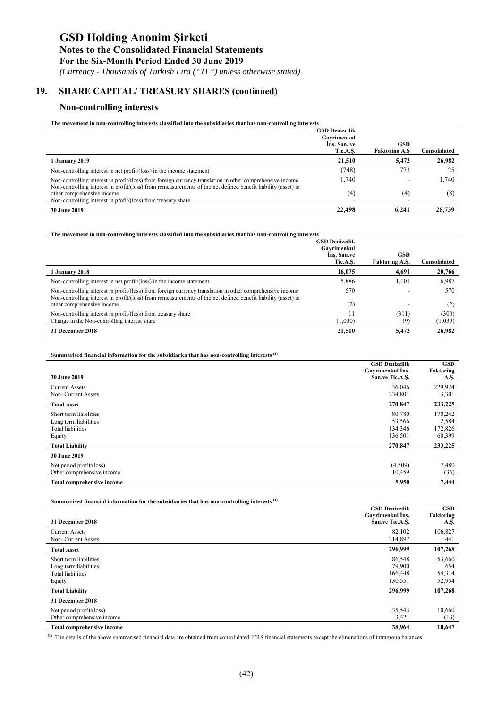### **GSD Holding Anonim Şirketi Notes to the Consolidated Financial Statements**

**For the Six-Month Period Ended 30 June 2019** 

 *(Currency - Thousands of Turkish Lira ("TL") unless otherwise stated)*

### **19. SHARE CAPITAL/ TREASURY SHARES (continued)**

#### **Non-controlling interests**

| The movement in non-controlling interests classified into the subsidiaries that has non-controlling interests |
|---------------------------------------------------------------------------------------------------------------|
|---------------------------------------------------------------------------------------------------------------|

|                                                                                                                                                                                                                            | <b>GSD Denizcilik</b> |                      |              |
|----------------------------------------------------------------------------------------------------------------------------------------------------------------------------------------------------------------------------|-----------------------|----------------------|--------------|
|                                                                                                                                                                                                                            | Gavrimenkul           |                      |              |
|                                                                                                                                                                                                                            | Ins. San. ve          | <b>GSD</b>           |              |
|                                                                                                                                                                                                                            | Tic.A.S.              | <b>Faktoring A.S</b> | Consolidated |
| 1 January 2019                                                                                                                                                                                                             | 21,510                | 5.472                | 26,982       |
| Non-controlling interest in net $profit/(\text{loss})$ in the income statement                                                                                                                                             | (748)                 | 773                  | 25           |
| Non-controlling interest in profit/(loss) from foreign currency translation in other comprehensive income<br>Non-controlling interest in profit/(loss) from remeasurements of the net defined benefit liability (asset) in | 1.740                 | -                    | 1.740        |
| other comprehensive income                                                                                                                                                                                                 | (4)                   | (4)                  | (8)          |
| Non-controlling interest in profit/(loss) from treasury share                                                                                                                                                              |                       |                      |              |
| <b>30 June 2019</b>                                                                                                                                                                                                        | 22,498                | 6.241                | 28,739       |

#### **The movement in non-controlling interests classified into the subsidiaries that has non-controlling interests**

|                                                                                                                                                                                                                            | <b>GSD Denizcilik</b><br>Gavrimenkul |                                |                                |
|----------------------------------------------------------------------------------------------------------------------------------------------------------------------------------------------------------------------------|--------------------------------------|--------------------------------|--------------------------------|
|                                                                                                                                                                                                                            | Ins. San.ve                          | <b>GSD</b>                     |                                |
| 1 January 2018                                                                                                                                                                                                             | Tic.A.S.<br>16,075                   | <b>Faktoring A.S.</b><br>4,691 | C <b>onsolidated</b><br>20,766 |
| Non-controlling interest in net $profit/(\text{loss})$ in the income statement                                                                                                                                             | 5,886                                | 1.101                          | 6,987                          |
| Non-controlling interest in profit/(loss) from foreign currency translation in other comprehensive income<br>Non-controlling interest in profit/(loss) from remeasurements of the net defined benefit liability (asset) in | 570                                  |                                | 570                            |
| other comprehensive income                                                                                                                                                                                                 | (2)                                  |                                | (2)                            |
| Non-controlling interest in profit/(loss) from treasury share<br>Change in the Non-controlling interest share                                                                                                              | (1,030)                              | (311)<br>19                    | (300)<br>(1,039)               |
| 31 December 2018                                                                                                                                                                                                           | 21,510                               | 5,472                          | 26,982                         |

#### **Summarised financial information for the subsidiaries that has non-controlling interests (1)**

| <b>30 June 2019</b>                                                                   | <b>GSD Denizcilik</b><br>Gavrimenkul Ins.<br>San.ve Tic.A.S. | <b>GSD</b><br>Faktoring<br>A.Ş.       |
|---------------------------------------------------------------------------------------|--------------------------------------------------------------|---------------------------------------|
| <b>Current Assets</b><br>Non- Current Assets                                          | 36,046<br>234,801                                            | 229,924<br>3,301                      |
| <b>Total Asset</b>                                                                    | 270,847                                                      | 233,225                               |
| Short term liabilities<br>Long term liabilities<br><b>Total liabilities</b><br>Equity | 80,780<br>53,566<br>134,346<br>136,501                       | 170,242<br>2,584<br>172,826<br>60,399 |
| <b>Total Liability</b>                                                                | 270,847                                                      | 233,225                               |
| 30 June 2019                                                                          |                                                              |                                       |
| Net period profit/(loss)<br>Other comprehensive income                                | (4,509)<br>10,459                                            | 7,480<br>(36)                         |
| <b>Total comprehensive income</b>                                                     | 5,950                                                        | 7,444                                 |

**Summarised financial information for the subsidiaries that has non-controlling interests (1)** 

| 31 December 2018                                                               | <b>GSD Denizcilik</b><br>Gayrimenkul Ins.<br>San.ve Tic.A.S. | <b>GSD</b><br>Faktoring<br>A.Ş.   |
|--------------------------------------------------------------------------------|--------------------------------------------------------------|-----------------------------------|
| <b>Current Assets</b><br>Non- Current Assets                                   | 82,102<br>214,897                                            | 106,827<br>441                    |
| <b>Total Asset</b>                                                             | 296,999                                                      | 107,268                           |
| Short term liabilities<br>Long term liabilities<br>Total liabilities<br>Equity | 86,548<br>79,900<br>166,448<br>130,551                       | 53,660<br>654<br>54,314<br>52,954 |
| <b>Total Liability</b>                                                         | 296,999                                                      | 107,268                           |
| 31 December 2018                                                               |                                                              |                                   |
| Net period profit/(loss)<br>Other comprehensive income                         | 35,543<br>3,421                                              | 10,660<br>(13)                    |
| <b>Total comprehensive income</b>                                              | 38,964                                                       | 10,647                            |

**(1)** The details of the above summarised financial data are obtained from consolidated IFRS financial statements except the eliminations of intragroup balances.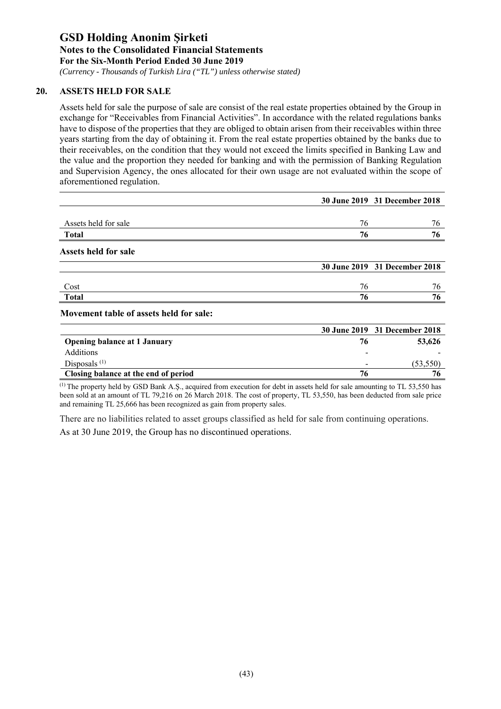*(Currency - Thousands of Turkish Lira ("TL") unless otherwise stated)*

#### **20. ASSETS HELD FOR SALE**

Assets held for sale the purpose of sale are consist of the real estate properties obtained by the Group in exchange for "Receivables from Financial Activities". In accordance with the related regulations banks have to dispose of the properties that they are obliged to obtain arisen from their receivables within three years starting from the day of obtaining it. From the real estate properties obtained by the banks due to their receivables, on the condition that they would not exceed the limits specified in Banking Law and the value and the proportion they needed for banking and with the permission of Banking Regulation and Supervision Agency, the ones allocated for their own usage are not evaluated within the scope of aforementioned regulation.

|                      |    | 30 June 2019 31 December 2018 |
|----------------------|----|-------------------------------|
|                      |    |                               |
| Assets held for sale | 76 | 76                            |
| <b>Total</b>         | 76 | 76                            |
| Assets held for sale |    |                               |
|                      |    | 30 June 2019 31 December 2018 |
| Cost                 | 76 | 76                            |
| <b>Total</b>         | 76 | 76                            |
|                      |    |                               |

|                                      |                          | 30 June 2019 31 December 2018 |
|--------------------------------------|--------------------------|-------------------------------|
| <b>Opening balance at 1 January</b>  |                          | 53,626                        |
| <b>Additions</b>                     |                          |                               |
| Disposals $(1)$                      | $\overline{\phantom{0}}$ | (53.550)                      |
| Closing balance at the end of period | 76.                      |                               |

(1) The property held by GSD Bank A.Ş., acquired from execution for debt in assets held for sale amounting to TL 53,550 has been sold at an amount of TL 79,216 on 26 March 2018. The cost of property, TL 53,550, has been deducted from sale price and remaining TL 25,666 has been recognized as gain from property sales.

There are no liabilities related to asset groups classified as held for sale from continuing operations. As at 30 June 2019, the Group has no discontinued operations.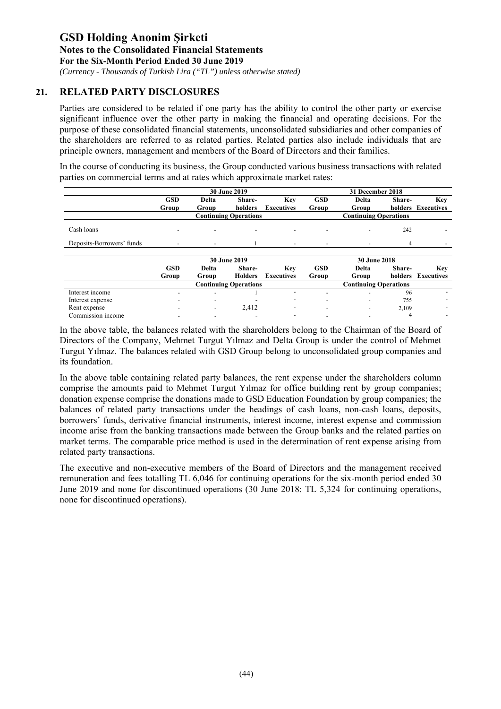*(Currency - Thousands of Turkish Lira ("TL") unless otherwise stated)*

#### **21. RELATED PARTY DISCLOSURES**

Parties are considered to be related if one party has the ability to control the other party or exercise significant influence over the other party in making the financial and operating decisions. For the purpose of these consolidated financial statements, unconsolidated subsidiaries and other companies of the shareholders are referred to as related parties. Related parties also include individuals that are principle owners, management and members of the Board of Directors and their families.

In the course of conducting its business, the Group conducted various business transactions with related parties on commercial terms and at rates which approximate market rates:

|                           |                          |                                     | 30 June 2019                 |                          |                          | 31 December 2018             |         |                          |
|---------------------------|--------------------------|-------------------------------------|------------------------------|--------------------------|--------------------------|------------------------------|---------|--------------------------|
|                           | <b>GSD</b>               | <b>Delta</b>                        | Share-                       | Key                      | <b>GSD</b>               | Delta                        | Share-  | Key                      |
|                           | Group                    | Group                               | holders                      | <b>Executives</b>        | Group                    | Group                        |         | holders Executives       |
|                           |                          |                                     | <b>Continuing Operations</b> |                          |                          | <b>Continuing Operations</b> |         |                          |
| Cash loans                |                          |                                     |                              |                          |                          |                              | 242     |                          |
| Deposits-Borrowers' funds | $\overline{\phantom{a}}$ | ٠                                   |                              | $\overline{\phantom{a}}$ | ٠                        | $\overline{\phantom{a}}$     | 4       |                          |
|                           |                          | 30 June 2019<br><b>30 June 2018</b> |                              |                          |                          |                              |         |                          |
|                           | <b>GSD</b>               | Delta                               | Share-                       | Key                      | <b>GSD</b>               | Delta                        | Share-  | Key                      |
|                           | Group                    | Group                               | <b>Holders</b>               | <b>Executives</b>        | Group                    | Group                        | holders | Executives               |
|                           |                          |                                     | <b>Continuing Operations</b> |                          |                          | <b>Continuing Operations</b> |         |                          |
| Interest income           |                          | $\overline{\phantom{0}}$            |                              | $\overline{\phantom{0}}$ | $\overline{\phantom{0}}$ |                              | 96      |                          |
| Interest expense          |                          |                                     |                              | $\overline{\phantom{a}}$ |                          |                              | 755     |                          |
| Rent expense              |                          |                                     | 2.412                        | $\overline{\phantom{a}}$ |                          |                              | 2,109   |                          |
| Commission income         |                          |                                     |                              | $\overline{a}$           |                          |                              | 4       | $\overline{\phantom{0}}$ |

In the above table, the balances related with the shareholders belong to the Chairman of the Board of Directors of the Company, Mehmet Turgut Yılmaz and Delta Group is under the control of Mehmet Turgut Yılmaz. The balances related with GSD Group belong to unconsolidated group companies and its foundation.

In the above table containing related party balances, the rent expense under the shareholders column comprise the amounts paid to Mehmet Turgut Yılmaz for office building rent by group companies; donation expense comprise the donations made to GSD Education Foundation by group companies; the balances of related party transactions under the headings of cash loans, non-cash loans, deposits, borrowers' funds, derivative financial instruments, interest income, interest expense and commission income arise from the banking transactions made between the Group banks and the related parties on market terms. The comparable price method is used in the determination of rent expense arising from related party transactions.

The executive and non-executive members of the Board of Directors and the management received remuneration and fees totalling TL 6,046 for continuing operations for the six-month period ended 30 June 2019 and none for discontinued operations (30 June 2018: TL 5,324 for continuing operations, none for discontinued operations).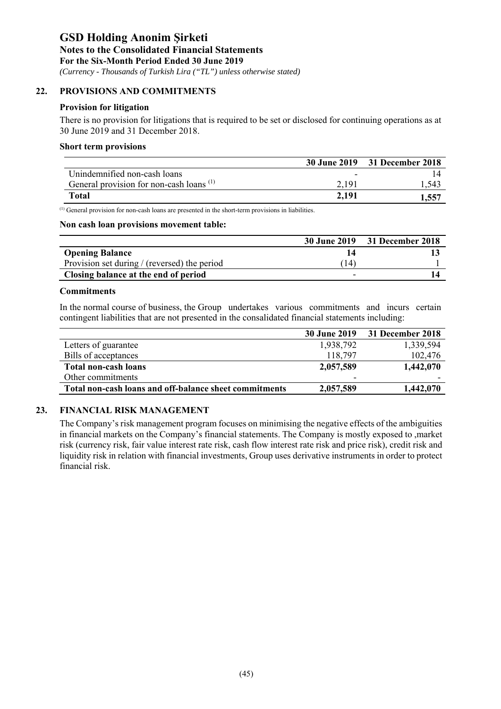*(Currency - Thousands of Turkish Lira ("TL") unless otherwise stated)*

#### **22. PROVISIONS AND COMMITMENTS**

#### **Provision for litigation**

There is no provision for litigations that is required to be set or disclosed for continuing operations as at 30 June 2019 and 31 December 2018.

#### **Short term provisions**

|                                                     |       | 30 June 2019 31 December 2018 |
|-----------------------------------------------------|-------|-------------------------------|
| Unindemnified non-cash loans                        | -     |                               |
| General provision for non-cash loans <sup>(1)</sup> | 2.19  | l.543                         |
| Total                                               | 2,191 | .557                          |

(1) General provision for non-cash loans are presented in the short-term provisions in liabilities.

#### **Non cash loan provisions movement table:**

|                                              |     | 30 June 2019 31 December 2018 |
|----------------------------------------------|-----|-------------------------------|
| <b>Opening Balance</b>                       |     |                               |
| Provision set during / (reversed) the period | 14) |                               |
| Closing balance at the end of period         |     |                               |

#### **Commitments**

In the normal course of business, the Group undertakes various commitments and incurs certain contingent liabilities that are not presented in the consalidated financial statements including:

|                                                        | <b>30 June 2019</b> | 31 December 2018 |
|--------------------------------------------------------|---------------------|------------------|
| Letters of guarantee                                   | 1,938,792           | 1,339,594        |
| Bills of acceptances                                   | 118,797             | 102,476          |
| <b>Total non-cash loans</b>                            | 2,057,589           | 1,442,070        |
| Other commitments                                      | -                   |                  |
| Total non-cash loans and off-balance sheet commitments | 2,057,589           | 1,442,070        |

#### **23. FINANCIAL RISK MANAGEMENT**

The Company's risk management program focuses on minimising the negative effects of the ambiguities in financial markets on the Company's financial statements. The Company is mostly exposed to ,market risk (currency risk, fair value interest rate risk, cash flow interest rate risk and price risk), credit risk and liquidity risk in relation with financial investments, Group uses derivative instruments in order to protect financial risk.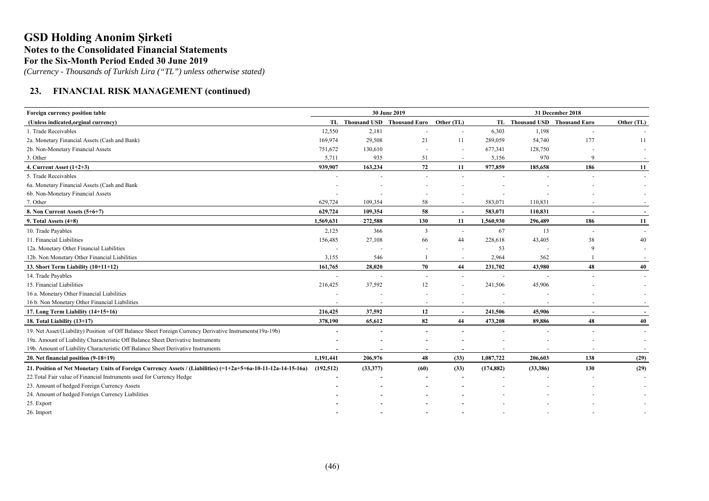*(Currency - Thousands of Turkish Lira ("TL") unless otherwise stated)*

### **23. FINANCIAL RISK MANAGEMENT (continued)**

| Foreign currency position table                                                                                  |            |                               | 30 June 2019             |                          | 31 December 2018 |                               |                          |            |
|------------------------------------------------------------------------------------------------------------------|------------|-------------------------------|--------------------------|--------------------------|------------------|-------------------------------|--------------------------|------------|
| (Unless indicated, orginal currency)                                                                             |            | TL Thousand USD Thousand Euro |                          | Other (TL)               |                  | TL Thousand USD Thousand Euro |                          | Other (TL) |
| 1. Trade Receivables                                                                                             | 12,550     | 2,181                         |                          | $\overline{\phantom{a}}$ | 6,303            | 1,198                         |                          |            |
| 2a. Monetary Financial Assets (Cash and Bank)                                                                    | 169,974    | 29,508                        | 21                       | 11                       | 289,059          | 54,740                        | 177                      | 11         |
| 2b. Non-Monetary Financial Assets                                                                                | 751,672    | 130,610                       |                          | $\sim$                   | 677,341          | 128,750                       |                          |            |
| 3. Other                                                                                                         | 5,711      | 935                           | 51                       | $\sim$                   | 5,156            | 970                           | 9                        |            |
| 4. Current Asset $(1+2+3)$                                                                                       | 939,907    | 163,234                       | 72                       | 11                       | 977,859          | 185,658                       | 186                      | 11         |
| 5. Trade Receivables                                                                                             |            |                               |                          |                          |                  |                               |                          | $\sim$     |
| 6a. Monetary Financial Assets (Cash and Bank                                                                     |            |                               |                          |                          |                  |                               |                          |            |
| 6b. Non-Monetary Financial Assets                                                                                |            |                               |                          |                          |                  |                               |                          |            |
| 7. Other                                                                                                         | 629,724    | 109,354                       | 58                       |                          | 583,071          | 110,831                       |                          |            |
| 8. Non Current Assets (5+6+7)                                                                                    | 629,724    | 109,354                       | 58                       | $\sim$                   | 583,071          | 110,831                       |                          | $\sim$     |
| 9. Total Assets $(4+8)$                                                                                          | 1,569,631  | 272,588                       | 130                      | 11                       | 1,560,930        | 296,489                       | 186                      | 11         |
| 10. Trade Payables                                                                                               | 2,125      | 366                           | 3                        | $\sim$                   | 67               | 13                            | $\overline{\phantom{a}}$ | $\sim$     |
| 11. Financial Liabilities                                                                                        | 156,485    | 27,108                        | 66                       | 44                       | 228,618          | 43,405                        | 38                       | 40         |
| 12a. Monetary Other Financial Liabilities                                                                        |            |                               |                          | $\overline{\phantom{a}}$ | 53               |                               | 9                        |            |
| 12b. Non Monetary Other Financial Liabilities                                                                    | 3,155      | 546                           |                          | $\sim$                   | 2,964            | 562                           |                          |            |
| 13. Short Term Liability (10+11+12)                                                                              | 161,765    | 28,020                        | 70                       | 44                       | 231,702          | 43,980                        | 48                       | 40         |
| 14. Trade Payables                                                                                               |            |                               | $\overline{a}$           | $\sim$                   |                  |                               |                          | $\sim$     |
| 15. Financial Liabilities                                                                                        | 216,425    | 37,592                        | 12                       |                          | 241,506          | 45,906                        |                          |            |
| 16 a. Monetary Other Financial Liabilities                                                                       |            |                               |                          |                          |                  |                               |                          |            |
| 16 b. Non Monetary Other Financial Liabilities                                                                   |            |                               | $\overline{\phantom{a}}$ | $\overline{\phantom{a}}$ |                  |                               |                          |            |
| 17. Long Term Liability (14+15+16)                                                                               | 216,425    | 37,592                        | 12                       | $\overline{\phantom{a}}$ | 241,506          | 45,906                        |                          |            |
| 18. Total Liability (13+17)                                                                                      | 378,190    | 65,612                        | 82                       | 44                       | 473,208          | 89,886                        | 48                       | 40         |
| 19. Net Asset/(Liability) Position of Off Balance Sheet Foreign Currency Derivative Instruments(19a-19b)         |            |                               |                          |                          |                  |                               |                          | $\sim$     |
| 19a. Amount of Liability Characteristic Off Balance Sheet Derivative Instruments                                 |            |                               |                          |                          |                  |                               |                          |            |
| 19b. Amount of Liability Characteristic Off Balance Sheet Derivative Instruments                                 |            |                               |                          |                          |                  |                               |                          |            |
| 20. Net financial position (9-18+19)                                                                             | 1,191,441  | 206,976                       | 48                       | (33)                     | 1,087,722        | 206,603                       | 138                      | (29)       |
| 21. Position of Net Monetary Units of Foreign Currency Assets / (Liabilities) $(=1+2a+5+6a-10-11-12a-14-15-16a)$ | (192, 512) | (33,377)                      | (60)                     | (33)                     | (174, 882)       | (33,386)                      | 130                      | (29)       |
| 22. Total Fair value of Financial Instruments used for Currency Hedge                                            |            |                               |                          |                          |                  |                               |                          |            |
| 23. Amount of hedged Foreign Currency Assets                                                                     |            |                               |                          |                          |                  |                               |                          |            |
| 24. Amount of hedged Foreign Currency Liabilities                                                                |            |                               |                          |                          |                  |                               |                          |            |
| 25. Export                                                                                                       |            |                               |                          |                          |                  |                               |                          |            |
| 26. Import                                                                                                       |            |                               |                          |                          |                  |                               |                          |            |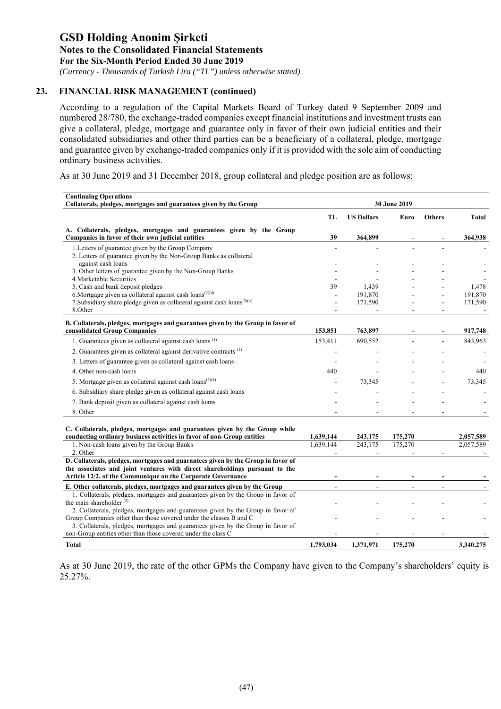*(Currency - Thousands of Turkish Lira ("TL") unless otherwise stated)*

#### **23. FINANCIAL RISK MANAGEMENT (continued)**

According to a regulation of the Capital Markets Board of Turkey dated 9 September 2009 and numbered 28/780, the exchange-traded companies except financial institutions and investment trusts can give a collateral, pledge, mortgage and guarantee only in favor of their own judicial entities and their consolidated subsidiaries and other third parties can be a beneficiary of a collateral, pledge, mortgage and guarantee given by exchange-traded companies only if it is provided with the sole aim of conducting ordinary business activities.

As at 30 June 2019 and 31 December 2018, group collateral and pledge position are as follows:

| <b>Continuing Operations</b><br>Collaterals, pledges, mortgages and guarantees given by the Group                                                      | 30 June 2019 |                   |         |               |           |
|--------------------------------------------------------------------------------------------------------------------------------------------------------|--------------|-------------------|---------|---------------|-----------|
|                                                                                                                                                        | TL           | <b>US Dollars</b> | Euro    | <b>Others</b> | Total     |
| A. Collaterals, pledges, mortgages and guarantees given by the Group<br>Companies in favor of their own judicial entities                              | 39           | 364,899           |         |               | 364,938   |
| 1. Letters of guarantee given by the Group Company<br>2. Letters of guarantee given by the Non-Group Banks as collateral                               |              |                   |         |               |           |
| against cash loans                                                                                                                                     |              |                   |         |               |           |
| 3. Other letters of guarantee given by the Non-Group Banks                                                                                             |              |                   |         |               |           |
| 4. Marketable Securities<br>5. Cash and bank deposit pledges                                                                                           | 39           | 1,439             |         |               | 1,478     |
| 6. Mortgage given as collateral against cash loans $(3)(4)$                                                                                            |              | 191,870           |         |               | 191,870   |
| 7. Subsidiary share pledge given as collateral against cash loans <sup>(3)(4)</sup>                                                                    |              | 171,590           |         |               | 171,590   |
| 8.Other                                                                                                                                                |              |                   |         | ÷             |           |
| B. Collaterals, pledges, mortgages and guarantees given by the Group in favor of<br>consolidated Group Companies                                       | 153,851      | 763,897           |         |               | 917,748   |
| 1. Guarantees given as collateral against cash loans <sup>(1)</sup>                                                                                    | 153,411      | 690,552           |         |               | 843,963   |
| 2. Guarantees given as collateral against derivative contracts <sup>(1)</sup>                                                                          |              |                   |         |               |           |
| 3. Letters of guarantee given as collateral against cash loans                                                                                         |              |                   |         |               |           |
| 4. Other non-cash loans                                                                                                                                | 440          |                   |         |               | 440       |
| 5. Mortgage given as collateral against cash loans <sup><math>(3)(4)</math></sup>                                                                      |              | 73,345            |         |               | 73,345    |
|                                                                                                                                                        |              |                   |         |               |           |
| 6. Subsidiary share pledge given as collateral against cash loans                                                                                      |              |                   |         |               |           |
| 7. Bank deposit given as collateral against cash loans                                                                                                 |              |                   |         |               |           |
| 8. Other                                                                                                                                               |              |                   |         |               |           |
| C. Collaterals, pledges, mortgages and guarantees given by the Group while                                                                             |              |                   |         |               |           |
| conducting ordinary business activities in favor of non-Group entities                                                                                 | 1,639,144    | 243,175           | 175,270 |               | 2,057,589 |
| 1. Non-cash loans given by the Group Banks<br>2. Other                                                                                                 | 1.639.144    | 243,175           | 175,270 |               | 2,057,589 |
| D. Collaterals, pledges, mortgages and guarantees given by the Group in favor of                                                                       |              |                   |         |               |           |
| the associates and joint ventures with direct shareholdings pursuant to the                                                                            |              |                   |         |               |           |
| Article 12/2, of the Communique on the Corporate Governance                                                                                            |              |                   |         |               |           |
| E. Other collaterals, pledges, mortgages and guarantees given by the Group                                                                             |              |                   |         |               |           |
| 1. Collaterals, pledges, mortgages and guarantees given by the Group in favor of<br>the main shareholder $(2)$                                         |              |                   |         |               |           |
| 2. Collaterals, pledges, mortgages and guarantees given by the Group in favor of<br>Group Companies other than those covered under the classes B and C |              |                   |         |               |           |
| 3. Collaterals, pledges, mortgages and guarantees given by the Group in favor of                                                                       |              |                   |         |               |           |
| non-Group entities other than those covered under the class C                                                                                          |              |                   |         |               |           |
| <b>Total</b>                                                                                                                                           | 1,793,034    | 1,371,971         | 175,270 |               | 3,340,275 |

As at 30 June 2019, the rate of the other GPMs the Company have given to the Company's shareholders' equity is 25.27%.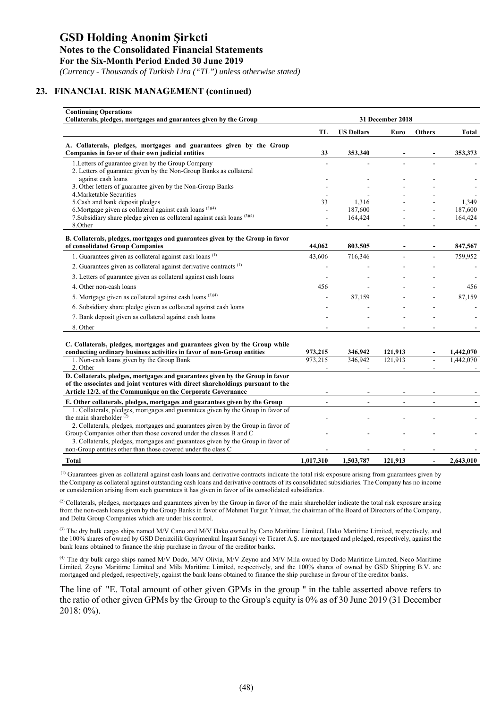*(Currency - Thousands of Turkish Lira ("TL") unless otherwise stated)*

#### **23. FINANCIAL RISK MANAGEMENT (continued)**

| <b>Continuing Operations</b><br>Collaterals, pledges, mortgages and guarantees given by the Group                                                      | 31 December 2018 |                   |         |                |              |
|--------------------------------------------------------------------------------------------------------------------------------------------------------|------------------|-------------------|---------|----------------|--------------|
|                                                                                                                                                        | TL               | <b>US Dollars</b> | Euro    | <b>Others</b>  | <b>Total</b> |
| A. Collaterals, pledges, mortgages and guarantees given by the Group<br>Companies in favor of their own judicial entities                              | 33               | 353,340           |         |                | 353,373      |
| 1. Letters of guarantee given by the Group Company                                                                                                     |                  |                   |         |                |              |
| 2. Letters of guarantee given by the Non-Group Banks as collateral<br>against cash loans                                                               |                  |                   |         |                |              |
| 3. Other letters of guarantee given by the Non-Group Banks                                                                                             |                  |                   |         |                |              |
| 4. Marketable Securities                                                                                                                               |                  |                   |         |                |              |
| 5. Cash and bank deposit pledges                                                                                                                       | 33               | 1.316             |         |                | 1.349        |
| 6. Mortgage given as collateral against cash loans $(3)(4)$                                                                                            |                  | 187,600           |         |                | 187,600      |
| 7. Subsidiary share pledge given as collateral against cash loans (3)(4)<br>8.Other                                                                    |                  | 164,424           |         |                | 164,424      |
| B. Collaterals, pledges, mortgages and guarantees given by the Group in favor                                                                          |                  |                   |         |                |              |
| of consolidated Group Companies                                                                                                                        | 44,062           | 803,505           |         |                | 847,567      |
| 1. Guarantees given as collateral against cash loans <sup>(1)</sup>                                                                                    | 43,606           | 716,346           |         |                | 759,952      |
| 2. Guarantees given as collateral against derivative contracts <sup>(1)</sup>                                                                          |                  |                   |         |                |              |
| 3. Letters of guarantee given as collateral against cash loans                                                                                         |                  |                   |         |                |              |
| 4. Other non-cash loans                                                                                                                                | 456              |                   |         |                | 456          |
| 5. Mortgage given as collateral against cash loans $(3)(4)$                                                                                            |                  | 87,159            |         |                | 87,159       |
| 6. Subsidiary share pledge given as collateral against cash loans                                                                                      |                  |                   |         |                |              |
| 7. Bank deposit given as collateral against cash loans                                                                                                 |                  |                   |         |                |              |
| 8. Other                                                                                                                                               |                  |                   |         |                |              |
| C. Collaterals, pledges, mortgages and guarantees given by the Group while                                                                             |                  |                   |         |                |              |
| conducting ordinary business activities in favor of non-Group entities                                                                                 | 973,215          | 346,942           | 121,913 |                | 1,442,070    |
| 1. Non-cash loans given by the Group Bank                                                                                                              | 973.215          | 346,942           | 121.913 |                | 1.442.070    |
| 2. Other<br>D. Collaterals, pledges, mortgages and guarantees given by the Group in favor                                                              |                  |                   |         |                |              |
| of the associates and joint ventures with direct shareholdings pursuant to the                                                                         |                  |                   |         |                |              |
| Article 12/2. of the Communique on the Corporate Governance                                                                                            |                  |                   |         |                |              |
| E. Other collaterals, pledges, mortgages and guarantees given by the Group                                                                             |                  |                   |         |                |              |
| 1. Collaterals, pledges, mortgages and guarantees given by the Group in favor of                                                                       |                  |                   |         |                |              |
| the main shareholder $(2)$                                                                                                                             |                  |                   |         |                |              |
| 2. Collaterals, pledges, mortgages and guarantees given by the Group in favor of<br>Group Companies other than those covered under the classes B and C |                  |                   |         |                |              |
| 3. Collaterals, pledges, mortgages and guarantees given by the Group in favor of                                                                       |                  |                   |         |                |              |
| non-Group entities other than those covered under the class C                                                                                          |                  |                   |         |                |              |
| <b>Total</b>                                                                                                                                           | 1,017,310        | 1,503,787         | 121,913 | $\blacksquare$ | 2,643,010    |

 (1) Guarantees given as collateral against cash loans and derivative contracts indicate the total risk exposure arising from guarantees given by the Company as collateral against outstanding cash loans and derivative contracts of its consolidated subsidiaries. The Company has no income or consideration arising from such guarantees it has given in favor of its consolidated subsidiaries.

<sup>(2)</sup> Collaterals, pledges, mortgages and guarantees given by the Group in favor of the main shareholder indicate the total risk exposure arising from the non-cash loans given by the Group Banks in favor of Mehmet Turgut Yılmaz, the chairman of the Board of Directors of the Company, and Delta Group Companies which are under his control.

<sup>(3)</sup> The dry bulk cargo ships named M/V Cano and M/V Hako owned by Cano Maritime Limited, Hako Maritime Limited, respectively, and the 100% shares of owned by GSD Denizcilik Gayrimenkul İnşaat Sanayi ve Ticaret A.Ş. are mortgaged and pledged, respectively, against the bank loans obtained to finance the ship purchase in favour of the creditor banks.

(4) The dry bulk cargo ships named M/V Dodo, M/V Olivia, M/V Zeyno and M/V Mila owned by Dodo Maritime Limited, Neco Maritime Limited, Zeyno Maritime Limited and Mila Maritime Limited, respectively, and the 100% shares of owned by GSD Shipping B.V. are mortgaged and pledged, respectively, against the bank loans obtained to finance the ship purchase in favour of the creditor banks.

The line of "E. Total amount of other given GPMs in the group " in the table asserted above refers to the ratio of other given GPMs by the Group to the Group's equity is 0% as of 30 June 2019 (31 December 2018: 0%).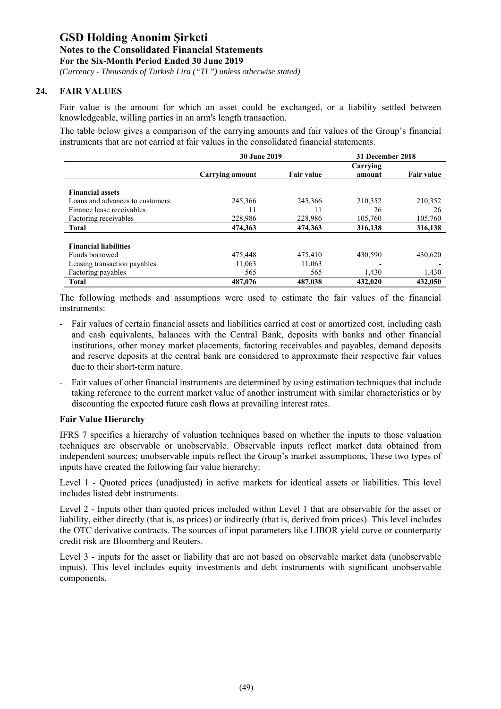*(Currency - Thousands of Turkish Lira ("TL") unless otherwise stated)*

#### **24. FAIR VALUES**

Fair value is the amount for which an asset could be exchanged, or a liability settled between knowledgeable, willing parties in an arm's length transaction.

The table below gives a comparison of the carrying amounts and fair values of the Group's financial instruments that are not carried at fair values in the consolidated financial statements.

|                                 | <b>30 June 2019</b> |                   | 31 December 2018 |                   |
|---------------------------------|---------------------|-------------------|------------------|-------------------|
|                                 |                     |                   | Carrying         |                   |
|                                 | Carrying amount     | <b>Fair value</b> | amount           | <b>Fair value</b> |
|                                 |                     |                   |                  |                   |
| <b>Financial assets</b>         |                     |                   |                  |                   |
| Loans and advances to customers | 245,366             | 245,366           | 210,352          | 210,352           |
| Finance lease receivables       | 11                  |                   | 26               | 26                |
| Factoring receivables           | 228,986             | 228,986           | 105,760          | 105,760           |
| <b>Total</b>                    | 474.363             | 474,363           | 316,138          | 316,138           |
|                                 |                     |                   |                  |                   |
| <b>Financial liabilities</b>    |                     |                   |                  |                   |
| Funds borrowed                  | 475,448             | 475,410           | 430,590          | 430,620           |
| Leasing transaction payables    | 11,063              | 11,063            |                  |                   |
| Factoring payables              | 565                 | 565               | 1,430            | 1,430             |
| <b>Total</b>                    | 487,076             | 487,038           | 432,020          | 432,050           |

The following methods and assumptions were used to estimate the fair values of the financial instruments:

- Fair values of certain financial assets and liabilities carried at cost or amortized cost, including cash and cash equivalents, balances with the Central Bank, deposits with banks and other financial institutions, other money market placements, factoring receivables and payables, demand deposits and reserve deposits at the central bank are considered to approximate their respective fair values due to their short-term nature.
- Fair values of other financial instruments are determined by using estimation techniques that include taking reference to the current market value of another instrument with similar characteristics or by discounting the expected future cash flows at prevailing interest rates.

#### **Fair Value Hierarchy**

IFRS 7 specifies a hierarchy of valuation techniques based on whether the inputs to those valuation techniques are observable or unobservable. Observable inputs reflect market data obtained from independent sources; unobservable inputs reflect the Group's market assumptions, These two types of inputs have created the following fair value hierarchy:

Level 1 - Quoted prices (unadjusted) in active markets for identical assets or liabilities. This level includes listed debt instruments.

Level 2 - Inputs other than quoted prices included within Level 1 that are observable for the asset or liability, either directly (that is, as prices) or indirectly (that is, derived from prices). This level includes the OTC derivative contracts. The sources of input parameters like LIBOR yield curve or counterparty credit risk are Bloomberg and Reuters.

Level 3 - inputs for the asset or liability that are not based on observable market data (unobservable inputs). This level includes equity investments and debt instruments with significant unobservable components.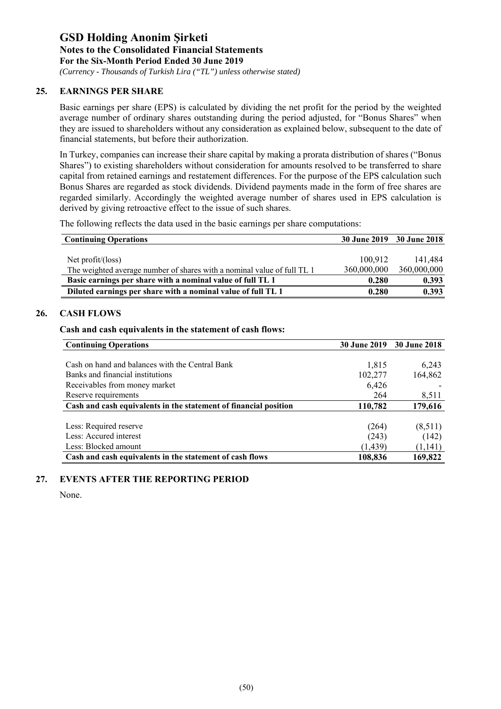*(Currency - Thousands of Turkish Lira ("TL") unless otherwise stated)*

#### **25. EARNINGS PER SHARE**

Basic earnings per share (EPS) is calculated by dividing the net profit for the period by the weighted average number of ordinary shares outstanding during the period adjusted, for "Bonus Shares" when they are issued to shareholders without any consideration as explained below, subsequent to the date of financial statements, but before their authorization.

In Turkey, companies can increase their share capital by making a prorata distribution of shares ("Bonus Shares") to existing shareholders without consideration for amounts resolved to be transferred to share capital from retained earnings and restatement differences. For the purpose of the EPS calculation such Bonus Shares are regarded as stock dividends. Dividend payments made in the form of free shares are regarded similarly. Accordingly the weighted average number of shares used in EPS calculation is derived by giving retroactive effect to the issue of such shares.

The following reflects the data used in the basic earnings per share computations:

| <b>Continuing Operations</b>                                            |             | 30 June 2019 30 June 2018 |
|-------------------------------------------------------------------------|-------------|---------------------------|
|                                                                         |             |                           |
| Net profit/(loss)                                                       | 100,912     | 141.484                   |
| The weighted average number of shares with a nominal value of full TL 1 | 360,000,000 | 360,000,000               |
| Basic earnings per share with a nominal value of full TL 1              | 0.280       | 0.393                     |
| Diluted earnings per share with a nominal value of full TL 1            | 0.280       | 0.393                     |

#### **26. CASH FLOWS**

#### **Cash and cash equivalents in the statement of cash flows:**

| <b>Continuing Operations</b>                                     | <b>30 June 2019</b> | 30 June 2018 |
|------------------------------------------------------------------|---------------------|--------------|
|                                                                  |                     |              |
| Cash on hand and balances with the Central Bank                  | 1,815               | 6,243        |
| Banks and financial institutions                                 | 102,277             | 164,862      |
| Receivables from money market                                    | 6,426               |              |
| Reserve requirements                                             | 264                 | 8,511        |
| Cash and cash equivalents in the statement of financial position | 110,782             | 179,616      |
|                                                                  |                     |              |
| Less: Required reserve                                           | (264)               | (8,511)      |
| Less: Accured interest                                           | (243)               | (142)        |
| Less: Blocked amount                                             | (1, 439)            | (1,141)      |
| Cash and cash equivalents in the statement of cash flows         | 108,836             | 169,822      |

#### **27. EVENTS AFTER THE REPORTING PERIOD**

None.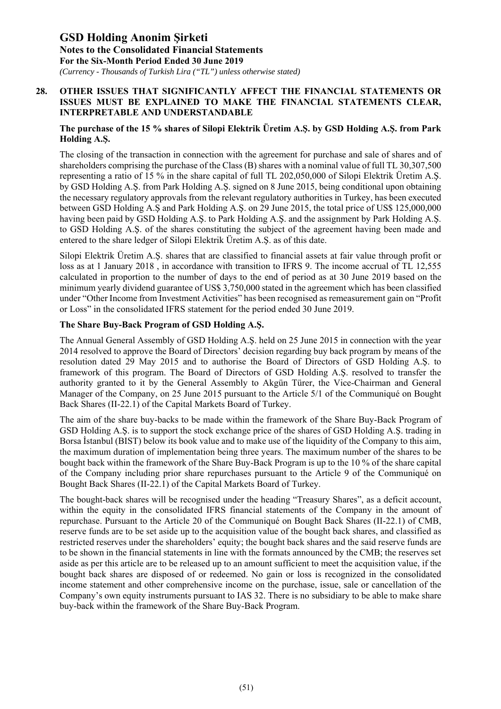*(Currency - Thousands of Turkish Lira ("TL") unless otherwise stated)*

#### **28. OTHER ISSUES THAT SIGNIFICANTLY AFFECT THE FINANCIAL STATEMENTS OR ISSUES MUST BE EXPLAINED TO MAKE THE FINANCIAL STATEMENTS CLEAR, INTERPRETABLE AND UNDERSTANDABLE**

#### **The purchase of the 15 % shares of Silopi Elektrik Üretim A.Ş. by GSD Holding A.Ş. from Park Holding A.Ş.**

The closing of the transaction in connection with the agreement for purchase and sale of shares and of shareholders comprising the purchase of the Class (B) shares with a nominal value of full TL 30,307,500 representing a ratio of 15 % in the share capital of full TL 202,050,000 of Silopi Elektrik Üretim A.Ş. by GSD Holding A.Ş. from Park Holding A.Ş. signed on 8 June 2015, being conditional upon obtaining the necessary regulatory approvals from the relevant regulatory authorities in Turkey, has been executed between GSD Holding A.Ş and Park Holding A.Ş. on 29 June 2015, the total price of US\$ 125,000,000 having been paid by GSD Holding A.Ş. to Park Holding A.Ş. and the assignment by Park Holding A.Ş. to GSD Holding A.Ş. of the shares constituting the subject of the agreement having been made and entered to the share ledger of Silopi Elektrik Üretim A.Ş. as of this date.

Silopi Elektrik Üretim A.Ş. shares that are classified to financial assets at fair value through profit or loss as at 1 January 2018 , in accordance with transition to IFRS 9. The income accrual of TL 12,555 calculated in proportion to the number of days to the end of period as at 30 June 2019 based on the minimum yearly dividend guarantee of US\$ 3,750,000 stated in the agreement which has been classified under "Other Income from Investment Activities" has been recognised as remeasurement gain on "Profit or Loss" in the consolidated IFRS statement for the period ended 30 June 2019.

#### **The Share Buy-Back Program of GSD Holding A.Ş.**

The Annual General Assembly of GSD Holding A.Ş. held on 25 June 2015 in connection with the year 2014 resolved to approve the Board of Directors' decision regarding buy back program by means of the resolution dated 29 May 2015 and to authorise the Board of Directors of GSD Holding A.Ş. to framework of this program. The Board of Directors of GSD Holding A.Ş. resolved to transfer the authority granted to it by the General Assembly to Akgün Türer, the Vice-Chairman and General Manager of the Company, on 25 June 2015 pursuant to the Article 5/1 of the Communiqué on Bought Back Shares (II-22.1) of the Capital Markets Board of Turkey.

The aim of the share buy-backs to be made within the framework of the Share Buy-Back Program of GSD Holding A.Ş. is to support the stock exchange price of the shares of GSD Holding A.Ş. trading in Borsa İstanbul (BIST) below its book value and to make use of the liquidity of the Company to this aim, the maximum duration of implementation being three years. The maximum number of the shares to be bought back within the framework of the Share Buy-Back Program is up to the 10 % of the share capital of the Company including prior share repurchases pursuant to the Article 9 of the Communiqué on Bought Back Shares (II-22.1) of the Capital Markets Board of Turkey.

The bought-back shares will be recognised under the heading "Treasury Shares", as a deficit account, within the equity in the consolidated IFRS financial statements of the Company in the amount of repurchase. Pursuant to the Article 20 of the Communiqué on Bought Back Shares (II-22.1) of CMB, reserve funds are to be set aside up to the acquisition value of the bought back shares, and classified as restricted reserves under the shareholders' equity; the bought back shares and the said reserve funds are to be shown in the financial statements in line with the formats announced by the CMB; the reserves set aside as per this article are to be released up to an amount sufficient to meet the acquisition value, if the bought back shares are disposed of or redeemed. No gain or loss is recognized in the consolidated income statement and other comprehensive income on the purchase, issue, sale or cancellation of the Company's own equity instruments pursuant to IAS 32. There is no subsidiary to be able to make share buy-back within the framework of the Share Buy-Back Program.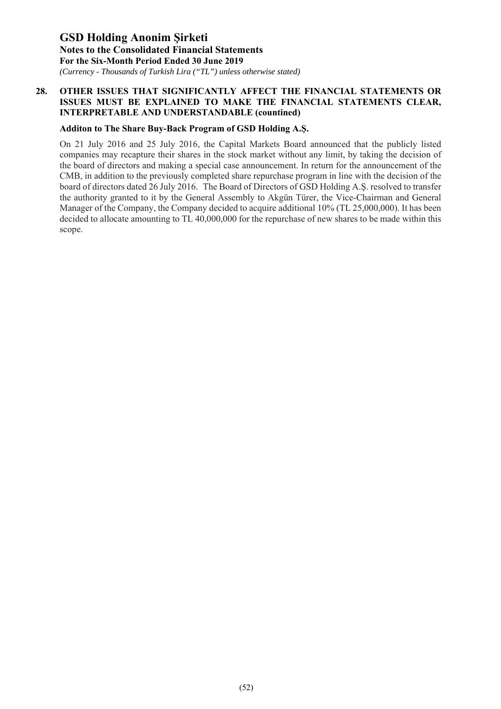*(Currency - Thousands of Turkish Lira ("TL") unless otherwise stated)*

#### **28. OTHER ISSUES THAT SIGNIFICANTLY AFFECT THE FINANCIAL STATEMENTS OR ISSUES MUST BE EXPLAINED TO MAKE THE FINANCIAL STATEMENTS CLEAR, INTERPRETABLE AND UNDERSTANDABLE (countined)**

#### **Additon to The Share Buy-Back Program of GSD Holding A.Ş.**

On 21 July 2016 and 25 July 2016, the Capital Markets Board announced that the publicly listed companies may recapture their shares in the stock market without any limit, by taking the decision of the board of directors and making a special case announcement. In return for the announcement of the CMB, in addition to the previously completed share repurchase program in line with the decision of the board of directors dated 26 July 2016. The Board of Directors of GSD Holding A.Ş. resolved to transfer the authority granted to it by the General Assembly to Akgün Türer, the Vice-Chairman and General Manager of the Company, the Company decided to acquire additional 10% (TL 25,000,000). It has been decided to allocate amounting to TL 40,000,000 for the repurchase of new shares to be made within this scope.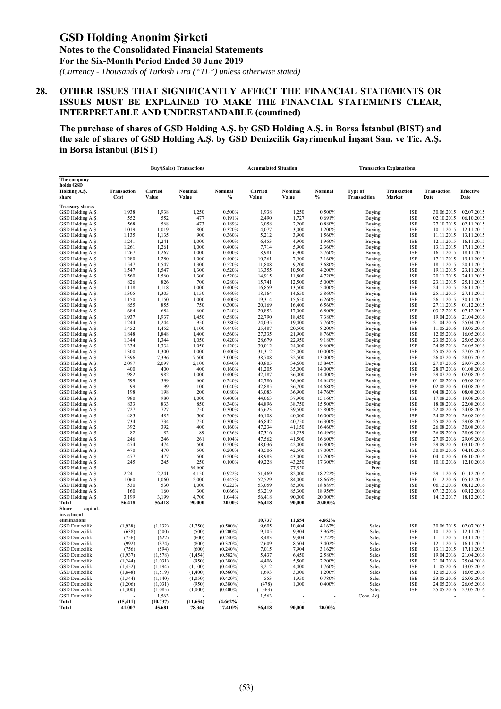*(Currency - Thousands of Turkish Lira ("TL") unless otherwise stated)*

#### **28. OTHER ISSUES THAT SIGNIFICANTLY AFFECT THE FINANCIAL STATEMENTS OR ISSUES MUST BE EXPLAINED TO MAKE THE FINANCIAL STATEMENTS CLEAR, INTERPRETABLE AND UNDERSTANDABLE (countined)**

**The purchase of shares of GSD Holding A.Ş. by GSD Holding A.Ş. in Borsa İstanbul (BIST) and the sale of shares of GSD Holding A.Ş. by GSD Denizcilik Gayrimenkul İnşaat San. ve Tic. A.Ş. in Borsa İstanbul (BIST)** 

|                                                | <b>Buy/(Sales) Transactions</b> |                    |                    |                            | <b>Accumulated Situation</b> |                  |                    | <b>Transaction Explanations</b> |                          |                            |                                     |
|------------------------------------------------|---------------------------------|--------------------|--------------------|----------------------------|------------------------------|------------------|--------------------|---------------------------------|--------------------------|----------------------------|-------------------------------------|
| The company<br>holds GSD                       |                                 |                    |                    |                            |                              |                  |                    |                                 |                          |                            |                                     |
| Holding A.S.<br>share                          | Transaction<br>Cost             | Carried<br>Value   | Nominal<br>Value   | Nominal<br>$\%$            | Carried<br>Value             | Nominal<br>Value | Nominal<br>$\%$    | Type of<br>Transacition         | Transaction<br>Market    | <b>Transaction</b><br>Date | <b>Effective</b><br>Date            |
| <b>Treasury shares</b>                         |                                 |                    |                    |                            |                              |                  |                    |                                 |                          |                            |                                     |
| GSD Holding A.S.                               | 1,938                           | 1,938              | 1,250              | 0.500%                     | 1,938                        | 1,250            | 0.500%             | Buying                          | <b>ISE</b>               | 30.06.2015                 | 02.07.2015                          |
| GSD Holding A.S.<br>GSD Holding A.S.           | 552                             | 552                | 477                | 0.191%                     | 2,490                        | 1,727            | 0.691%             | Buying                          | <b>ISE</b>               | 02.10.2015<br>27.10.2015   | 06.10.2015                          |
| GSD Holding A.Ş.                               | 568<br>1,019                    | 568<br>1,019       | 473<br>800         | 0.189%<br>0.320%           | 3,058<br>4,077               | 2,200<br>3,000   | 0.880%<br>1.200%   | Buying<br>Buying                | <b>ISE</b><br><b>ISE</b> | 10.11.2015                 | 02.11.2015<br>12.11.2015            |
| GSD Holding A.S.                               | 1,135                           | 1,135              | 900                | 0.360%                     | 5,212                        | 3,900            | 1.560%             | Buying                          | <b>ISE</b>               | 11.11.2015                 | 13.11.2015                          |
| GSD Holding A.S.                               | 1,241                           | 1,241              | 1,000              | 0.400%                     | 6,453                        | 4,900            | 1.960%             | Buying                          | <b>ISE</b>               | 12.11.2015                 | 16.11.2015                          |
| GSD Holding A.S.                               | 1,261                           | 1,261              | 1,000              | 0.400%                     | 7,714                        | 5,900            | 2.360%             | Buying                          | <b>ISE</b>               | 13.11.2015                 | 17.11.2015                          |
| GSD Holding A.S.                               | 1,267<br>1,280                  | 1,267<br>1,280     | 1,000<br>1,000     | 0.400%<br>0.400%           | 8,981<br>10,261              | 6,900<br>7,900   | 2.760%<br>3.160%   | Buying                          | ISE<br><b>ISE</b>        | 16.11.2015<br>17.11.2015   | 18.11.2015<br>19.11.2015            |
| GSD Holding A.Ş.<br>GSD Holding A.S.           | 1,547                           | 1,547              | 1,300              | 0.520%                     | 11,808                       | 9,200            | 3.680%             | Buying<br>Buying                | <b>ISE</b>               | 18.11.2015                 | 20.11.2015                          |
| GSD Holding A.Ş.                               | 1,547                           | 1,547              | 1,300              | 0.520%                     | 13,355                       | 10,500           | 4.200%             | Buying                          | <b>ISE</b>               | 19.11.2015                 | 23.11.2015                          |
| GSD Holding A.S.                               | 1,560                           | 1,560              | 1,300              | 0.520%                     | 14,915                       | 11,800           | 4.720%             | Buying                          | <b>ISE</b>               | 20.11.2015                 | 24.11.2015                          |
| GSD Holding A.S.                               | 826                             | 826                | 700                | 0.280%                     | 15,741                       | 12,500           | 5.000%             | <b>Buying</b>                   | <b>ISE</b>               | 23.11.2015                 | 25.11.2015                          |
| GSD Holding A.Ş.<br>GSD Holding A.S.           | 1,118<br>1,305                  | 1,118<br>1,305     | 1,000<br>1,150     | 0.400%<br>0.460%           | 16,859<br>18,164             | 13,500<br>14,650 | 5.400%<br>5.860%   | Buying<br>Buying                | <b>ISE</b><br><b>ISE</b> | 24.11.2015<br>25.11.2015   | 26.11.2015<br>27.11.2015            |
| GSD Holding A.Ş.                               | 1,150                           | 1,150              | 1,000              | 0.400%                     | 19,314                       | 15,650           | 6.260%             | Buying                          | <b>ISE</b>               | 26.11.2015                 | 30.11.2015                          |
| GSD Holding A.S.                               | 855                             | 855                | 750                | 0.300%                     | 20,169                       | 16,400           | 6.560%             | Buying                          | ISE                      | 27.11.2015                 | 01.12.2015                          |
| GSD Holding A.S.                               | 684                             | 684                | 600                | 0.240%                     | 20,853                       | 17,000           | 6.800%             | Buying                          | <b>ISE</b>               | 03.12.2015                 | 07.12.2015                          |
| GSD Holding A.S.                               | 1,937                           | 1,937              | 1,450              | 0.580%                     | 22,790                       | 18,450           | 7.380%             | Buying                          | <b>ISE</b>               | 19.04.2016                 | 21.04.2016                          |
| GSD Holding A.S.<br>GSD Holding A.Ş.           | 1,244                           | 1,244              | 950<br>1,100       | 0.380%                     | 24,035                       | 19,400           | 7.760%             | Buying                          | <b>ISE</b><br><b>ISE</b> | 21.04.2016                 | 25.04.2016<br>13.05.2016            |
| GSD Holding A.S.                               | 1,452<br>1,848                  | 1,452<br>1,848     | 1,400              | 0.440%<br>0.560%           | 25,487<br>27,335             | 20,500<br>21,900 | 8.200%<br>8.760%   | Buying<br>Buying                | <b>ISE</b>               | 11.05.2016<br>12.05.2016   | 16.05.2016                          |
| GSD Holding A.S.                               | 1,344                           | 1,344              | 1,050              | 0.420%                     | 28,679                       | 22,950           | 9.180%             | Buying                          | <b>ISE</b>               | 23.05.2016                 | 25.05.2016                          |
| GSD Holding A.Ş.                               | 1,334                           | 1,334              | 1,050              | 0.420%                     | 30,012                       | 24,000           | 9.600%             | Buying                          | ISE                      | 24.05.2016                 | 26.05.2016                          |
| GSD Holding A.S.                               | 1,300                           | 1,300              | 1,000              | 0.400%                     | 31,312                       | 25,000           | 10.000%            | Buying                          | <b>ISE</b>               | 25.05.2016                 | 27.05.2016                          |
| GSD Holding A.Ş.                               | 7,396                           | 7,396              | 7,500              | 3.000%                     | 38,708                       | 32,500           | 13.000%            | Buying                          | <b>ISE</b>               | 26.07.2016                 | 28.07.2016                          |
| GSD Holding A.S.<br>GSD Holding A.Ş.           | 2,097<br>400                    | 2,097<br>400       | 2,100<br>400       | 0.840%<br>0.160%           | 40,805<br>41,205             | 34,600<br>35,000 | 13.840%<br>14.000% | Buying<br>Buying                | <b>ISE</b><br>ISE        | 27.07.2016<br>28.07.2016   | 29.07.2016<br>01.08.2016            |
| GSD Holding A.Ş.                               | 982                             | 982                | 1,000              | 0.400%                     | 42,187                       | 36,000           | 14.400%            | Buying                          | ISE                      | 29.07.2016                 | 02.08.2016                          |
| GSD Holding A.S.                               | 599                             | 599                | 600                | 0.240%                     | 42,786                       | 36,600           | 14.640%            | Buying                          | <b>ISE</b>               | 01.08.2016                 | 03.08.2016                          |
| GSD Holding A.Ş.                               | 99                              | 99                 | 100                | 0.040%                     | 42,885                       | 36,700           | 14.680%            | Buying                          | <b>ISE</b>               | 02.08.2016                 | 04.08.2016                          |
| GSD Holding A.S.                               | 198                             | 198                | 200                | 0.080%                     | 43,083                       | 36,900           | 14.760%            | Buying                          | <b>ISE</b>               | 04.08.2016                 | 08.08.2016<br>19.08.2016            |
| GSD Holding A.S.<br>GSD Holding A.Ş.           | 980<br>833                      | 980<br>833         | 1,000<br>850       | 0.400%<br>0.340%           | 44,063<br>44,896             | 37,900<br>38,750 | 15.160%<br>15.500% | Buying<br>Buying                | ISE<br><b>ISE</b>        | 17.08.2016<br>18.08.2016   | 22.08.2016                          |
| GSD Holding A.S.                               | 727                             | 727                | 750                | 0.300%                     | 45,623                       | 39,500           | 15.800%            | Buying                          | <b>ISE</b>               | 22.08.2016                 | 24.08.2016                          |
| GSD Holding A.Ş.                               | 485                             | 485                | 500                | 0.200%                     | 46,108                       | 40,000           | 16.000%            | Buying                          | <b>ISE</b>               | 24.08.2016                 | 26.08.2016                          |
| GSD Holding A.S.                               | 734                             | 734                | 750                | 0.300%                     | 46,842                       | 40,750           | 16.300%            | Buying                          | <b>ISE</b>               | 25.08.2016                 | 29.08.2016                          |
| GSD Holding A.S.                               | 392<br>82                       | 392<br>82          | 400<br>89          | 0.160%                     | 47,234                       | 41,150           | 16.460%            | Buying                          | ISE<br><b>ISE</b>        | 26.08.2016                 | 30.08.2016                          |
| GSD Holding A.S.<br>GSD Holding A.S.           | 246                             | 246                | 261                | 0.036%<br>0.104%           | 47,316<br>47,562             | 41,239<br>41,500 | 16.496%<br>16.600% | Buying<br>Buying                | <b>ISE</b>               | 26.09.2016<br>27.09.2016   | 28.09.2016<br>29.09.2016            |
| GSD Holding A.Ş.                               | 474                             | 474                | 500                | 0.200%                     | 48,036                       | 42,000           | 16.800%            | Buying                          | <b>ISE</b>               | 29.09.2016                 | 03.10.2016                          |
| GSD Holding A.S.                               | 470                             | 470                | 500                | 0.200%                     | 48,506                       | 42,500           | 17.000%            | Buying                          | <b>ISE</b>               | 30.09.2016                 | 04.10.2016                          |
| GSD Holding A.S.                               | 477                             | 477                | 500                | 0.200%                     | 48,983                       | 43,000           | 17.200%            | Buying                          | ISE                      | 04.10.2016                 | 06.10.2016                          |
| GSD Holding A.Ş.                               | 245                             | 245                | 250                | 0.100%                     | 49,228                       | 43,250           | 17.300%            | Buying                          | <b>ISE</b>               | 10.10.2016                 | 12.10.2016                          |
| GSD Holding A.S.<br>GSD Holding A.Ş.           | 2,241                           | 2,241              | 34,600<br>4,150    | 0.922%                     | 51,469                       | 77,850<br>82,000 | 18.222%            | Free<br>Buying                  | ISE                      | 29.11.2016                 | 01.12.2016                          |
| GSD Holding A.S.                               | 1,060                           | 1,060              | 2,000              | 0.445%                     | 52,529                       | 84,000           | 18.667%            | Buying                          | <b>ISE</b>               | 01.12.2016                 | 05.12.2016                          |
| GSD Holding A.S.                               | 530                             | 530                | 1,000              | 0.222%                     | 53,059                       | 85,000           | 18.889%            | Buying                          | ISE                      | 06.12.2016                 | 08.12.2016                          |
| GSD Holding A.S.                               | 160                             | 160                | 300                | 0.066%                     | 53,219                       | 85,300           | 18.956%            | Buying                          | <b>ISE</b>               | 07.12.2016                 | 09.12.2016                          |
| GSD Holding A.Ş.                               | 3,199                           | 3,199              | 4,700<br>90,000    | 1.044%<br>20.00%           | 56,418                       | 90,000<br>90,000 | 20.000%<br>20.000% | Buying                          | <b>ISE</b>               | 14.12.2017                 | 18.12.2017                          |
| Total<br>Share<br>capital-                     | 56,418                          | 56,418             |                    |                            | 56,418                       |                  |                    |                                 |                          |                            |                                     |
| investment                                     |                                 |                    |                    |                            |                              |                  |                    |                                 |                          |                            |                                     |
| eliminations                                   |                                 |                    |                    |                            | 10,737                       | 11,654           | 4.662%             |                                 |                          |                            |                                     |
| <b>GSD Denizcilik</b>                          | (1,938)                         | (1, 132)           | (1,250)            | $(0.500\%)$                | 9,605                        | 10,404           | 4.162%             | Sales                           | <b>ISE</b>               | 30.06.2015                 | 02.07.2015                          |
| <b>GSD</b> Denizcilik<br><b>GSD</b> Denizcilik | (638)                           | (500)              | (500)<br>(600)     | $(0.200\%)$                | 9,105<br>8,483               | 9,904<br>9,304   | 3.962%<br>3.722%   | Sales<br>Sales                  | <b>ISE</b><br><b>ISE</b> | 10.11.2015                 | 12.11.2015                          |
| GSD Denizcilik                                 | (756)<br>(992)                  | (622)<br>(874)     | (800)              | $(0.240\%)$<br>$(0.320\%)$ | 7,609                        | 8,504            | 3.402%             | Sales                           | ISE                      | 12.11.2015                 | 11.11.2015 13.11.2015<br>16.11.2015 |
| GSD Denizcilik                                 | (756)                           | (594)              | (600)              | $(0.240\%)$                | 7,015                        | 7,904            | 3.162%             | Sales                           | ISE                      | 13.11.2015                 | 17.11.2015                          |
| <b>GSD</b> Denizcilik                          | (1,937)                         | (1,578)            | (1, 454)           | $(0.582\%)$                | 5,437                        | 6,450            | 2.580%             | Sales                           | ISE                      | 19.04.2016                 | 21.04.2016                          |
| <b>GSD</b> Denizcilik                          | (1,244)                         | (1,031)            | (950)              | $(0.380\%)$                | 4,406                        | 5,500            | 2.200%             | Sales                           | ISE                      | 21.04.2016                 | 25.04.2016                          |
| <b>GSD</b> Denizcilik                          | (1, 452)                        | (1, 194)           | (1,100)            | $(0.440\%)$                | 3,212                        | 4,400            | 1.760%             | Sales                           | ISE                      | 11.05.2016                 | 13.05.2016                          |
| <b>GSD</b> Denizcilik<br>GSD Denizcilik        | (1, 848)<br>(1, 344)            | (1,519)<br>(1,140) | (1,400)<br>(1,050) | $(0.560\%)$<br>$(0.420\%)$ | 1,693<br>553                 | 3,000<br>1,950   | 1.200%<br>0.780%   | Sales<br>Sales                  | ISE<br>ISE               | 12.05.2016<br>23.05.2016   | 16.05.2016<br>25.05.2016            |
| GSD Denizcilik                                 | (1,206)                         | (1,031)            | (950)              | $(0.380\%)$                | (478)                        | 1,000            | 0.400%             | Sales                           | ISE                      | 24.05.2016                 | 26.05.2016                          |
| <b>GSD</b> Denizcilik                          | (1,300)                         | (1,085)            | (1,000)            | $(0.400\%)$                | (1, 563)                     |                  |                    | Sales                           | ISE                      |                            | 25.05.2016 27.05.2016               |
| GSD Denizcilik                                 |                                 | 1,563              |                    |                            | 1,563                        | $\overline{a}$   | $\overline{a}$     | Cons. Adj.                      |                          |                            |                                     |
| Total                                          | (15, 411)                       | (10, 737)          | (11, 654)          | $(4.662\%)$                |                              |                  |                    |                                 |                          |                            |                                     |
| <b>Total</b>                                   | 41,007                          | 45,681             | 78,346             | 17.410%                    | 56,418                       | 90,000           | 20.00%             |                                 |                          |                            |                                     |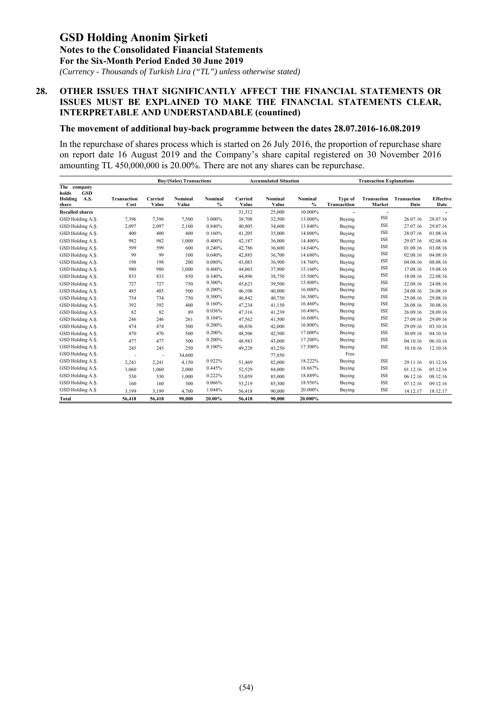*(Currency - Thousands of Turkish Lira ("TL") unless otherwise stated)*

#### **28. OTHER ISSUES THAT SIGNIFICANTLY AFFECT THE FINANCIAL STATEMENTS OR ISSUES MUST BE EXPLAINED TO MAKE THE FINANCIAL STATEMENTS CLEAR, INTERPRETABLE AND UNDERSTANDABLE (countined)**

#### **The movement of additional buy-back programme between the dates 28.07.2016-16.08.2019**

In the repurchase of shares process which is started on 26 July 2016, the proportion of repurchase share on report date 16 August 2019 and the Company's share capital registered on 30 November 2016 amounting TL 450,000,000 is 20.00%. There are not any shares can be repurchase.

|                                                                |                     |                  | <b>Accumulated Situation</b><br><b>Buy/(Sales) Transactions</b> |                 |                  |                  |                          |                         | <b>Transaction Explanations</b> |                            |                          |
|----------------------------------------------------------------|---------------------|------------------|-----------------------------------------------------------------|-----------------|------------------|------------------|--------------------------|-------------------------|---------------------------------|----------------------------|--------------------------|
| The company<br>holds<br><b>GSD</b><br>Holding<br>A.S.<br>share | Transaction<br>Cost | Carried<br>Value | Nominal<br>Value                                                | Nominal<br>$\%$ | Carried<br>Value | Nominal<br>Value | Nominal<br>$\frac{0}{0}$ | Type of<br>Transacition | <b>Transaction</b><br>Market    | <b>Transaction</b><br>Date | <b>Effective</b><br>Date |
| <b>Recalled shares</b>                                         |                     |                  |                                                                 |                 | 31,312           | 25,000           | 10.000%                  |                         | $\overline{\phantom{a}}$        |                            |                          |
| GSD Holding A.Ş.                                               | 7,396               | 7,396            | 7,500                                                           | 3.000%          | 38,708           | 32,500           | 13.000%                  | Buying                  | <b>ISE</b>                      | 26.07.16                   | 28.07.16                 |
| GSD Holding A.S.                                               | 2,097               | 2,097            | 2,100                                                           | 0.840%          | 40,805           | 34,600           | 13.840%                  | Buying                  | <b>ISE</b>                      | 27.07.16                   | 29.07.16                 |
| GSD Holding A.S.                                               | 400                 | 400              | 400                                                             | 0.160%          | 41,205           | 35,000           | 14.000%                  | Buying                  | <b>ISE</b>                      | 28.07.16                   | 01.08.16                 |
| GSD Holding A.Ş.                                               | 982                 | 982              | 1,000                                                           | 0.400%          | 42,187           | 36,000           | 14.400%                  | Buying                  | <b>ISE</b>                      | 29.07.16                   | 02.08.16                 |
| GSD Holding A.Ş.                                               | 599                 | 599              | 600                                                             | 0.240%          | 42,786           | 36,600           | 14.640%                  | Buying                  | <b>ISE</b>                      | 01.08.16                   | 03.08.16                 |
| GSD Holding A.S.                                               | 99                  | 99               | 100                                                             | 0.040%          | 42,885           | 36,700           | 14.680%                  | Buying                  | <b>ISE</b>                      | 02.08.16                   | 04.08.16                 |
| GSD Holding A.Ş.                                               | 198                 | 198              | 200                                                             | 0.080%          | 43,083           | 36,900           | 14.760%                  | Buying                  | <b>ISE</b>                      | 04.08.16                   | 08.08.16                 |
| GSD Holding A.S.                                               | 980                 | 980              | 1,000                                                           | 0.400%          | 44,063           | 37,900           | 15.160%                  | Buying                  | <b>ISE</b>                      | 17.08.16                   | 19.08.16                 |
| GSD Holding A.S.                                               | 833                 | 833              | 850                                                             | 0.340%          | 44,896           | 38,750           | 15.500%                  | Buying                  | <b>ISE</b>                      | 18.08.16                   | 22.08.16                 |
| GSD Holding A.Ş.                                               | 727                 | 727              | 750                                                             | 0.300%          | 45,623           | 39,500           | 15.800%                  | Buying                  | <b>ISE</b>                      | 22.08.16                   | 24.08.16                 |
| GSD Holding A.Ş.                                               | 485                 | 485              | 500                                                             | 0.200%          | 46,108           | 40,000           | 16.000%                  | Buying                  | ISE                             | 24.08.16                   | 26.08.16                 |
| GSD Holding A.Ş.                                               | 734                 | 734              | 750                                                             | 0.300%          | 46,842           | 40,750           | 16.300%                  | Buying                  | <b>ISE</b>                      | 25.08.16                   | 29.08.16                 |
| GSD Holding A.S.                                               | 392                 | 392              | 400                                                             | 0.160%          | 47,234           | 41,150           | 16.460%                  | Buying                  | ISE                             | 26.08.16                   | 30.08.16                 |
| GSD Holding A.S.                                               | 82                  | 82               | 89                                                              | 0.036%          | 47,316           | 41,239           | 16.496%                  | Buying                  | <b>ISE</b>                      | 26.09.16                   | 28.09.16                 |
| GSD Holding A.Ş.                                               | 246                 | 246              | 261                                                             | 0.104%          | 47,562           | 41,500           | 16.600%                  | Buying                  | <b>ISE</b>                      | 27.09.16                   | 29.09.16                 |
| GSD Holding A.Ş.                                               | 474                 | 474              | 500                                                             | 0.200%          | 48,036           | 42,000           | 16.800%                  | Buying                  | ISE                             | 29.09.16                   | 03.10.16                 |
| GSD Holding A.Ş.                                               | 470                 | 470              | 500                                                             | 0.200%          | 48,506           | 42,500           | 17.000%                  | Buying                  | <b>ISE</b>                      | 30.09.16                   | 04.10.16                 |
| GSD Holding A.Ş.                                               | 477                 | 477              | 500                                                             | 0.200%          | 48,983           | 43,000           | 17.200%                  | Buying                  | <b>ISE</b>                      | 04.10.16                   | 06.10.16                 |
| GSD Holding A.Ş.                                               | 245                 | 245              | 250                                                             | 0.100%          | 49,228           | 43,250           | 17.300%                  | Buying                  | <b>ISE</b>                      | 10.10.16                   | 12.10.16                 |
| GSD Holding A.Ş.                                               |                     | ÷                | 34,600                                                          |                 |                  | 77,850           |                          | Free                    |                                 |                            |                          |
| GSD Holding A.S.                                               | 2,241               | 2,241            | 4,150                                                           | 0.922%          | 51,469           | 82,000           | 18.222%                  | Buying                  | <b>ISE</b>                      | 29.11.16                   | 01.12.16                 |
| GSD Holding A.Ş.                                               | 1,060               | 1,060            | 2.000                                                           | 0.445%          | 52,529           | 84,000           | 18.667%                  | Buying                  | <b>ISE</b>                      | 01.12.16                   | 05.12.16                 |
| GSD Holding A.S.                                               | 530                 | 530              | 1,000                                                           | 0.222%          | 53,059           | 85,000           | 18.889%                  | Buying                  | <b>ISE</b>                      | 06.12.16                   | 08.12.16                 |
| GSD Holding A.S.                                               | 160                 | 160              | 300                                                             | 0.066%          | 53,219           | 85,300           | 18.956%                  | <b>Buying</b>           | <b>ISE</b>                      | 07.12.16                   | 09.12.16                 |
| GSD Holding A.S                                                | 3,199               | 3,199            | 4,700                                                           | 1.044%          | 56,418           | 90,000           | 20.000%                  | Buying                  | <b>ISE</b>                      | 14.12.17                   | 18.12.17                 |
| <b>Total</b>                                                   | 56,418              | 56,418           | 90.000                                                          | 20.00%          | 56,418           | 90.000           | 20.000%                  |                         |                                 |                            |                          |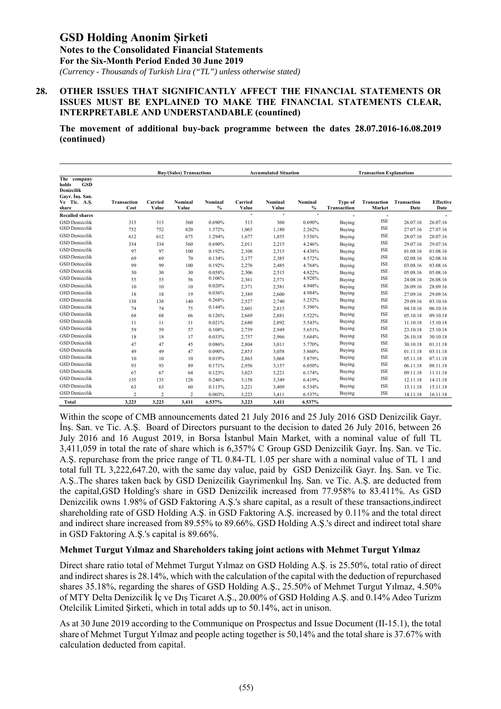*(Currency - Thousands of Turkish Lira ("TL") unless otherwise stated)*

#### **28. OTHER ISSUES THAT SIGNIFICANTLY AFFECT THE FINANCIAL STATEMENTS OR ISSUES MUST BE EXPLAINED TO MAKE THE FINANCIAL STATEMENTS CLEAR, INTERPRETABLE AND UNDERSTANDABLE (countined)**

**The movement of additional buy-back programme between the dates 28.07.2016-16.08.2019 (continued)** 

|                                                                                              |                     |                  | <b>Buy/(Sales) Transactions</b> |                 |                          |                  | <b>Accumulated Situation</b> |                                |                       | <b>Transaction Explanations</b> |                          |  |
|----------------------------------------------------------------------------------------------|---------------------|------------------|---------------------------------|-----------------|--------------------------|------------------|------------------------------|--------------------------------|-----------------------|---------------------------------|--------------------------|--|
| The company<br>holds<br><b>GSD</b><br>Denizcilik<br>Gavr. Ins. San.<br>Ve Tic. A.S.<br>share | Transaction<br>Cost | Carried<br>Value | Nominal<br>Value                | Nominal<br>$\%$ | Carried<br>Value         | Nominal<br>Value | Nominal<br>$\%$              | <b>Type of</b><br>Transacition | Transaction<br>Market | Transaction<br>Date             | <b>Effective</b><br>Date |  |
| <b>Recalled shares</b>                                                                       |                     |                  |                                 |                 | $\overline{\phantom{a}}$ | ÷                | $\overline{\phantom{a}}$     |                                | $\overline{a}$        |                                 |                          |  |
| <b>GSD Denizcilik</b>                                                                        | 313                 | 313              | 360                             | 0.690%          | 313                      | 360              | 0.690%                       | Buying                         | <b>ISE</b>            | 26.07.16                        | 26.07.16                 |  |
| <b>GSD</b> Denizcilik                                                                        | 752                 | 752              | 820                             | 1.572%          | 1,065                    | 1,180            | 2.262%                       | Buying                         | <b>ISE</b>            | 27.07.16                        | 27.07.16                 |  |
| <b>GSD Denizcilik</b>                                                                        | 612                 | 612              | 675                             | 1.294%          | 1,677                    | 1,855            | 3.556%                       | Buying                         | <b>ISE</b>            | 28.07.16                        | 28.07.16                 |  |
| <b>GSD Denizcilik</b>                                                                        | 334                 | 334              | 360                             | 0.690%          | 2,011                    | 2,215            | 4.246%                       | Buying                         | <b>ISE</b>            | 29.07.16                        | 29.07.16                 |  |
| <b>GSD</b> Denizcilik                                                                        | 97                  | 97               | 100                             | 0.192%          | 2,108                    | 2,315            | 4.438%                       | Buying                         | <b>ISE</b>            | 01.08.16                        | 01.08.16                 |  |
| <b>GSD</b> Denizcilik                                                                        | 69                  | 69               | 70                              | 0.134%          | 2,177                    | 2,385            | 4.572%                       | Buying                         | <b>ISE</b>            | 02.08.16                        | 02.08.16                 |  |
| <b>GSD</b> Denizcilik                                                                        | 99                  | 99               | 100                             | 0.192%          | 2,276                    | 2,485            | 4.764%                       | Buying                         | <b>ISE</b>            | 03.08.16                        | 03.08.16                 |  |
| <b>GSD</b> Denizcilik                                                                        | 30                  | 30               | 30                              | 0.058%          | 2,306                    | 2,515            | 4.822%                       | Buying                         | <b>ISE</b>            | 05.08.16                        | 05.08.16                 |  |
| <b>GSD Denizcilik</b>                                                                        | 55                  | 55               | 56                              | 0.106%          | 2,361                    | 2,571            | 4.928%                       | Buying                         | <b>ISE</b>            | 24.08.16                        | 26.08.16                 |  |
| <b>GSD Denizcilik</b>                                                                        | 10                  | 10               | 10                              | 0.020%          | 2,371                    | 2,581            | 4.948%                       | Buying                         | <b>ISE</b>            | 26.09.16                        | 28.09.16                 |  |
| <b>GSD Denizcilik</b>                                                                        | 18                  | 18               | 19                              | 0.036%          | 2,389                    | 2,600            | 4.984%                       | Buying                         | <b>ISE</b>            | 27.09.16                        | 29.09.16                 |  |
| <b>GSD Denizcilik</b>                                                                        | 138                 | 138              | 140                             | 0.268%          | 2,527                    | 2,740            | 5.252%                       | Buying                         | <b>ISE</b>            | 29.09.16                        | 03.10.16                 |  |
| <b>GSD Denizcilik</b>                                                                        | 74                  | 74               | 75                              | 0.144%          | 2,601                    | 2,815            | 5.396%                       | Buying                         | <b>ISE</b>            | 04.10.16                        | 06.10.16                 |  |
| <b>GSD Denizcilik</b>                                                                        | 68                  | 68               | 66                              | 0.126%          | 2,669                    | 2,881            | 5.522%                       | Buying                         | <b>ISE</b>            | 05.10.18                        | 09.10.18                 |  |
| <b>GSD Denizcilik</b>                                                                        | 11                  | 11               | 11                              | 0.021%          | 2,680                    | 2,892            | 5.543%                       | Buying                         | <b>ISE</b>            | 11.10.18                        | 15.10.18                 |  |
| <b>GSD Denizcilik</b>                                                                        | 59                  | 59               | 57                              | 0.108%          | 2,739                    | 2,949            | 5.651%                       | Buying                         | <b>ISE</b>            | 23.10.18                        | 25.10.18                 |  |
| <b>GSD Denizcilik</b>                                                                        | 18                  | 18               | 17                              | 0.033%          | 2,757                    | 2,966            | 5.684%                       | Buying                         | <b>ISE</b>            | 26.10.18                        | 30.10.18                 |  |
| <b>GSD Denizcilik</b>                                                                        | 47                  | 47               | 45                              | 0.086%          | 2,804                    | 3,011            | 5.770%                       | Buying                         | <b>ISE</b>            | 30.10.18                        | 01.11.18                 |  |
| <b>GSD Denizcilik</b>                                                                        | 49                  | 49               | 47                              | 0.090%          | 2,853                    | 3,058            | 5.860%                       | Buying                         | <b>ISE</b>            | 01.11.18                        | 03.11.18                 |  |
| <b>GSD Denizcilik</b>                                                                        | 10                  | 10               | 10                              | 0.019%          | 2,863                    | 3,068            | 5.879%                       | Buying                         | <b>ISE</b>            | 05.11.18                        | 07.11.18                 |  |
| <b>GSD Denizcilik</b>                                                                        | 93                  | 93               | 89                              | 0.171%          | 2,956                    | 3,157            | 6.050%                       | Buying                         | <b>ISE</b>            | 06.11.18                        | 08.11.18                 |  |
| <b>GSD</b> Denizcilik                                                                        | 67                  | 67               | 64                              | 0.123%          | 3,023                    | 3,221            | 6.174%                       | Buying                         | <b>ISE</b>            | 09.11.18                        | 11.11.18                 |  |
| <b>GSD</b> Denizcilik                                                                        | 135                 | 135              | 128                             | 0.246%          | 3,158                    | 3,349            | 6.419%                       | Buying                         | <b>ISE</b>            | 12.11.18                        | 14.11.18                 |  |
| <b>GSD Denizcilik</b>                                                                        | 63                  | 63               | 60                              | 0.115%          | 3,221                    | 3,409            | 6.534%                       | Buying                         | <b>ISE</b>            | 13.11.18                        | 15.11.18                 |  |
| <b>GSD</b> Denizcilik                                                                        | $\overline{2}$      | $\overline{2}$   | 2                               | 0.003%          | 3,223                    | 3,411            | 6.537%                       | Buying                         | <b>ISE</b>            | 14.11.18                        | 16.11.18                 |  |
| <b>Total</b>                                                                                 | 3,223               | 3,223            | 3,411                           | 6.537%          | 3,223                    | 3,411            | 6.537%                       |                                |                       |                                 |                          |  |

Within the scope of CMB announcements dated 21 July 2016 and 25 July 2016 GSD Denizcilik Gayr. İnş. San. ve Tic. A.Ş. Board of Directors pursuant to the decision to dated 26 July 2016, between 26 July 2016 and 16 August 2019, in Borsa İstanbul Main Market, with a nominal value of full TL 3,411,059 in total the rate of share which is 6,357% C Group GSD Denizcilik Gayr. İnş. San. ve Tic. A.Ş. repurchase from the price range of TL 0.84-TL 1.05 per share with a nominal value of TL 1 and total full TL 3,222,647.20, with the same day value, paid by GSD Denizcilik Gayr. İnş. San. ve Tic. A.Ş..The shares taken back by GSD Denizcilik Gayrimenkul İnş. San. ve Tic. A.Ş. are deducted from the capital,GSD Holding's share in GSD Denizcilik increased from 77.958% to 83.411%. As GSD Denizcilik owns 1.98% of GSD Faktoring A.Ş.'s share capital, as a result of these transactions,indirect shareholding rate of GSD Holding A.Ş. in GSD Faktoring A.Ş. increased by 0.11% and the total direct and indirect share increased from 89.55% to 89.66%. GSD Holding A.Ş.'s direct and indirect total share in GSD Faktoring A.Ş.'s capital is 89.66%.

#### **Mehmet Turgut Yılmaz and Shareholders taking joint actions with Mehmet Turgut Yılmaz**

Direct share ratio total of Mehmet Turgut Yılmaz on GSD Holding A.Ş. is 25.50%, total ratio of direct and indirect shares is 28.14%, which with the calculation of the capital with the deduction of repurchased shares 35.18%, regarding the shares of GSD Holding A.S., 25.50% of Mehmet Turgut Yılmaz, 4.50% of MTY Delta Denizcilik İç ve Dış Ticaret A.Ş., 20.00% of GSD Holding A.Ş. and 0.14% Adeo Turizm Otelcilik Limited Şirketi, which in total adds up to 50.14%, act in unison.

As at 30 June 2019 according to the Communique on Prospectus and Issue Document (II-15.1), the total share of Mehmet Turgut Yılmaz and people acting together is 50,14% and the total share is 37.67% with calculation deducted from capital.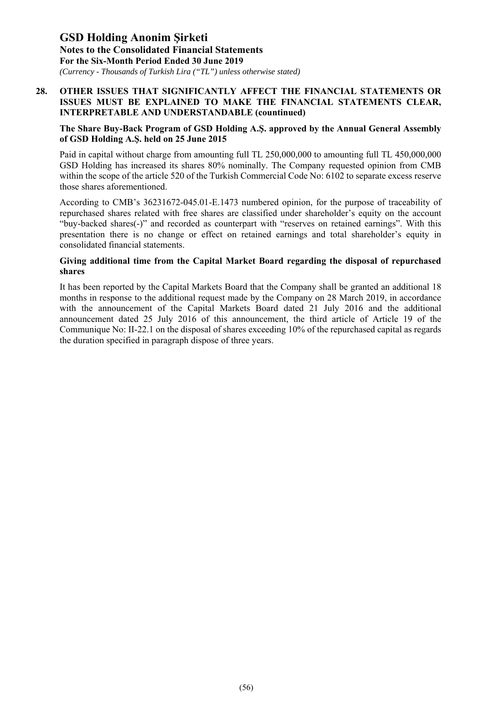*(Currency - Thousands of Turkish Lira ("TL") unless otherwise stated)*

#### **28. OTHER ISSUES THAT SIGNIFICANTLY AFFECT THE FINANCIAL STATEMENTS OR ISSUES MUST BE EXPLAINED TO MAKE THE FINANCIAL STATEMENTS CLEAR, INTERPRETABLE AND UNDERSTANDABLE (countinued)**

#### **The Share Buy-Back Program of GSD Holding A.Ş. approved by the Annual General Assembly of GSD Holding A.Ş. held on 25 June 2015**

Paid in capital without charge from amounting full TL 250,000,000 to amounting full TL 450,000,000 GSD Holding has increased its shares 80% nominally. The Company requested opinion from CMB within the scope of the article 520 of the Turkish Commercial Code No: 6102 to separate excess reserve those shares aforementioned.

According to CMB's 36231672-045.01-E.1473 numbered opinion, for the purpose of traceability of repurchased shares related with free shares are classified under shareholder's equity on the account "buy-backed shares(-)" and recorded as counterpart with "reserves on retained earnings". With this presentation there is no change or effect on retained earnings and total shareholder's equity in consolidated financial statements.

#### **Giving additional time from the Capital Market Board regarding the disposal of repurchased shares**

It has been reported by the Capital Markets Board that the Company shall be granted an additional 18 months in response to the additional request made by the Company on 28 March 2019, in accordance with the announcement of the Capital Markets Board dated 21 July 2016 and the additional announcement dated 25 July 2016 of this announcement, the third article of Article 19 of the Communique No: II-22.1 on the disposal of shares exceeding 10% of the repurchased capital as regards the duration specified in paragraph dispose of three years.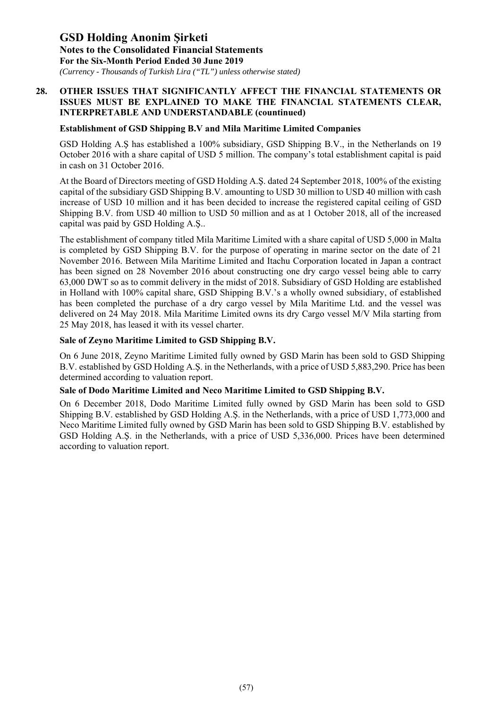*(Currency - Thousands of Turkish Lira ("TL") unless otherwise stated)*

#### **28. OTHER ISSUES THAT SIGNIFICANTLY AFFECT THE FINANCIAL STATEMENTS OR ISSUES MUST BE EXPLAINED TO MAKE THE FINANCIAL STATEMENTS CLEAR, INTERPRETABLE AND UNDERSTANDABLE (countinued)**

#### **Establishment of GSD Shipping B.V and Mila Maritime Limited Companies**

GSD Holding A.Ş has established a 100% subsidiary, GSD Shipping B.V., in the Netherlands on 19 October 2016 with a share capital of USD 5 million. The company's total establishment capital is paid in cash on 31 October 2016.

At the Board of Directors meeting of GSD Holding A.Ş. dated 24 September 2018, 100% of the existing capital of the subsidiary GSD Shipping B.V. amounting to USD 30 million to USD 40 million with cash increase of USD 10 million and it has been decided to increase the registered capital ceiling of GSD Shipping B.V. from USD 40 million to USD 50 million and as at 1 October 2018, all of the increased capital was paid by GSD Holding A.Ş..

The establishment of company titled Mila Maritime Limited with a share capital of USD 5,000 in Malta is completed by GSD Shipping B.V. for the purpose of operating in marine sector on the date of 21 November 2016. Between Mila Maritime Limited and Itachu Corporation located in Japan a contract has been signed on 28 November 2016 about constructing one dry cargo vessel being able to carry 63,000 DWT so as to commit delivery in the midst of 2018. Subsidiary of GSD Holding are established in Holland with 100% capital share, GSD Shipping B.V.'s a wholly owned subsidiary, of established has been completed the purchase of a dry cargo vessel by Mila Maritime Ltd. and the vessel was delivered on 24 May 2018. Mila Maritime Limited owns its dry Cargo vessel M/V Mila starting from 25 May 2018, has leased it with its vessel charter.

#### **Sale of Zeyno Maritime Limited to GSD Shipping B.V.**

On 6 June 2018, Zeyno Maritime Limited fully owned by GSD Marin has been sold to GSD Shipping B.V. established by GSD Holding A.Ş. in the Netherlands, with a price of USD 5,883,290. Price has been determined according to valuation report.

#### **Sale of Dodo Maritime Limited and Neco Maritime Limited to GSD Shipping B.V.**

On 6 December 2018, Dodo Maritime Limited fully owned by GSD Marin has been sold to GSD Shipping B.V. established by GSD Holding A.Ş. in the Netherlands, with a price of USD 1,773,000 and Neco Maritime Limited fully owned by GSD Marin has been sold to GSD Shipping B.V. established by GSD Holding A.Ş. in the Netherlands, with a price of USD 5,336,000. Prices have been determined according to valuation report.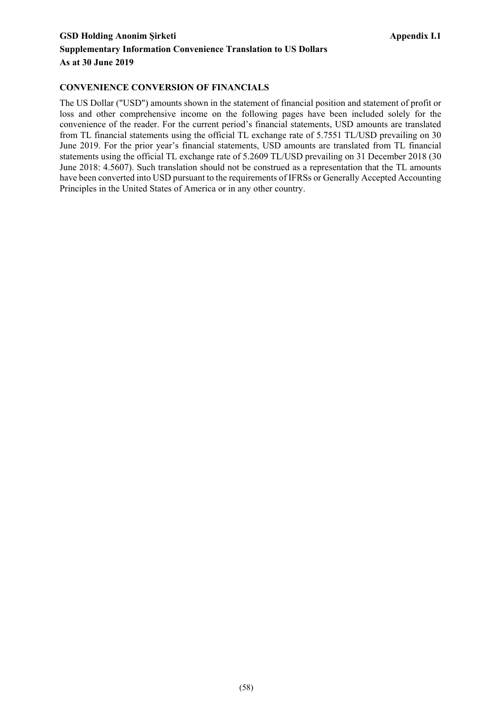### GSD Holding Anonim Şirketi **Appendix I.1 Appendix I.1 Supplementary Information Convenience Translation to US Dollars As at 30 June 2019**

#### **CONVENIENCE CONVERSION OF FINANCIALS**

The US Dollar ("USD") amounts shown in the statement of financial position and statement of profit or loss and other comprehensive income on the following pages have been included solely for the convenience of the reader. For the current period's financial statements, USD amounts are translated from TL financial statements using the official TL exchange rate of 5.7551 TL/USD prevailing on 30 June 2019. For the prior year's financial statements, USD amounts are translated from TL financial statements using the official TL exchange rate of 5.2609 TL/USD prevailing on 31 December 2018 (30 June 2018: 4.5607). Such translation should not be construed as a representation that the TL amounts have been converted into USD pursuant to the requirements of IFRSs or Generally Accepted Accounting Principles in the United States of America or in any other country.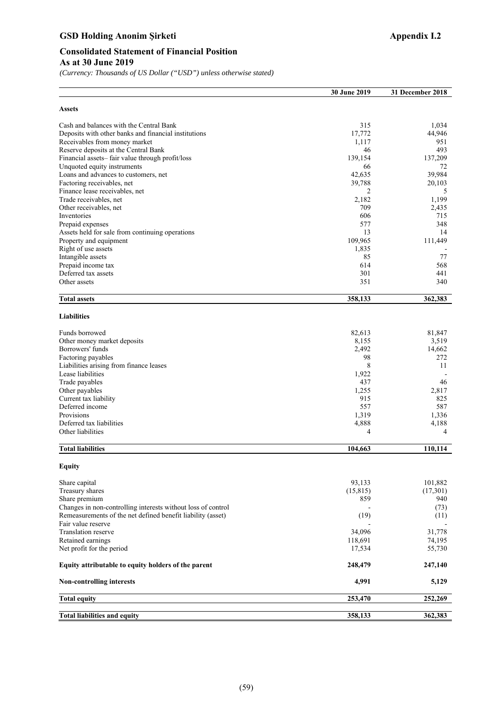### GSD Holding Anonim Şirketi **Appendix I.2 Appendix I.2**

*(Currency: Thousands of US Dollar ("USD") unless otherwise stated)* 

|                                                              | 30 June 2019   | 31 December 2018 |
|--------------------------------------------------------------|----------------|------------------|
| <b>Assets</b>                                                |                |                  |
| Cash and balances with the Central Bank                      | 315            | 1,034            |
| Deposits with other banks and financial institutions         | 17,772         | 44,946           |
| Receivables from money market                                | 1,117          | 951              |
| Reserve deposits at the Central Bank                         | 46             | 493              |
| Financial assets-fair value through profit/loss              | 139,154        | 137,209          |
| Unquoted equity instruments                                  | 66             | 72               |
| Loans and advances to customers, net                         | 42,635         | 39,984           |
| Factoring receivables, net                                   | 39,788         | 20,103           |
| Finance lease receivables, net                               | 2              | 5                |
| Trade receivables, net                                       | 2,182<br>709   | 1,199            |
| Other receivables, net<br>Inventories                        | 606            | 2,435<br>715     |
| Prepaid expenses                                             | 577            | 348              |
| Assets held for sale from continuing operations              | 13             | 14               |
| Property and equipment                                       | 109,965        | 111,449          |
| Right of use assets                                          | 1,835          |                  |
| Intangible assets                                            | 85             | 77               |
| Prepaid income tax                                           | 614            | 568              |
| Deferred tax assets                                          | 301            | 441              |
| Other assets                                                 | 351            | 340              |
|                                                              |                |                  |
| <b>Total assets</b>                                          | 358,133        | 362,383          |
| <b>Liabilities</b>                                           |                |                  |
| Funds borrowed                                               | 82,613         | 81,847           |
| Other money market deposits                                  | 8,155          | 3,519            |
| Borrowers' funds                                             | 2,492          | 14,662           |
| Factoring payables                                           | 98             | 272              |
| Liabilities arising from finance leases                      | 8              | 11               |
| Lease liabilities                                            | 1,922          |                  |
| Trade payables                                               | 437            | 46               |
| Other payables                                               | 1,255<br>915   | 2,817            |
| Current tax liability<br>Deferred income                     | 557            | 825<br>587       |
| Provisions                                                   | 1,319          | 1,336            |
| Deferred tax liabilities                                     | 4,888          | 4,188            |
| Other liabilities                                            | $\overline{4}$ | 4                |
| <b>Total liabilities</b>                                     | 104,663        | 110,114          |
| <b>Equity</b>                                                |                |                  |
| Share capital                                                | 93,133         | 101,882          |
| Treasury shares                                              | (15, 815)      | (17,301)         |
| Share premium                                                | 859            | 940              |
| Changes in non-controlling interests without loss of control |                | (73)             |
| Remeasurements of the net defined benefit liability (asset)  | (19)           | (11)             |
| Fair value reserve                                           |                |                  |
| Translation reserve                                          | 34,096         | 31,778           |
| Retained earnings                                            | 118,691        | 74,195           |
| Net profit for the period                                    | 17,534         | 55,730           |
| Equity attributable to equity holders of the parent          | 248,479        | 247,140          |
| <b>Non-controlling interests</b>                             | 4,991          | 5,129            |
| <b>Total equity</b>                                          | 253,470        | 252,269          |
| <b>Total liabilities and equity</b>                          | 358,133        | 362,383          |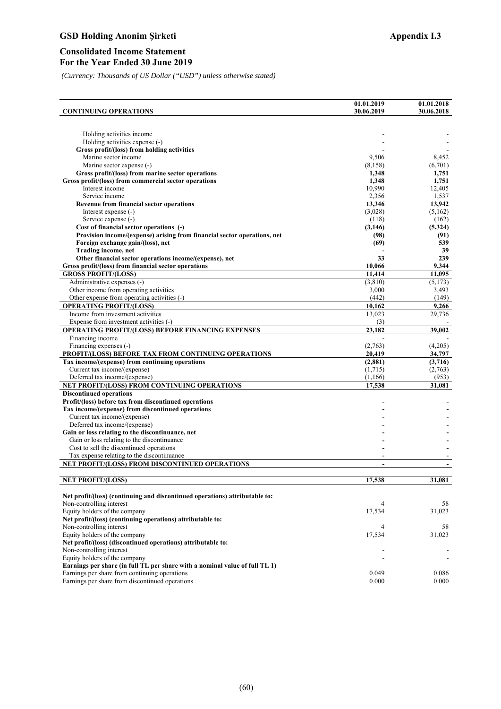### GSD Holding Anonim Şirketi **Appendix I.3 Appendix I.3**

#### **Consolidated Income Statement For the Year Ended 30 June 2019**

*(Currency: Thousands of US Dollar ("USD") unless otherwise stated)*

| Holding activities income<br>Holding activities expense (-)<br>Gross profit/(loss) from holding activities<br>Marine sector income<br>9,506<br>8,452<br>Marine sector expense (-)<br>(8,158)<br>(6,701)<br>Gross profit/(loss) from marine sector operations<br>1,348<br>1,751<br>Gross profit/(loss) from commercial sector operations<br>1,751<br>1,348<br>Interest income<br>10,990<br>12,405<br>Service income<br>2,356<br>1,537<br>13,346<br>13,942<br><b>Revenue from financial sector operations</b><br>Interest expense (-)<br>(3,028)<br>(5,162)<br>Service expense (-)<br>(162)<br>(118)<br>Cost of financial sector operations (-)<br>(3,146)<br>(5,324)<br>Provision income/(expense) arising from financial sector operations, net<br>(98)<br>(91)<br>Foreign exchange gain/(loss), net<br>539<br>(69)<br>Trading income, net<br>39<br>Other financial sector operations income/(expense), net<br>33<br>239<br>Gross profit/(loss) from financial sector operations<br>9,344<br>10,066<br><b>GROSS PROFIT/(LOSS)</b><br>11,095<br>11,414<br>Administrative expenses (-)<br>(3,810)<br>(5,173)<br>Other income from operating activities<br>3,000<br>3,493<br>Other expense from operating activities (-)<br>(442)<br>(149)<br><b>OPERATING PROFIT/(LOSS)</b><br>10,162<br>9,266<br>Income from investment activities<br>13,023<br>29,736<br>Expense from investment activities (-)<br>(3)<br>OPERATING PROFIT/(LOSS) BEFORE FINANCING EXPENSES<br>23,182<br>39,002<br>Financing income<br>Financing expenses (-)<br>(2,763)<br>(4,205)<br>PROFIT/(LOSS) BEFORE TAX FROM CONTINUING OPERATIONS<br>20,419<br>34,797<br>Tax income/(expense) from continuing operations<br>(2, 881)<br>(3,716)<br>(1,715)<br>Current tax income/(expense)<br>(2,763)<br>Deferred tax income/(expense)<br>(1,166)<br>(953)<br>NET PROFIT/(LOSS) FROM CONTINUING OPERATIONS<br>17,538<br>31,081<br><b>Discontinued operations</b><br>Profit/(loss) before tax from discontinued operations<br>Tax income/(expense) from discontinued operations<br>Current tax income/(expense)<br>Deferred tax income/(expense)<br>Gain or loss relating to the discontinuance, net<br>Gain or loss relating to the discontinuance<br>Cost to sell the discontinued operations<br>Tax expense relating to the discontinuance<br>NET PROFIT/(LOSS) FROM DISCONTINUED OPERATIONS<br>÷,<br><b>NET PROFIT/(LOSS)</b><br>17,538<br>31,081<br>Net profit/(loss) (continuing and discontinued operations) attributable to:<br>$\overline{4}$<br>Non-controlling interest<br>58<br>Equity holders of the company<br>17,534<br>31,023<br>Net profit/(loss) (continuing operations) attributable to:<br>Non-controlling interest<br>58<br>4<br>17,534<br>Equity holders of the company<br>31,023<br>Net profit/(loss) (discontinued operations) attributable to:<br>Non-controlling interest<br>Equity holders of the company<br>Earnings per share (in full TL per share with a nominal value of full TL 1) |                              | 01.01.2019 | 01.01.2018 |
|-----------------------------------------------------------------------------------------------------------------------------------------------------------------------------------------------------------------------------------------------------------------------------------------------------------------------------------------------------------------------------------------------------------------------------------------------------------------------------------------------------------------------------------------------------------------------------------------------------------------------------------------------------------------------------------------------------------------------------------------------------------------------------------------------------------------------------------------------------------------------------------------------------------------------------------------------------------------------------------------------------------------------------------------------------------------------------------------------------------------------------------------------------------------------------------------------------------------------------------------------------------------------------------------------------------------------------------------------------------------------------------------------------------------------------------------------------------------------------------------------------------------------------------------------------------------------------------------------------------------------------------------------------------------------------------------------------------------------------------------------------------------------------------------------------------------------------------------------------------------------------------------------------------------------------------------------------------------------------------------------------------------------------------------------------------------------------------------------------------------------------------------------------------------------------------------------------------------------------------------------------------------------------------------------------------------------------------------------------------------------------------------------------------------------------------------------------------------------------------------------------------------------------------------------------------------------------------------------------------------------------------------------------------------------------------------------------------------------------------------------------------------------------------------------------------------------------------------------------------------------------------------------------------------------------------------------------------------------------|------------------------------|------------|------------|
|                                                                                                                                                                                                                                                                                                                                                                                                                                                                                                                                                                                                                                                                                                                                                                                                                                                                                                                                                                                                                                                                                                                                                                                                                                                                                                                                                                                                                                                                                                                                                                                                                                                                                                                                                                                                                                                                                                                                                                                                                                                                                                                                                                                                                                                                                                                                                                                                                                                                                                                                                                                                                                                                                                                                                                                                                                                                                                                                                                             | <b>CONTINUING OPERATIONS</b> | 30.06.2019 | 30.06.2018 |
|                                                                                                                                                                                                                                                                                                                                                                                                                                                                                                                                                                                                                                                                                                                                                                                                                                                                                                                                                                                                                                                                                                                                                                                                                                                                                                                                                                                                                                                                                                                                                                                                                                                                                                                                                                                                                                                                                                                                                                                                                                                                                                                                                                                                                                                                                                                                                                                                                                                                                                                                                                                                                                                                                                                                                                                                                                                                                                                                                                             |                              |            |            |
|                                                                                                                                                                                                                                                                                                                                                                                                                                                                                                                                                                                                                                                                                                                                                                                                                                                                                                                                                                                                                                                                                                                                                                                                                                                                                                                                                                                                                                                                                                                                                                                                                                                                                                                                                                                                                                                                                                                                                                                                                                                                                                                                                                                                                                                                                                                                                                                                                                                                                                                                                                                                                                                                                                                                                                                                                                                                                                                                                                             |                              |            |            |
|                                                                                                                                                                                                                                                                                                                                                                                                                                                                                                                                                                                                                                                                                                                                                                                                                                                                                                                                                                                                                                                                                                                                                                                                                                                                                                                                                                                                                                                                                                                                                                                                                                                                                                                                                                                                                                                                                                                                                                                                                                                                                                                                                                                                                                                                                                                                                                                                                                                                                                                                                                                                                                                                                                                                                                                                                                                                                                                                                                             |                              |            |            |
|                                                                                                                                                                                                                                                                                                                                                                                                                                                                                                                                                                                                                                                                                                                                                                                                                                                                                                                                                                                                                                                                                                                                                                                                                                                                                                                                                                                                                                                                                                                                                                                                                                                                                                                                                                                                                                                                                                                                                                                                                                                                                                                                                                                                                                                                                                                                                                                                                                                                                                                                                                                                                                                                                                                                                                                                                                                                                                                                                                             |                              |            |            |
|                                                                                                                                                                                                                                                                                                                                                                                                                                                                                                                                                                                                                                                                                                                                                                                                                                                                                                                                                                                                                                                                                                                                                                                                                                                                                                                                                                                                                                                                                                                                                                                                                                                                                                                                                                                                                                                                                                                                                                                                                                                                                                                                                                                                                                                                                                                                                                                                                                                                                                                                                                                                                                                                                                                                                                                                                                                                                                                                                                             |                              |            |            |
|                                                                                                                                                                                                                                                                                                                                                                                                                                                                                                                                                                                                                                                                                                                                                                                                                                                                                                                                                                                                                                                                                                                                                                                                                                                                                                                                                                                                                                                                                                                                                                                                                                                                                                                                                                                                                                                                                                                                                                                                                                                                                                                                                                                                                                                                                                                                                                                                                                                                                                                                                                                                                                                                                                                                                                                                                                                                                                                                                                             |                              |            |            |
|                                                                                                                                                                                                                                                                                                                                                                                                                                                                                                                                                                                                                                                                                                                                                                                                                                                                                                                                                                                                                                                                                                                                                                                                                                                                                                                                                                                                                                                                                                                                                                                                                                                                                                                                                                                                                                                                                                                                                                                                                                                                                                                                                                                                                                                                                                                                                                                                                                                                                                                                                                                                                                                                                                                                                                                                                                                                                                                                                                             |                              |            |            |
|                                                                                                                                                                                                                                                                                                                                                                                                                                                                                                                                                                                                                                                                                                                                                                                                                                                                                                                                                                                                                                                                                                                                                                                                                                                                                                                                                                                                                                                                                                                                                                                                                                                                                                                                                                                                                                                                                                                                                                                                                                                                                                                                                                                                                                                                                                                                                                                                                                                                                                                                                                                                                                                                                                                                                                                                                                                                                                                                                                             |                              |            |            |
|                                                                                                                                                                                                                                                                                                                                                                                                                                                                                                                                                                                                                                                                                                                                                                                                                                                                                                                                                                                                                                                                                                                                                                                                                                                                                                                                                                                                                                                                                                                                                                                                                                                                                                                                                                                                                                                                                                                                                                                                                                                                                                                                                                                                                                                                                                                                                                                                                                                                                                                                                                                                                                                                                                                                                                                                                                                                                                                                                                             |                              |            |            |
|                                                                                                                                                                                                                                                                                                                                                                                                                                                                                                                                                                                                                                                                                                                                                                                                                                                                                                                                                                                                                                                                                                                                                                                                                                                                                                                                                                                                                                                                                                                                                                                                                                                                                                                                                                                                                                                                                                                                                                                                                                                                                                                                                                                                                                                                                                                                                                                                                                                                                                                                                                                                                                                                                                                                                                                                                                                                                                                                                                             |                              |            |            |
|                                                                                                                                                                                                                                                                                                                                                                                                                                                                                                                                                                                                                                                                                                                                                                                                                                                                                                                                                                                                                                                                                                                                                                                                                                                                                                                                                                                                                                                                                                                                                                                                                                                                                                                                                                                                                                                                                                                                                                                                                                                                                                                                                                                                                                                                                                                                                                                                                                                                                                                                                                                                                                                                                                                                                                                                                                                                                                                                                                             |                              |            |            |
|                                                                                                                                                                                                                                                                                                                                                                                                                                                                                                                                                                                                                                                                                                                                                                                                                                                                                                                                                                                                                                                                                                                                                                                                                                                                                                                                                                                                                                                                                                                                                                                                                                                                                                                                                                                                                                                                                                                                                                                                                                                                                                                                                                                                                                                                                                                                                                                                                                                                                                                                                                                                                                                                                                                                                                                                                                                                                                                                                                             |                              |            |            |
|                                                                                                                                                                                                                                                                                                                                                                                                                                                                                                                                                                                                                                                                                                                                                                                                                                                                                                                                                                                                                                                                                                                                                                                                                                                                                                                                                                                                                                                                                                                                                                                                                                                                                                                                                                                                                                                                                                                                                                                                                                                                                                                                                                                                                                                                                                                                                                                                                                                                                                                                                                                                                                                                                                                                                                                                                                                                                                                                                                             |                              |            |            |
|                                                                                                                                                                                                                                                                                                                                                                                                                                                                                                                                                                                                                                                                                                                                                                                                                                                                                                                                                                                                                                                                                                                                                                                                                                                                                                                                                                                                                                                                                                                                                                                                                                                                                                                                                                                                                                                                                                                                                                                                                                                                                                                                                                                                                                                                                                                                                                                                                                                                                                                                                                                                                                                                                                                                                                                                                                                                                                                                                                             |                              |            |            |
|                                                                                                                                                                                                                                                                                                                                                                                                                                                                                                                                                                                                                                                                                                                                                                                                                                                                                                                                                                                                                                                                                                                                                                                                                                                                                                                                                                                                                                                                                                                                                                                                                                                                                                                                                                                                                                                                                                                                                                                                                                                                                                                                                                                                                                                                                                                                                                                                                                                                                                                                                                                                                                                                                                                                                                                                                                                                                                                                                                             |                              |            |            |
|                                                                                                                                                                                                                                                                                                                                                                                                                                                                                                                                                                                                                                                                                                                                                                                                                                                                                                                                                                                                                                                                                                                                                                                                                                                                                                                                                                                                                                                                                                                                                                                                                                                                                                                                                                                                                                                                                                                                                                                                                                                                                                                                                                                                                                                                                                                                                                                                                                                                                                                                                                                                                                                                                                                                                                                                                                                                                                                                                                             |                              |            |            |
|                                                                                                                                                                                                                                                                                                                                                                                                                                                                                                                                                                                                                                                                                                                                                                                                                                                                                                                                                                                                                                                                                                                                                                                                                                                                                                                                                                                                                                                                                                                                                                                                                                                                                                                                                                                                                                                                                                                                                                                                                                                                                                                                                                                                                                                                                                                                                                                                                                                                                                                                                                                                                                                                                                                                                                                                                                                                                                                                                                             |                              |            |            |
|                                                                                                                                                                                                                                                                                                                                                                                                                                                                                                                                                                                                                                                                                                                                                                                                                                                                                                                                                                                                                                                                                                                                                                                                                                                                                                                                                                                                                                                                                                                                                                                                                                                                                                                                                                                                                                                                                                                                                                                                                                                                                                                                                                                                                                                                                                                                                                                                                                                                                                                                                                                                                                                                                                                                                                                                                                                                                                                                                                             |                              |            |            |
|                                                                                                                                                                                                                                                                                                                                                                                                                                                                                                                                                                                                                                                                                                                                                                                                                                                                                                                                                                                                                                                                                                                                                                                                                                                                                                                                                                                                                                                                                                                                                                                                                                                                                                                                                                                                                                                                                                                                                                                                                                                                                                                                                                                                                                                                                                                                                                                                                                                                                                                                                                                                                                                                                                                                                                                                                                                                                                                                                                             |                              |            |            |
|                                                                                                                                                                                                                                                                                                                                                                                                                                                                                                                                                                                                                                                                                                                                                                                                                                                                                                                                                                                                                                                                                                                                                                                                                                                                                                                                                                                                                                                                                                                                                                                                                                                                                                                                                                                                                                                                                                                                                                                                                                                                                                                                                                                                                                                                                                                                                                                                                                                                                                                                                                                                                                                                                                                                                                                                                                                                                                                                                                             |                              |            |            |
|                                                                                                                                                                                                                                                                                                                                                                                                                                                                                                                                                                                                                                                                                                                                                                                                                                                                                                                                                                                                                                                                                                                                                                                                                                                                                                                                                                                                                                                                                                                                                                                                                                                                                                                                                                                                                                                                                                                                                                                                                                                                                                                                                                                                                                                                                                                                                                                                                                                                                                                                                                                                                                                                                                                                                                                                                                                                                                                                                                             |                              |            |            |
|                                                                                                                                                                                                                                                                                                                                                                                                                                                                                                                                                                                                                                                                                                                                                                                                                                                                                                                                                                                                                                                                                                                                                                                                                                                                                                                                                                                                                                                                                                                                                                                                                                                                                                                                                                                                                                                                                                                                                                                                                                                                                                                                                                                                                                                                                                                                                                                                                                                                                                                                                                                                                                                                                                                                                                                                                                                                                                                                                                             |                              |            |            |
|                                                                                                                                                                                                                                                                                                                                                                                                                                                                                                                                                                                                                                                                                                                                                                                                                                                                                                                                                                                                                                                                                                                                                                                                                                                                                                                                                                                                                                                                                                                                                                                                                                                                                                                                                                                                                                                                                                                                                                                                                                                                                                                                                                                                                                                                                                                                                                                                                                                                                                                                                                                                                                                                                                                                                                                                                                                                                                                                                                             |                              |            |            |
|                                                                                                                                                                                                                                                                                                                                                                                                                                                                                                                                                                                                                                                                                                                                                                                                                                                                                                                                                                                                                                                                                                                                                                                                                                                                                                                                                                                                                                                                                                                                                                                                                                                                                                                                                                                                                                                                                                                                                                                                                                                                                                                                                                                                                                                                                                                                                                                                                                                                                                                                                                                                                                                                                                                                                                                                                                                                                                                                                                             |                              |            |            |
|                                                                                                                                                                                                                                                                                                                                                                                                                                                                                                                                                                                                                                                                                                                                                                                                                                                                                                                                                                                                                                                                                                                                                                                                                                                                                                                                                                                                                                                                                                                                                                                                                                                                                                                                                                                                                                                                                                                                                                                                                                                                                                                                                                                                                                                                                                                                                                                                                                                                                                                                                                                                                                                                                                                                                                                                                                                                                                                                                                             |                              |            |            |
|                                                                                                                                                                                                                                                                                                                                                                                                                                                                                                                                                                                                                                                                                                                                                                                                                                                                                                                                                                                                                                                                                                                                                                                                                                                                                                                                                                                                                                                                                                                                                                                                                                                                                                                                                                                                                                                                                                                                                                                                                                                                                                                                                                                                                                                                                                                                                                                                                                                                                                                                                                                                                                                                                                                                                                                                                                                                                                                                                                             |                              |            |            |
|                                                                                                                                                                                                                                                                                                                                                                                                                                                                                                                                                                                                                                                                                                                                                                                                                                                                                                                                                                                                                                                                                                                                                                                                                                                                                                                                                                                                                                                                                                                                                                                                                                                                                                                                                                                                                                                                                                                                                                                                                                                                                                                                                                                                                                                                                                                                                                                                                                                                                                                                                                                                                                                                                                                                                                                                                                                                                                                                                                             |                              |            |            |
|                                                                                                                                                                                                                                                                                                                                                                                                                                                                                                                                                                                                                                                                                                                                                                                                                                                                                                                                                                                                                                                                                                                                                                                                                                                                                                                                                                                                                                                                                                                                                                                                                                                                                                                                                                                                                                                                                                                                                                                                                                                                                                                                                                                                                                                                                                                                                                                                                                                                                                                                                                                                                                                                                                                                                                                                                                                                                                                                                                             |                              |            |            |
|                                                                                                                                                                                                                                                                                                                                                                                                                                                                                                                                                                                                                                                                                                                                                                                                                                                                                                                                                                                                                                                                                                                                                                                                                                                                                                                                                                                                                                                                                                                                                                                                                                                                                                                                                                                                                                                                                                                                                                                                                                                                                                                                                                                                                                                                                                                                                                                                                                                                                                                                                                                                                                                                                                                                                                                                                                                                                                                                                                             |                              |            |            |
|                                                                                                                                                                                                                                                                                                                                                                                                                                                                                                                                                                                                                                                                                                                                                                                                                                                                                                                                                                                                                                                                                                                                                                                                                                                                                                                                                                                                                                                                                                                                                                                                                                                                                                                                                                                                                                                                                                                                                                                                                                                                                                                                                                                                                                                                                                                                                                                                                                                                                                                                                                                                                                                                                                                                                                                                                                                                                                                                                                             |                              |            |            |
|                                                                                                                                                                                                                                                                                                                                                                                                                                                                                                                                                                                                                                                                                                                                                                                                                                                                                                                                                                                                                                                                                                                                                                                                                                                                                                                                                                                                                                                                                                                                                                                                                                                                                                                                                                                                                                                                                                                                                                                                                                                                                                                                                                                                                                                                                                                                                                                                                                                                                                                                                                                                                                                                                                                                                                                                                                                                                                                                                                             |                              |            |            |
|                                                                                                                                                                                                                                                                                                                                                                                                                                                                                                                                                                                                                                                                                                                                                                                                                                                                                                                                                                                                                                                                                                                                                                                                                                                                                                                                                                                                                                                                                                                                                                                                                                                                                                                                                                                                                                                                                                                                                                                                                                                                                                                                                                                                                                                                                                                                                                                                                                                                                                                                                                                                                                                                                                                                                                                                                                                                                                                                                                             |                              |            |            |
|                                                                                                                                                                                                                                                                                                                                                                                                                                                                                                                                                                                                                                                                                                                                                                                                                                                                                                                                                                                                                                                                                                                                                                                                                                                                                                                                                                                                                                                                                                                                                                                                                                                                                                                                                                                                                                                                                                                                                                                                                                                                                                                                                                                                                                                                                                                                                                                                                                                                                                                                                                                                                                                                                                                                                                                                                                                                                                                                                                             |                              |            |            |
|                                                                                                                                                                                                                                                                                                                                                                                                                                                                                                                                                                                                                                                                                                                                                                                                                                                                                                                                                                                                                                                                                                                                                                                                                                                                                                                                                                                                                                                                                                                                                                                                                                                                                                                                                                                                                                                                                                                                                                                                                                                                                                                                                                                                                                                                                                                                                                                                                                                                                                                                                                                                                                                                                                                                                                                                                                                                                                                                                                             |                              |            |            |
|                                                                                                                                                                                                                                                                                                                                                                                                                                                                                                                                                                                                                                                                                                                                                                                                                                                                                                                                                                                                                                                                                                                                                                                                                                                                                                                                                                                                                                                                                                                                                                                                                                                                                                                                                                                                                                                                                                                                                                                                                                                                                                                                                                                                                                                                                                                                                                                                                                                                                                                                                                                                                                                                                                                                                                                                                                                                                                                                                                             |                              |            |            |
|                                                                                                                                                                                                                                                                                                                                                                                                                                                                                                                                                                                                                                                                                                                                                                                                                                                                                                                                                                                                                                                                                                                                                                                                                                                                                                                                                                                                                                                                                                                                                                                                                                                                                                                                                                                                                                                                                                                                                                                                                                                                                                                                                                                                                                                                                                                                                                                                                                                                                                                                                                                                                                                                                                                                                                                                                                                                                                                                                                             |                              |            |            |
|                                                                                                                                                                                                                                                                                                                                                                                                                                                                                                                                                                                                                                                                                                                                                                                                                                                                                                                                                                                                                                                                                                                                                                                                                                                                                                                                                                                                                                                                                                                                                                                                                                                                                                                                                                                                                                                                                                                                                                                                                                                                                                                                                                                                                                                                                                                                                                                                                                                                                                                                                                                                                                                                                                                                                                                                                                                                                                                                                                             |                              |            |            |
|                                                                                                                                                                                                                                                                                                                                                                                                                                                                                                                                                                                                                                                                                                                                                                                                                                                                                                                                                                                                                                                                                                                                                                                                                                                                                                                                                                                                                                                                                                                                                                                                                                                                                                                                                                                                                                                                                                                                                                                                                                                                                                                                                                                                                                                                                                                                                                                                                                                                                                                                                                                                                                                                                                                                                                                                                                                                                                                                                                             |                              |            |            |
|                                                                                                                                                                                                                                                                                                                                                                                                                                                                                                                                                                                                                                                                                                                                                                                                                                                                                                                                                                                                                                                                                                                                                                                                                                                                                                                                                                                                                                                                                                                                                                                                                                                                                                                                                                                                                                                                                                                                                                                                                                                                                                                                                                                                                                                                                                                                                                                                                                                                                                                                                                                                                                                                                                                                                                                                                                                                                                                                                                             |                              |            |            |
|                                                                                                                                                                                                                                                                                                                                                                                                                                                                                                                                                                                                                                                                                                                                                                                                                                                                                                                                                                                                                                                                                                                                                                                                                                                                                                                                                                                                                                                                                                                                                                                                                                                                                                                                                                                                                                                                                                                                                                                                                                                                                                                                                                                                                                                                                                                                                                                                                                                                                                                                                                                                                                                                                                                                                                                                                                                                                                                                                                             |                              |            |            |
|                                                                                                                                                                                                                                                                                                                                                                                                                                                                                                                                                                                                                                                                                                                                                                                                                                                                                                                                                                                                                                                                                                                                                                                                                                                                                                                                                                                                                                                                                                                                                                                                                                                                                                                                                                                                                                                                                                                                                                                                                                                                                                                                                                                                                                                                                                                                                                                                                                                                                                                                                                                                                                                                                                                                                                                                                                                                                                                                                                             |                              |            |            |
|                                                                                                                                                                                                                                                                                                                                                                                                                                                                                                                                                                                                                                                                                                                                                                                                                                                                                                                                                                                                                                                                                                                                                                                                                                                                                                                                                                                                                                                                                                                                                                                                                                                                                                                                                                                                                                                                                                                                                                                                                                                                                                                                                                                                                                                                                                                                                                                                                                                                                                                                                                                                                                                                                                                                                                                                                                                                                                                                                                             |                              |            |            |
|                                                                                                                                                                                                                                                                                                                                                                                                                                                                                                                                                                                                                                                                                                                                                                                                                                                                                                                                                                                                                                                                                                                                                                                                                                                                                                                                                                                                                                                                                                                                                                                                                                                                                                                                                                                                                                                                                                                                                                                                                                                                                                                                                                                                                                                                                                                                                                                                                                                                                                                                                                                                                                                                                                                                                                                                                                                                                                                                                                             |                              |            |            |
|                                                                                                                                                                                                                                                                                                                                                                                                                                                                                                                                                                                                                                                                                                                                                                                                                                                                                                                                                                                                                                                                                                                                                                                                                                                                                                                                                                                                                                                                                                                                                                                                                                                                                                                                                                                                                                                                                                                                                                                                                                                                                                                                                                                                                                                                                                                                                                                                                                                                                                                                                                                                                                                                                                                                                                                                                                                                                                                                                                             |                              |            |            |
|                                                                                                                                                                                                                                                                                                                                                                                                                                                                                                                                                                                                                                                                                                                                                                                                                                                                                                                                                                                                                                                                                                                                                                                                                                                                                                                                                                                                                                                                                                                                                                                                                                                                                                                                                                                                                                                                                                                                                                                                                                                                                                                                                                                                                                                                                                                                                                                                                                                                                                                                                                                                                                                                                                                                                                                                                                                                                                                                                                             |                              |            |            |
|                                                                                                                                                                                                                                                                                                                                                                                                                                                                                                                                                                                                                                                                                                                                                                                                                                                                                                                                                                                                                                                                                                                                                                                                                                                                                                                                                                                                                                                                                                                                                                                                                                                                                                                                                                                                                                                                                                                                                                                                                                                                                                                                                                                                                                                                                                                                                                                                                                                                                                                                                                                                                                                                                                                                                                                                                                                                                                                                                                             |                              |            |            |
|                                                                                                                                                                                                                                                                                                                                                                                                                                                                                                                                                                                                                                                                                                                                                                                                                                                                                                                                                                                                                                                                                                                                                                                                                                                                                                                                                                                                                                                                                                                                                                                                                                                                                                                                                                                                                                                                                                                                                                                                                                                                                                                                                                                                                                                                                                                                                                                                                                                                                                                                                                                                                                                                                                                                                                                                                                                                                                                                                                             |                              |            |            |
|                                                                                                                                                                                                                                                                                                                                                                                                                                                                                                                                                                                                                                                                                                                                                                                                                                                                                                                                                                                                                                                                                                                                                                                                                                                                                                                                                                                                                                                                                                                                                                                                                                                                                                                                                                                                                                                                                                                                                                                                                                                                                                                                                                                                                                                                                                                                                                                                                                                                                                                                                                                                                                                                                                                                                                                                                                                                                                                                                                             |                              |            |            |
|                                                                                                                                                                                                                                                                                                                                                                                                                                                                                                                                                                                                                                                                                                                                                                                                                                                                                                                                                                                                                                                                                                                                                                                                                                                                                                                                                                                                                                                                                                                                                                                                                                                                                                                                                                                                                                                                                                                                                                                                                                                                                                                                                                                                                                                                                                                                                                                                                                                                                                                                                                                                                                                                                                                                                                                                                                                                                                                                                                             |                              |            |            |
|                                                                                                                                                                                                                                                                                                                                                                                                                                                                                                                                                                                                                                                                                                                                                                                                                                                                                                                                                                                                                                                                                                                                                                                                                                                                                                                                                                                                                                                                                                                                                                                                                                                                                                                                                                                                                                                                                                                                                                                                                                                                                                                                                                                                                                                                                                                                                                                                                                                                                                                                                                                                                                                                                                                                                                                                                                                                                                                                                                             |                              |            |            |
|                                                                                                                                                                                                                                                                                                                                                                                                                                                                                                                                                                                                                                                                                                                                                                                                                                                                                                                                                                                                                                                                                                                                                                                                                                                                                                                                                                                                                                                                                                                                                                                                                                                                                                                                                                                                                                                                                                                                                                                                                                                                                                                                                                                                                                                                                                                                                                                                                                                                                                                                                                                                                                                                                                                                                                                                                                                                                                                                                                             |                              |            |            |
|                                                                                                                                                                                                                                                                                                                                                                                                                                                                                                                                                                                                                                                                                                                                                                                                                                                                                                                                                                                                                                                                                                                                                                                                                                                                                                                                                                                                                                                                                                                                                                                                                                                                                                                                                                                                                                                                                                                                                                                                                                                                                                                                                                                                                                                                                                                                                                                                                                                                                                                                                                                                                                                                                                                                                                                                                                                                                                                                                                             |                              |            |            |
|                                                                                                                                                                                                                                                                                                                                                                                                                                                                                                                                                                                                                                                                                                                                                                                                                                                                                                                                                                                                                                                                                                                                                                                                                                                                                                                                                                                                                                                                                                                                                                                                                                                                                                                                                                                                                                                                                                                                                                                                                                                                                                                                                                                                                                                                                                                                                                                                                                                                                                                                                                                                                                                                                                                                                                                                                                                                                                                                                                             |                              |            |            |
|                                                                                                                                                                                                                                                                                                                                                                                                                                                                                                                                                                                                                                                                                                                                                                                                                                                                                                                                                                                                                                                                                                                                                                                                                                                                                                                                                                                                                                                                                                                                                                                                                                                                                                                                                                                                                                                                                                                                                                                                                                                                                                                                                                                                                                                                                                                                                                                                                                                                                                                                                                                                                                                                                                                                                                                                                                                                                                                                                                             |                              |            |            |
| 0.049<br>Earnings per share from continuing operations<br>0.086                                                                                                                                                                                                                                                                                                                                                                                                                                                                                                                                                                                                                                                                                                                                                                                                                                                                                                                                                                                                                                                                                                                                                                                                                                                                                                                                                                                                                                                                                                                                                                                                                                                                                                                                                                                                                                                                                                                                                                                                                                                                                                                                                                                                                                                                                                                                                                                                                                                                                                                                                                                                                                                                                                                                                                                                                                                                                                             |                              |            |            |

Earnings per share from discontinued operations  $0.000$  0.000 0.000 0.000 0.000 0.000 0.000 0.000 0.000 0.000 0.000 0.000 0.000 0.000 0.000 0.000 0.000 0.000 0.000 0.000 0.000 0.000 0.000 0.000 0.000 0.000 0.000 0.000 0.00